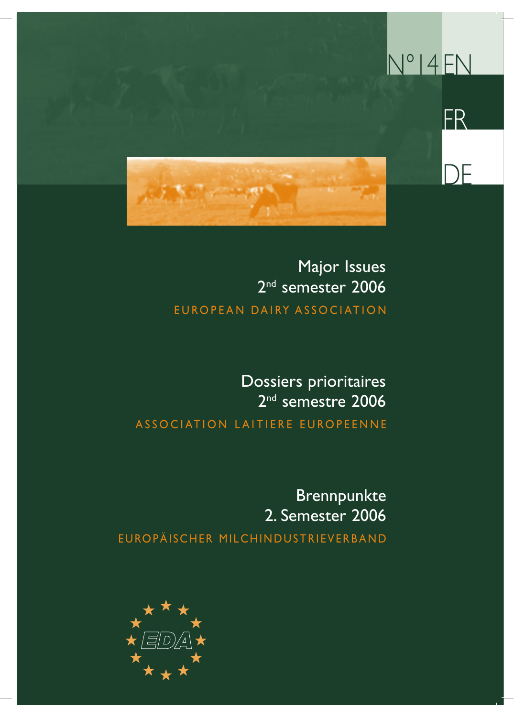

### EUROPEAN DAIRY ASSOCIATION Major Issues 2<sup>nd</sup> semester 2006

### ASSOCIATION LAITIERE EUROPEENNE Dossiers prioritaires 2<sup>nd</sup> semestre 2006

EUROPÄISCHER MILCHINDUSTRIEVERBAND Brennpunkte 2. Semester 2006

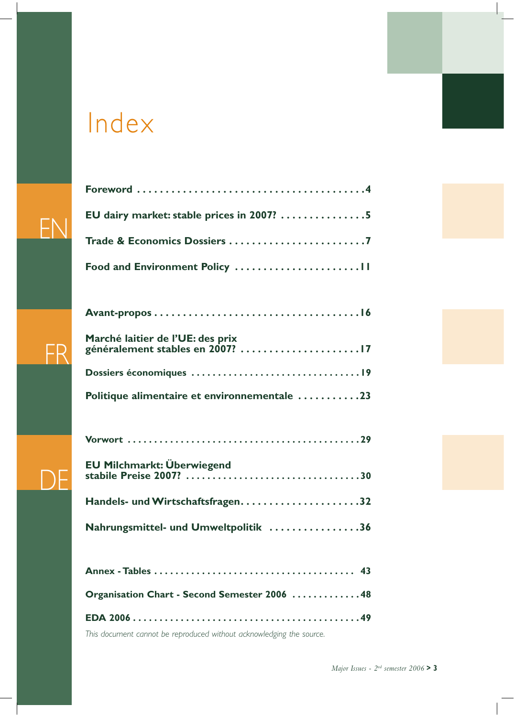### Index

EN

FR

DE

| EU dairy market: stable prices in 2007? 5                            |
|----------------------------------------------------------------------|
| Trade & Economics Dossiers 7                                         |
|                                                                      |
|                                                                      |
|                                                                      |
| Marché laitier de l'UE: des prix<br>généralement stables en 2007? 17 |
|                                                                      |
| Politique alimentaire et environnementale 23                         |
|                                                                      |
|                                                                      |
|                                                                      |
|                                                                      |
| Nahrungsmittel- und Umweltpolitik 36                                 |
|                                                                      |
|                                                                      |
| Organisation Chart - Second Semester 2006 48                         |
|                                                                      |

*This document cannot be reproduced without acknowledging the source.*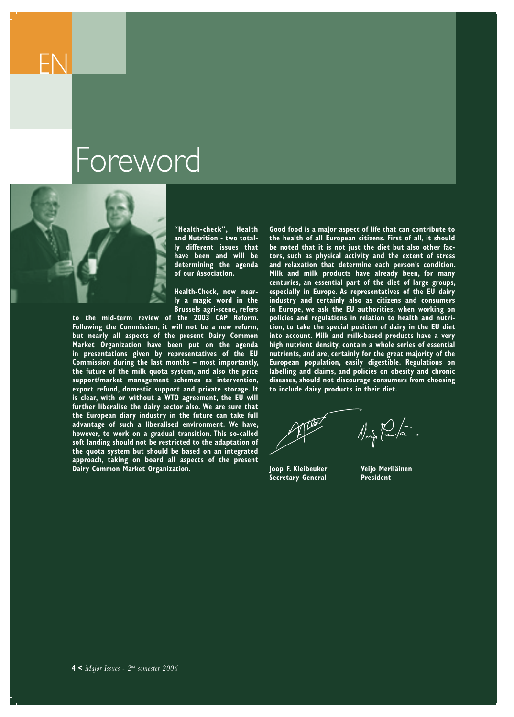### Foreword



**"Health-check", Health and Nutrition - two totally different issues that have been and will be determining the agenda of our Association.**

**Health-Check, now nearly a magic word in the Brussels agri-scene, refers** 

**to the mid-term review of the 2003 CAP Reform. Following the Commission, it will not be a new reform, but nearly all aspects of the present Dairy Common Market Organization have been put on the agenda in presentations given by representatives of the EU Commission during the last months – most importantly, the future of the milk quota system, and also the price support/market management schemes as intervention, export refund, domestic support and private storage. It is clear, with or without a WTO agreement, the EU will further liberalise the dairy sector also. We are sure that the European diary industry in the future can take full advantage of such a liberalised environment. We have, however, to work on a gradual transition. This so-called soft landing should not be restricted to the adaptation of the quota system but should be based on an integrated approach, taking on board all aspects of the present Dairy Common Market Organization.**

**Good food is a major aspect of life that can contribute to the health of all European citizens. First of all, it should be noted that it is not just the diet but also other factors, such as physical activity and the extent of stress and relaxation that determine each person's condition. Milk and milk products have already been, for many centuries, an essential part of the diet of large groups, especially in Europe. As representatives of the EU dairy industry and certainly also as citizens and consumers in Europe, we ask the EU authorities, when working on policies and regulations in relation to health and nutrition, to take the special position of dairy in the EU diet into account. Milk and milk-based products have a very high nutrient density, contain a whole series of essential nutrients, and are, certainly for the great majority of the European population, easily digestible. Regulations on labelling and claims, and policies on obesity and chronic diseases, should not discourage consumers from choosing to include dairy products in their diet.**

 $\sqrt{\frac{1}{2}}\sqrt{\frac{1}{2}}$ 

**Joop F. Kleibeuker Veijo Meriläinen Secretary General**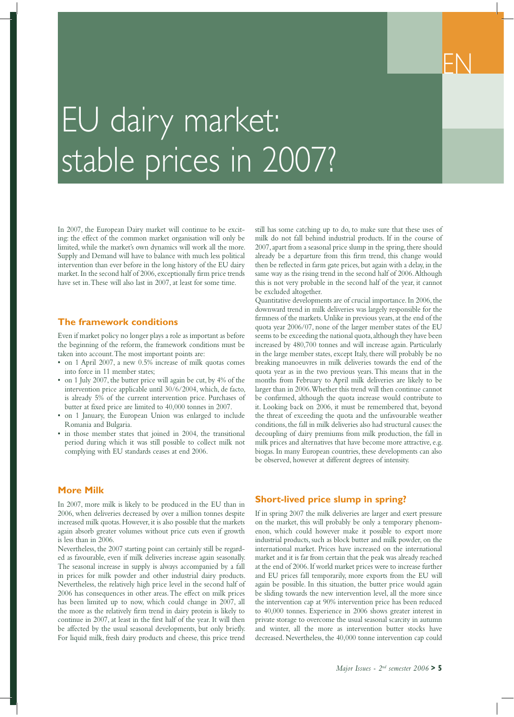## EU dairy market: stable prices in 2007?

In 2007, the European Dairy market will continue to be exciting: the effect of the common market organisation will only be limited, while the market's own dynamics will work all the more. Supply and Demand will have to balance with much less political intervention than ever before in the long history of the EU dairy market. In the second half of 2006, exceptionally firm price trends have set in. These will also last in 2007, at least for some time.

#### **The framework conditions**

Even if market policy no longer plays a role as important as before the beginning of the reform, the framework conditions must be taken into account. The most important points are:

- on 1 April 2007, a new 0.5% increase of milk quotas comes into force in 11 member states;
- on 1 July 2007, the butter price will again be cut, by 4% of the intervention price applicable until 30/6/2004, which, de facto, is already 5% of the current intervention price. Purchases of butter at fixed price are limited to 40,000 tonnes in 2007.
- on 1 January, the European Union was enlarged to include Romania and Bulgaria.
- in those member states that joined in 2004, the transitional period during which it was still possible to collect milk not complying with EU standards ceases at end 2006.

#### **More Milk**

In 2007, more milk is likely to be produced in the EU than in 2006, when deliveries decreased by over a million tonnes despite increased milk quotas. However, it is also possible that the markets again absorb greater volumes without price cuts even if growth is less than in 2006.

Nevertheless, the 2007 starting point can certainly still be regarded as favourable, even if milk deliveries increase again seasonally. The seasonal increase in supply is always accompanied by a fall in prices for milk powder and other industrial dairy products. Nevertheless, the relatively high price level in the second half of 2006 has consequences in other areas. The effect on milk prices has been limited up to now, which could change in 2007, all the more as the relatively firm trend in dairy protein is likely to continue in 2007, at least in the first half of the year. It will then be affected by the usual seasonal developments, but only briefly. For liquid milk, fresh dairy products and cheese, this price trend

still has some catching up to do, to make sure that these uses of milk do not fall behind industrial products. If in the course of 2007, apart from a seasonal price slump in the spring, there should already be a departure from this firm trend, this change would then be reflected in farm gate prices, but again with a delay, in the same way as the rising trend in the second half of 2006. Although this is not very probable in the second half of the year, it cannot be excluded altogether.

EN

Quantitative developments are of crucial importance. In 2006, the downward trend in milk deliveries was largely responsible for the firmness of the markets. Unlike in previous years, at the end of the quota year 2006/07, none of the larger member states of the EU seems to be exceeding the national quota, although they have been increased by 480,700 tonnes and will increase again. Particularly in the large member states, except Italy, there will probably be no breaking manoeuvres in milk deliveries towards the end of the quota year as in the two previous years. This means that in the months from February to April milk deliveries are likely to be larger than in 2006. Whether this trend will then continue cannot be confirmed, although the quota increase would contribute to it. Looking back on 2006, it must be remembered that, beyond the threat of exceeding the quota and the unfavourable weather conditions, the fall in milk deliveries also had structural causes: the decoupling of dairy premiums from milk production, the fall in milk prices and alternatives that have become more attractive, e.g. biogas. In many European countries, these developments can also be observed, however at different degrees of intensity.

#### **Short-lived price slump in spring?**

If in spring 2007 the milk deliveries are larger and exert pressure on the market, this will probably be only a temporary phenomenon, which could however make it possible to export more industrial products, such as block butter and milk powder, on the international market. Prices have increased on the international market and it is far from certain that the peak was already reached at the end of 2006. If world market prices were to increase further and EU prices fall temporarily, more exports from the EU will again be possible. In this situation, the butter price would again be sliding towards the new intervention level, all the more since the intervention cap at 90% intervention price has been reduced to 40,000 tonnes. Experience in 2006 shows greater interest in private storage to overcome the usual seasonal scarcity in autumn and winter, all the more as intervention butter stocks have decreased. Nevertheless, the 40,000 tonne intervention cap could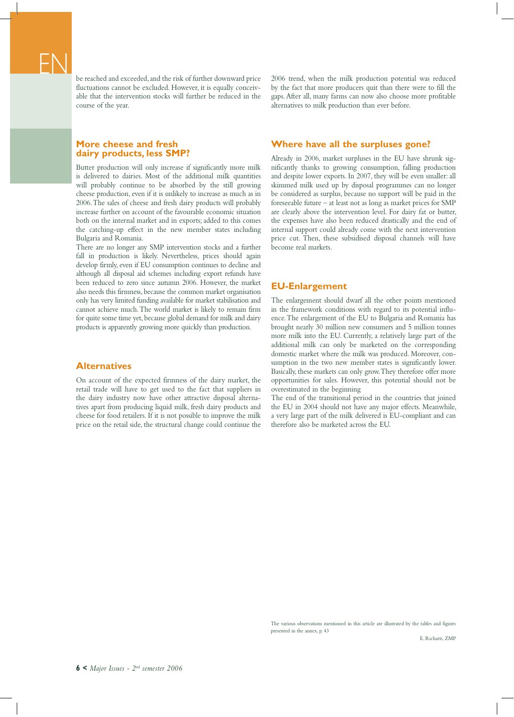be reached and exceeded, and the risk of further downward price fluctuations cannot be excluded. However, it is equally conceivable that the intervention stocks will further be reduced in the course of the year.

#### **More cheese and fresh dairy products, less SMP?**

Butter production will only increase if significantly more milk is delivered to dairies. Most of the additional milk quantities will probably continue to be absorbed by the still growing cheese production, even if it is unlikely to increase as much as in 2006. The sales of cheese and fresh dairy products will probably increase further on account of the favourable economic situation both on the internal market and in exports; added to this comes the catching-up effect in the new member states including Bulgaria and Romania.

There are no longer any SMP intervention stocks and a further fall in production is likely. Nevertheless, prices should again develop firmly, even if EU consumption continues to decline and although all disposal aid schemes including export refunds have been reduced to zero since autumn 2006. However, the market also needs this firmness, because the common market organisation only has very limited funding available for market stabilisation and cannot achieve much. The world market is likely to remain firm for quite some time yet, because global demand for milk and dairy products is apparently growing more quickly than production.

#### **Alternatives**

On account of the expected firmness of the dairy market, the retail trade will have to get used to the fact that suppliers in the dairy industry now have other attractive disposal alternatives apart from producing liquid milk, fresh dairy products and cheese for food retailers. If it is not possible to improve the milk price on the retail side, the structural change could continue the 2006 trend, when the milk production potential was reduced by the fact that more producers quit than there were to fill the gaps. After all, many farms can now also choose more profitable alternatives to milk production than ever before.

#### **Where have all the surpluses gone?**

Already in 2006, market surpluses in the EU have shrunk significantly thanks to growing consumption, falling production and despite lower exports. In 2007, they will be even smaller: all skimmed milk used up by disposal programmes can no longer be considered as surplus, because no support will be paid in the foreseeable future – at least not as long as market prices for SMP are clearly above the intervention level. For dairy fat or butter, the expenses have also been reduced drastically and the end of internal support could already come with the next intervention price cut. Then, these subsidised disposal channels will have become real markets.

#### **EU-Enlargement**

The enlargement should dwarf all the other points mentioned in the framework conditions with regard to its potential influence. The enlargement of the EU to Bulgaria and Romania has brought nearly 30 million new consumers and 5 million tonnes more milk into the EU. Currently, a relatively large part of the additional milk can only be marketed on the corresponding domestic market where the milk was produced. Moreover, consumption in the two new member states is significantly lower. Basically, these markets can only grow. They therefore offer more opportunities for sales. However, this potential should not be overestimated in the beginning

The end of the transitional period in the countries that joined the EU in 2004 should not have any major effects. Meanwhile, a very large part of the milk delivered is EU-compliant and can therefore also be marketed across the EU.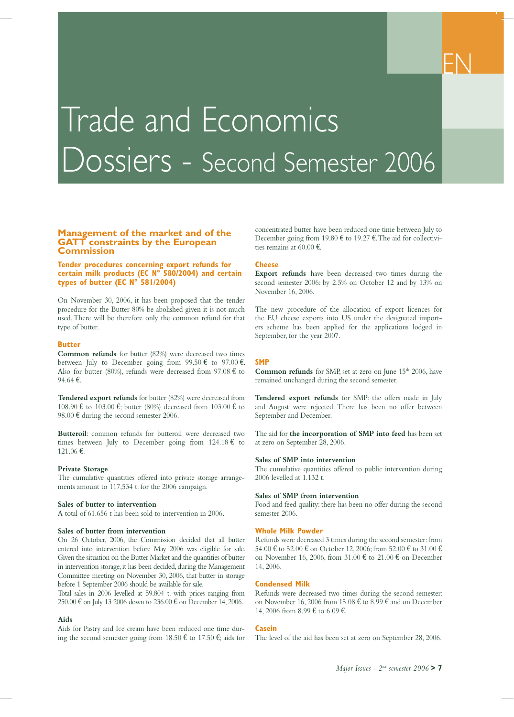## Trade and Economics Dossiers - Second Semester 2006

#### **Management of the market and of the GATT constraints by the European Commission**

#### **Tender procedures concerning export refunds for certain milk products (EC N° 580/2004) and certain types of butter (EC N° 581/2004)**

On November 30, 2006, it has been proposed that the tender procedure for the Butter 80% be abolished given it is not much used. There will be therefore only the common refund for that type of butter.

#### **Butter**

**Common refunds** for butter (82%) were decreased two times between July to December going from  $99.50 \text{ } \infty$  to  $97.00 \text{ } \infty$ . Also for butter (80%), refunds were decreased from 97.08  $\epsilon$  to 94.64 €.

**Tendered export refunds** for butter (82%) were decreased from 108.90 € to 103.00 €; butter (80%) decreased from 103.00 € to 98.00  $\epsilon$  during the second semester 2006.

**Butteroil**: common refunds for butteroil were decreased two times between July to December going from 124.18  $\epsilon$  to 121.06 €.

#### **Private Storage**

The cumulative quantities offered into private storage arrangements amount to 117,534 t. for the 2006 campaign.

#### **Sales of butter to intervention**

A total of 61.656 t has been sold to intervention in 2006.

#### **Sales of butter from intervention**

On 26 October, 2006, the Commission decided that all butter entered into intervention before May 2006 was eligible for sale. Given the situation on the Butter Market and the quantities of butter in intervention storage, it has been decided, during the Management Committee meeting on November 30, 2006, that butter in storage before 1 September 2006 should be available for sale.

Total sales in 2006 levelled at 59.804 t. with prices ranging from 250.00 € on July 13 2006 down to 236.00 € on December 14, 2006.

#### **Aids**

Aids for Pastry and Ice cream have been reduced one time during the second semester going from  $18.50 \text{ } \in$  to  $17.50 \text{ } \in$ ; aids for concentrated butter have been reduced one time between July to December going from 19.80  $\epsilon$  to 19.27  $\epsilon$ . The aid for collectivities remains at 60.00 €.

#### **Cheese**

**Export refunds** have been decreased two times during the second semester 2006: by 2.5% on October 12 and by 13% on November 16, 2006.

The new procedure of the allocation of export licences for the EU cheese exports into US under the designated importers scheme has been applied for the applications lodged in September, for the year 2007.

#### **SMP**

**Common refunds** for SMP, set at zero on June 15<sup>th</sup> 2006, have remained unchanged during the second semester.

**Tendered export refunds** for SMP: the offers made in July and August were rejected. There has been no offer between September and December.

The aid for **the incorporation of SMP into feed** has been set at zero on September 28, 2006.

#### **Sales of SMP into intervention**

The cumulative quantities offered to public intervention during 2006 levelled at 1.132 t.

#### **Sales of SMP from intervention**

Food and feed quality: there has been no offer during the second semester 2006.

#### **Whole Milk Powder**

Refunds were decreased 3 times during the second semester: from 54.00 € to 52.00 € on October 12, 2006; from 52.00 € to 31.00 € on November 16, 2006, from  $31.00 \text{ } \in$  to  $21.00 \text{ } \in$  on December 14, 2006.

#### **Condensed Milk**

Refunds were decreased two times during the second semester: on November 16, 2006 from 15.08  $\epsilon$  to 8.99  $\epsilon$  and on December 14, 2006 from 8.99 € to 6.09 €.

#### **Casein**

The level of the aid has been set at zero on September 28, 2006.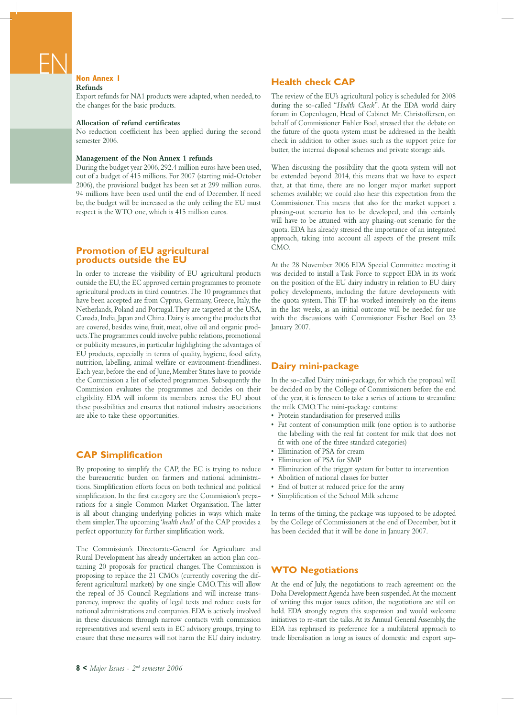#### **Non Annex 1 Refunds**

Export refunds for NA1 products were adapted, when needed, to the changes for the basic products.

#### **Allocation of refund certificates**

No reduction coefficient has been applied during the second semester 2006.

#### **Management of the Non Annex 1 refunds**

During the budget year 2006, 292.4 million euros have been used, out of a budget of 415 millions. For 2007 (starting mid-October 2006), the provisional budget has been set at 299 million euros. 94 millions have been used until the end of December. If need be, the budget will be increased as the only ceiling the EU must respect is the WTO one, which is 415 million euros.

#### **Promotion of EU agricultural products outside the EU**

In order to increase the visibility of EU agricultural products outside the EU, the EC approved certain programmes to promote agricultural products in third countries. The 10 programmes that have been accepted are from Cyprus, Germany, Greece, Italy, the Netherlands, Poland and Portugal. They are targeted at the USA, Canada, India, Japan and China. Dairy is among the products that are covered, besides wine, fruit, meat, olive oil and organic products. The programmes could involve public relations, promotional or publicity measures, in particular highlighting the advantages of EU products, especially in terms of quality, hygiene, food safety, nutrition, labelling, animal welfare or environment-friendliness. Each year, before the end of June, Member States have to provide the Commission a list of selected programmes. Subsequently the Commission evaluates the programmes and decides on their eligibility. EDA will inform its members across the EU about these possibilities and ensures that national industry associations are able to take these opportunities.

#### **CAP Simplification**

By proposing to simplify the CAP, the EC is trying to reduce the bureaucratic burden on farmers and national administrations. Simplification efforts focus on both technical and political simplification. In the first category are the Commission's preparations for a single Common Market Organisation. The latter is all about changing underlying policies in ways which make them simpler. The upcoming '*health check*' of the CAP provides a perfect opportunity for further simplification work.

The Commission's Directorate-General for Agriculture and Rural Development has already undertaken an action plan containing 20 proposals for practical changes. The Commission is proposing to replace the 21 CMOs (currently covering the different agricultural markets) by one single CMO. This will allow the repeal of 35 Council Regulations and will increase transparency, improve the quality of legal texts and reduce costs for national administrations and companies. EDA is actively involved in these discussions through narrow contacts with commission representatives and several seats in EC advisory groups, trying to ensure that these measures will not harm the EU dairy industry.

#### **Health check CAP**

The review of the EU's agricultural policy is scheduled for 2008 during the so-called "*Health Check*". At the EDA world dairy forum in Copenhagen, Head of Cabinet Mr. Christoffersen, on behalf of Commissioner Fishler Boel, stressed that the debate on the future of the quota system must be addressed in the health check in addition to other issues such as the support price for butter, the internal disposal schemes and private storage aids.

When discussing the possibility that the quota system will not be extended beyond 2014, this means that we have to expect that, at that time, there are no longer major market support schemes available; we could also hear this expectation from the Commissioner. This means that also for the market support a phasing-out scenario has to be developed, and this certainly will have to be attuned with any phasing-out scenario for the quota. EDA has already stressed the importance of an integrated approach, taking into account all aspects of the present milk CMO.

At the 28 November 2006 EDA Special Committee meeting it was decided to install a Task Force to support EDA in its work on the position of the EU dairy industry in relation to EU dairy policy developments, including the future developments with the quota system. This TF has worked intensively on the items in the last weeks, as an initial outcome will be needed for use with the discussions with Commissioner Fischer Boel on 23 January 2007.

#### **Dairy mini-package**

In the so-called Dairy mini-package, for which the proposal will be decided on by the College of Commissioners before the end of the year, it is foreseen to take a series of actions to streamline the milk CMO. The mini-package contains:

- Protein standardisation for preserved milks
- Fat content of consumption milk (one option is to authorise the labelling with the real fat content for milk that does not fit with one of the three standard categories)
- Elimination of PSA for cream
- Elimination of PSA for SMP
- Elimination of the trigger system for butter to intervention
- Abolition of national classes for butter
- End of butter at reduced price for the army
- Simplification of the School Milk scheme

In terms of the timing, the package was supposed to be adopted by the College of Commissioners at the end of December, but it has been decided that it will be done in January 2007.

#### **WTO Negotiations**

At the end of July, the negotiations to reach agreement on the Doha Development Agenda have been suspended. At the moment of writing this major issues edition, the negotiations are still on hold. EDA strongly regrets this suspension and would welcome initiatives to re-start the talks. At its Annual General Assembly, the EDA has rephrased its preference for a multilateral approach to trade liberalisation as long as issues of domestic and export sup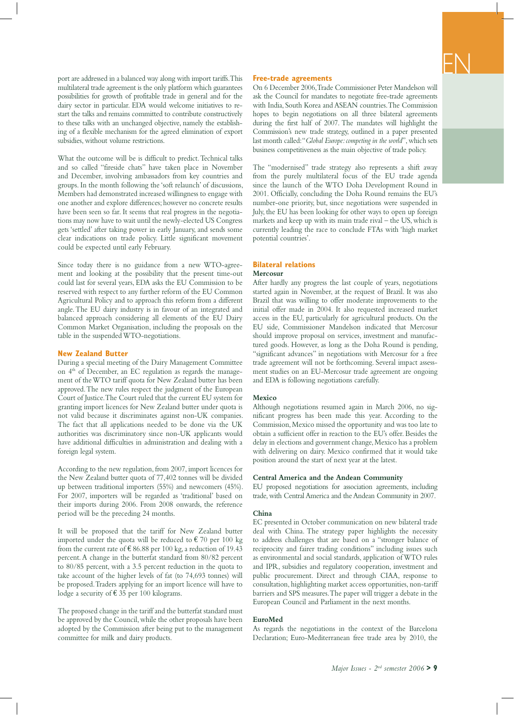port are addressed in a balanced way along with import tariffs. This multilateral trade agreement is the only platform which guarantees possibilities for growth of profitable trade in general and for the dairy sector in particular. EDA would welcome initiatives to restart the talks and remains committed to contribute constructively to these talks with an unchanged objective, namely the establishing of a flexible mechanism for the agreed elimination of export subsidies, without volume restrictions.

What the outcome will be is difficult to predict. Technical talks and so called "fireside chats" have taken place in November and December, involving ambassadors from key countries and groups. In the month following the 'soft relaunch' of discussions, Members had demonstrated increased willingness to engage with one another and explore differences; however no concrete results have been seen so far. It seems that real progress in the negotiations may now have to wait until the newly-elected US Congress gets 'settled' after taking power in early January, and sends some clear indications on trade policy. Little significant movement could be expected until early February.

Since today there is no guidance from a new WTO-agreement and looking at the possibility that the present time-out could last for several years, EDA asks the EU Commission to be reserved with respect to any further reform of the EU Common Agricultural Policy and to approach this reform from a different angle. The EU dairy industry is in favour of an integrated and balanced approach considering all elements of the EU Dairy Common Market Organisation, including the proposals on the table in the suspended WTO-negotiations.

#### **New Zealand Butter**

During a special meeting of the Dairy Management Committee on 4<sup>th</sup> of December, an EC regulation as regards the management of the WTO tariff quota for New Zealand butter has been approved. The new rules respect the judgment of the European Court of Justice. The Court ruled that the current EU system for granting import licences for New Zealand butter under quota is not valid because it discriminates against non-UK companies. The fact that all applications needed to be done via the UK authorities was discriminatory since non-UK applicants would have additional difficulties in administration and dealing with a foreign legal system.

According to the new regulation, from 2007, import licences for the New Zealand butter quota of 77,402 tonnes will be divided up between traditional importers (55%) and newcomers (45%). For 2007, importers will be regarded as 'traditional' based on their imports during 2006. From 2008 onwards, the reference period will be the preceding 24 months.

It will be proposed that the tariff for New Zealand butter imported under the quota will be reduced to  $\epsilon$  70 per 100 kg from the current rate of  $\text{\textsterling} 86.88$  per 100 kg, a reduction of 19.43 percent. A change in the butterfat standard from 80/82 percent to 80/85 percent, with a 3.5 percent reduction in the quota to take account of the higher levels of fat (to 74,693 tonnes) will be proposed. Traders applying for an import licence will have to lodge a security of  $\epsilon$  35 per 100 kilograms.

The proposed change in the tariff and the butterfat standard must be approved by the Council, while the other proposals have been adopted by the Commission after being put to the management committee for milk and dairy products.

#### **Free-trade agreements**

On 6 December 2006, Trade Commissioner Peter Mandelson will ask the Council for mandates to negotiate free-trade agreements with India, South Korea and ASEAN countries. The Commission hopes to begin negotiations on all three bilateral agreements during the first half of 2007. The mandates will highlight the Commission's new trade strategy, outlined in a paper presented last month called: "*Global Europe: competing in the world*", which sets business competitiveness as the main objective of trade policy.

EN

The "modernised" trade strategy also represents a shift away from the purely multilateral focus of the EU trade agenda since the launch of the WTO Doha Development Round in 2001. Officially, concluding the Doha Round remains the EU's number-one priority, but, since negotiations were suspended in July, the EU has been looking for other ways to open up foreign markets and keep up with its main trade rival – the US, which is currently leading the race to conclude FTAs with 'high market potential countries'.

#### **Bilateral relations Mercosur**

After hardly any progress the last couple of years, negotiations started again in November, at the request of Brazil. It was also Brazil that was willing to offer moderate improvements to the initial offer made in 2004. It also requested increased market access in the EU, particularly for agricultural products. On the EU side, Commissioner Mandelson indicated that Mercosur should improve proposal on services, investment and manufactured goods. However, as long as the Doha Round is pending, "significant advances" in negotiations with Mercosur for a free trade agreement will not be forthcoming. Several impact assessment studies on an EU-Mercosur trade agreement are ongoing and EDA is following negotiations carefully.

#### **Mexico**

Although negotiations resumed again in March 2006, no significant progress has been made this year. According to the Commission, Mexico missed the opportunity and was too late to obtain a sufficient offer in reaction to the EU's offer. Besides the delay in elections and government change, Mexico has a problem with delivering on dairy. Mexico confirmed that it would take position around the start of next year at the latest.

#### **Central America and the Andean Community**

EU proposed negotiations for association agreements, including trade, with Central America and the Andean Community in 2007.

#### **China**

EC presented in October communication on new bilateral trade deal with China. The strategy paper highlights the necessity to address challenges that are based on a "stronger balance of reciprocity and fairer trading conditions" including issues such as environmental and social standards, application of WTO rules and IPR, subsidies and regulatory cooperation, investment and public procurement. Direct and through CIAA, response to consultation, highlighting market access opportunities, non-tariff barriers and SPS measures. The paper will trigger a debate in the European Council and Parliament in the next months.

#### **EuroMed**

As regards the negotiations in the context of the Barcelona Declaration; Euro-Mediterranean free trade area by 2010, the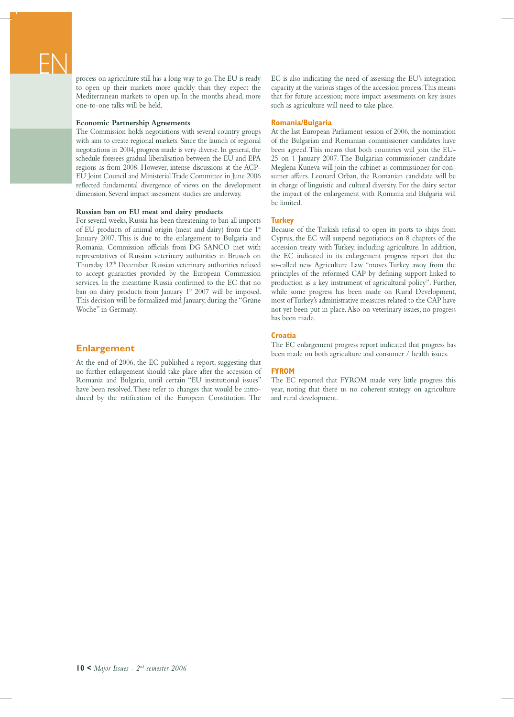process on agriculture still has a long way to go. The EU is ready to open up their markets more quickly than they expect the Mediterranean markets to open up. In the months ahead, more one-to-one talks will be held.

#### **Economic Partnership Agreements**

The Commission holds negotiations with several country groups with aim to create regional markets. Since the launch of regional negotiations in 2004, progress made is very diverse. In general, the schedule foresees gradual liberalisation between the EU and EPA regions as from 2008. However, intense discussions at the ACP-EU Joint Council and Ministerial Trade Committee in June 2006 reflected fundamental divergence of views on the development dimension. Several impact assessment studies are underway.

#### **Russian ban on EU meat and dairy products**

For several weeks, Russia has been threatening to ban all imports of EU products of animal origin (meat and dairy) from the 1st January 2007. This is due to the enlargement to Bulgaria and Romania. Commission officials from DG SANCO met with representatives of Russian veterinary authorities in Brussels on Thursday 12<sup>th</sup> December. Russian veterinary authorities refused to accept guaranties provided by the European Commission services. In the meantime Russia confirmed to the EC that no ban on dairy products from January  $1<sup>st</sup>$  2007 will be imposed. This decision will be formalized mid January, during the "Grüne Woche" in Germany.

#### **Enlargement**

At the end of 2006, the EC published a report, suggesting that no further enlargement should take place after the accession of Romania and Bulgaria, until certain "EU institutional issues" have been resolved. These refer to changes that would be introduced by the ratification of the European Constitution. The

EC is also indicating the need of assessing the EU's integration capacity at the various stages of the accession process. This means that for future accession; more impact assessments on key issues such as agriculture will need to take place.

#### **Romania/Bulgaria**

At the last European Parliament session of 2006, the nomination of the Bulgarian and Romanian commissioner candidates have been agreed. This means that both countries will join the EU-25 on 1 January 2007. The Bulgarian commissioner candidate Meglena Kuneva will join the cabinet as commissioner for consumer affairs. Leonard Orban, the Romanian candidate will be in charge of linguistic and cultural diversity. For the dairy sector the impact of the enlargement with Romania and Bulgaria will be limited.

#### **Turkey**

Because of the Turkish refusal to open its ports to ships from Cyprus, the EC will suspend negotiations on 8 chapters of the accession treaty with Turkey, including agriculture. In addition, the EC indicated in its enlargement progress report that the so-called new Agriculture Law "moves Turkey away from the principles of the reformed CAP by defining support linked to production as a key instrument of agricultural policy". Further, while some progress has been made on Rural Development, most of Turkey's administrative measures related to the CAP have not yet been put in place. Also on veterinary issues, no progress has been made.

#### **Croatia**

The EC enlargement progress report indicated that progress has been made on both agriculture and consumer / health issues.

#### **FYROM**

The EC reported that FYROM made very little progress this year, noting that there us no coherent strategy on agriculture and rural development.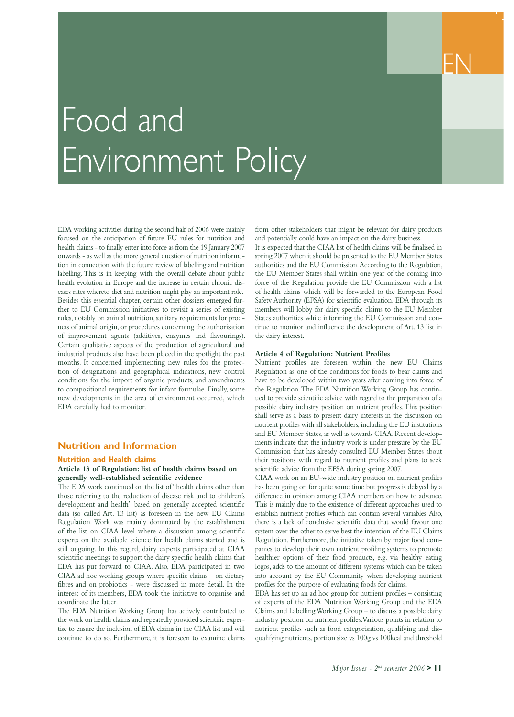

## Food and Environment Policy

EDA working activities during the second half of 2006 were mainly focused on the anticipation of future EU rules for nutrition and health claims - to finally enter into force as from the 19 January 2007 onwards - as well as the more general question of nutrition information in connection with the future review of labelling and nutrition labelling. This is in keeping with the overall debate about public health evolution in Europe and the increase in certain chronic diseases rates whereto diet and nutrition might play an important role. Besides this essential chapter, certain other dossiers emerged further to EU Commission initiatives to revisit a series of existing rules, notably on animal nutrition, sanitary requirements for products of animal origin, or procedures concerning the authorisation of improvement agents (additives, enzymes and flavourings). Certain qualitative aspects of the production of agricultural and industrial products also have been placed in the spotlight the past months. It concerned implementing new rules for the protection of designations and geographical indications, new control conditions for the import of organic products, and amendments to compositional requirements for infant formulae. Finally, some new developments in the area of environment occurred, which EDA carefully had to monitor.

#### **Nutrition and Information**

#### **Nutrition and Health claims**

#### **Article 13 of Regulation: list of health claims based on generally well-established scientific evidence**

The EDA work continued on the list of "health claims other than those referring to the reduction of disease risk and to children's development and health" based on generally accepted scientific data (so called Art. 13 list) as foreseen in the new EU Claims Regulation. Work was mainly dominated by the establishment of the list on CIAA level where a discussion among scientific experts on the available science for health claims started and is still ongoing. In this regard, dairy experts participated at CIAA scientific meetings to support the dairy specific health claims that EDA has put forward to CIAA. Also, EDA participated in two CIAA ad hoc working groups where specific claims – on dietary fibres and on probiotics - were discussed in more detail. In the interest of its members, EDA took the initiative to organise and coordinate the latter.

The EDA Nutrition Working Group has actively contributed to the work on health claims and repeatedly provided scientific expertise to ensure the inclusion of EDA claims in the CIAA list and will continue to do so. Furthermore, it is foreseen to examine claims

from other stakeholders that might be relevant for dairy products and potentially could have an impact on the dairy business.

It is expected that the CIAA list of health claims will be finalised in spring 2007 when it should be presented to the EU Member States authorities and the EU Commission. According to the Regulation, the EU Member States shall within one year of the coming into force of the Regulation provide the EU Commission with a list of health claims which will be forwarded to the European Food Safety Authority (EFSA) for scientific evaluation. EDA through its members will lobby for dairy specific claims to the EU Member States authorities while informing the EU Commission and continue to monitor and influence the development of Art. 13 list in the dairy interest.

#### **Article 4 of Regulation: Nutrient Profiles**

Nutrient profiles are foreseen within the new EU Claims Regulation as one of the conditions for foods to bear claims and have to be developed within two years after coming into force of the Regulation. The EDA Nutrition Working Group has continued to provide scientific advice with regard to the preparation of a possible dairy industry position on nutrient profiles. This position shall serve as a basis to present dairy interests in the discussion on nutrient profiles with all stakeholders, including the EU institutions and EU Member States, as well as towards CIAA. Recent developments indicate that the industry work is under pressure by the EU Commission that has already consulted EU Member States about their positions with regard to nutrient profiles and plans to seek scientific advice from the EFSA during spring 2007.

CIAA work on an EU-wide industry position on nutrient profiles has been going on for quite some time but progress is delayed by a difference in opinion among CIAA members on how to advance. This is mainly due to the existence of different approaches used to establish nutrient profiles which can contain several variables. Also, there is a lack of conclusive scientific data that would favour one system over the other to serve best the intention of the EU Claims Regulation. Furthermore, the initiative taken by major food companies to develop their own nutrient profiling systems to promote healthier options of their food products, e.g. via healthy eating logos, adds to the amount of different systems which can be taken into account by the EU Community when developing nutrient profiles for the purpose of evaluating foods for claims.

EDA has set up an ad hoc group for nutrient profiles – consisting of experts of the EDA Nutrition Working Group and the EDA Claims and Labelling Working Group – to discuss a possible dairy industry position on nutrient profiles. Various points in relation to nutrient profiles such as food categorisation, qualifying and disqualifying nutrients, portion size vs 100g vs 100kcal and threshold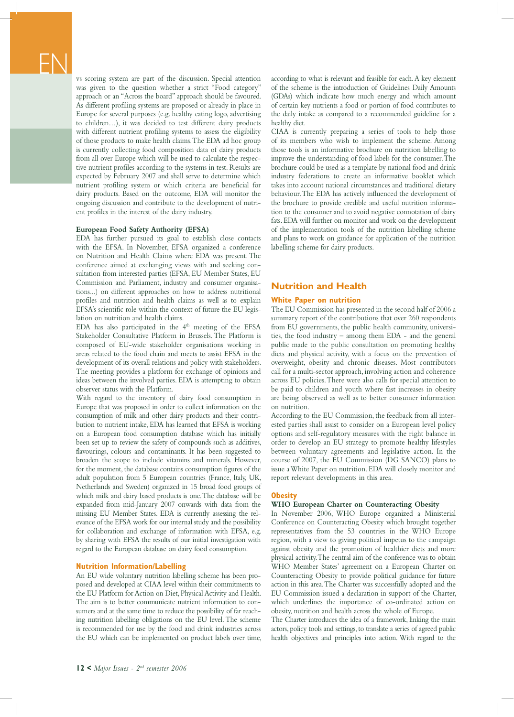vs scoring system are part of the discussion. Special attention was given to the question whether a strict "Food category" approach or an "Across the board" approach should be favoured. As different profiling systems are proposed or already in place in Europe for several purposes (e.g. healthy eating logo, advertising to children…), it was decided to test different dairy products with different nutrient profiling systems to assess the eligibility of those products to make health claims. The EDA ad hoc group is currently collecting food composition data of dairy products from all over Europe which will be used to calculate the respective nutrient profiles according to the systems in test. Results are expected by February 2007 and shall serve to determine which nutrient profiling system or which criteria are beneficial for dairy products. Based on the outcome, EDA will monitor the ongoing discussion and contribute to the development of nutrient profiles in the interest of the dairy industry.

#### **European Food Safety Authority (EFSA)**

EDA has further pursued its goal to establish close contacts with the EFSA. In November, EFSA organized a conference on Nutrition and Health Claims where EDA was present. The conference aimed at exchanging views with and seeking consultation from interested parties (EFSA, EU Member States, EU Commission and Parliament, industry and consumer organisations...) on different approaches on how to address nutritional profiles and nutrition and health claims as well as to explain EFSA's scientific role within the context of future the EU legislation on nutrition and health claims.

EDA has also participated in the  $4<sup>th</sup>$  meeting of the EFSA Stakeholder Consultative Platform in Brussels. The Platform is composed of EU-wide stakeholder organisations working in areas related to the food chain and meets to assist EFSA in the development of its overall relations and policy with stakeholders. The meeting provides a platform for exchange of opinions and ideas between the involved parties. EDA is attempting to obtain observer status with the Platform.

With regard to the inventory of dairy food consumption in Europe that was proposed in order to collect information on the consumption of milk and other dairy products and their contribution to nutrient intake, EDA has learned that EFSA is working on a European food consumption database which has initially been set up to review the safety of compounds such as additives, flavourings, colours and contaminants. It has been suggested to broaden the scope to include vitamins and minerals. However, for the moment, the database contains consumption figures of the adult population from 5 European countries (France, Italy, UK, Netherlands and Sweden) organized in 15 broad food groups of which milk and dairy based products is one. The database will be expanded from mid-January 2007 onwards with data from the missing EU Member States. EDA is currently assessing the relevance of the EFSA work for our internal study and the possibility for collaboration and exchange of information with EFSA, e.g. by sharing with EFSA the results of our initial investigation with regard to the European database on dairy food consumption.

#### **Nutrition Information/Labelling**

An EU wide voluntary nutrition labelling scheme has been proposed and developed at CIAA level within their commitments to the EU Platform for Action on Diet, Physical Activity and Health. The aim is to better communicate nutrient information to consumers and at the same time to reduce the possibility of far reaching nutrition labelling obligations on the EU level. The scheme is recommended for use by the food and drink industries across the EU which can be implemented on product labels over time, according to what is relevant and feasible for each. A key element of the scheme is the introduction of Guidelines Daily Amounts (GDAs) which indicate how much energy and which amount of certain key nutrients a food or portion of food contributes to the daily intake as compared to a recommended guideline for a healthy diet.

CIAA is currently preparing a series of tools to help those of its members who wish to implement the scheme. Among those tools is an informative brochure on nutrition labelling to improve the understanding of food labels for the consumer. The brochure could be used as a template by national food and drink industry federations to create an informative booklet which takes into account national circumstances and traditional dietary behaviour. The EDA has actively influenced the development of the brochure to provide credible and useful nutrition information to the consumer and to avoid negative connotation of dairy fats. EDA will further on monitor and work on the development of the implementation tools of the nutrition labelling scheme and plans to work on guidance for application of the nutrition labelling scheme for dairy products.

#### **Nutrition and Health**

#### **White Paper on nutrition**

The EU Commission has presented in the second half of 2006 a summary report of the contributions that over 260 respondents from EU governments, the public health community, universities, the food industry – among them EDA - and the general public made to the public consultation on promoting healthy diets and physical activity, with a focus on the prevention of overweight, obesity and chronic diseases. Most contributors call for a multi-sector approach, involving action and coherence across EU policies. There were also calls for special attention to be paid to children and youth where fast increases in obesity are being observed as well as to better consumer information on nutrition.

According to the EU Commission, the feedback from all interested parties shall assist to consider on a European level policy options and self-regulatory measures with the right balance in order to develop an EU strategy to promote healthy lifestyles between voluntary agreements and legislative action. In the course of 2007, the EU Commission (DG SANCO) plans to issue a White Paper on nutrition. EDA will closely monitor and report relevant developments in this area.

#### **Obesity**

#### **WHO European Charter on Counteracting Obesity**

In November 2006, WHO Europe organized a Ministerial Conference on Counteracting Obesity which brought together representatives from the 53 countries in the WHO Europe region, with a view to giving political impetus to the campaign against obesity and the promotion of healthier diets and more physical activity. The central aim of the conference was to obtain WHO Member States' agreement on a European Charter on Counteracting Obesity to provide political guidance for future action in this area. The Charter was successfully adopted and the EU Commission issued a declaration in support of the Charter, which underlines the importance of co-ordinated action on obesity, nutrition and health across the whole of Europe.

The Charter introduces the idea of a framework, linking the main actors, policy tools and settings, to translate a series of agreed public health objectives and principles into action. With regard to the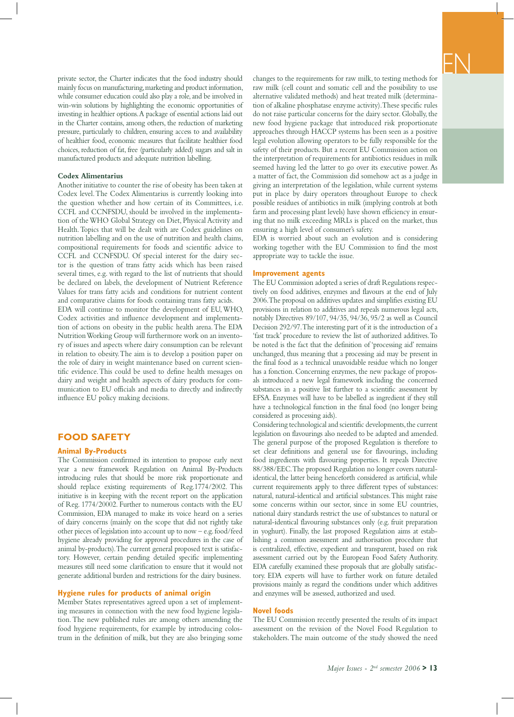private sector, the Charter indicates that the food industry should mainly focus on manufacturing, marketing and product information, while consumer education could also play a role, and be involved in win-win solutions by highlighting the economic opportunities of investing in healthier options. A package of essential actions laid out in the Charter contains, among others, the reduction of marketing pressure, particularly to children, ensuring access to and availability of healthier food, economic measures that facilitate healthier food choices, reduction of fat, free (particularly added) sugars and salt in manufactured products and adequate nutrition labelling.

#### **Codex Alimentarius**

Another initiative to counter the rise of obesity has been taken at Codex level. The Codex Alimentarius is currently looking into the question whether and how certain of its Committees, i.e. CCFL and CCNFSDU, should be involved in the implementation of the WHO Global Strategy on Diet, Physical Activity and Health. Topics that will be dealt with are Codex guidelines on nutrition labelling and on the use of nutrition and health claims, compositional requirements for foods and scientific advice to CCFL and CCNFSDU. Of special interest for the dairy sector is the question of trans fatty acids which has been raised several times, e.g. with regard to the list of nutrients that should be declared on labels, the development of Nutrient Reference Values for trans fatty acids and conditions for nutrient content and comparative claims for foods containing trans fatty acids.

EDA will continue to monitor the development of EU, WHO, Codex activities and influence development and implementation of actions on obesity in the public health arena. The EDA Nutrition Working Group will furthermore work on an inventory of issues and aspects where dairy consumption can be relevant in relation to obesity. The aim is to develop a position paper on the role of dairy in weight maintenance based on current scientific evidence. This could be used to define health messages on dairy and weight and health aspects of dairy products for communication to EU officials and media to directly and indirectly influence EU policy making decisions.

#### **FOOD SAFETY**

#### **Animal By-Products**

The Commission confirmed its intention to propose early next year a new framework Regulation on Animal By-Products introducing rules that should be more risk proportionate and should replace existing requirements of Reg.1774/2002. This initiative is in keeping with the recent report on the application of Reg. 1774/20002. Further to numerous contacts with the EU Commission, EDA managed to make its voice heard on a series of dairy concerns (mainly on the scope that did not rightly take other pieces of legislation into account up to now – e.g. food/feed hygiene already providing for approval procedures in the case of animal by-products). The current general proposed text is satisfactory. However, certain pending detailed specific implementing measures still need some clarification to ensure that it would not generate additional burden and restrictions for the dairy business.

#### **Hygiene rules for products of animal origin**

Member States representatives agreed upon a set of implementing measures in connection with the new food hygiene legislation. The new published rules are among others amending the food hygiene requirements, for example by introducing colostrum in the definition of milk, but they are also bringing some

changes to the requirements for raw milk, to testing methods for raw milk (cell count and somatic cell and the possibility to use alternative validated methods) and heat treated milk (determination of alkaline phosphatase enzyme activity). These specific rules do not raise particular concerns for the dairy sector. Globally, the new food hygiene package that introduced risk proportionate approaches through HACCP systems has been seen as a positive legal evolution allowing operators to be fully responsible for the safety of their products. But a recent EU Commission action on the interpretation of requirements for antibiotics residues in milk seemed having led the latter to go over its executive power. As a matter of fact, the Commission did somehow act as a judge in giving an interpretation of the legislation, while current systems put in place by dairy operators throughout Europe to check possible residues of antibiotics in milk (implying controls at both farm and processing plant levels) have shown efficiency in ensuring that no milk exceeding MRLs is placed on the market, thus ensuring a high level of consumer's safety.

EDA is worried about such an evolution and is considering working together with the EU Commission to find the most appropriate way to tackle the issue.

#### **Improvement agents**

The EU Commission adopted a series of draft Regulations respectively on food additives, enzymes and flavours at the end of July 2006. The proposal on additives updates and simplifies existing EU provisions in relation to additives and repeals numerous legal acts, notably Directives 89/107, 94/35, 94/36, 95/2 as well as Council Decision 292/97. The interesting part of it is the introduction of a 'fast track' procedure to review the list of authorized additives. To be noted is the fact that the definition of 'processing aid' remains unchanged, thus meaning that a processing aid may be present in the final food as a technical unavoidable residue which no longer has a fonction. Concerning enzymes, the new package of proposals introduced a new legal framework including the concerned substances in a positive list further to a scientific assessment by EFSA. Enzymes will have to be labelled as ingredient if they still have a technological function in the final food (no longer being considered as processing aids).

Considering technological and scientific developments, the current legislation on flavourings also needed to be adapted and amended. The general purpose of the proposed Regulation is therefore to set clear definitions and general use for flavourings, including food ingredients with flavouring properties. It repeals Directive 88/388/EEC. The proposed Regulation no longer covers naturalidentical, the latter being henceforth considered as artificial, while current requirements apply to three different types of substances: natural, natural-identical and artificial substances. This might raise some concerns within our sector, since in some EU countries, national dairy standards restrict the use of substances to natural or natural-identical flavouring substances only (e.g. fruit preparation in yoghurt). Finally, the last proposed Regulation aims at establishing a common assessment and authorisation procedure that is centralized, effective, expedient and transparent, based on risk assessment carried out by the European Food Safety Authority. EDA carefully examined these proposals that are globally satisfactory. EDA experts will have to further work on future detailed provisions mainly as regard the conditions under which additives and enzymes will be assessed, authorized and used.

#### **Novel foods**

The EU Commission recently presented the results of its impact assessment on the revision of the Novel Food Regulation to stakeholders. The main outcome of the study showed the need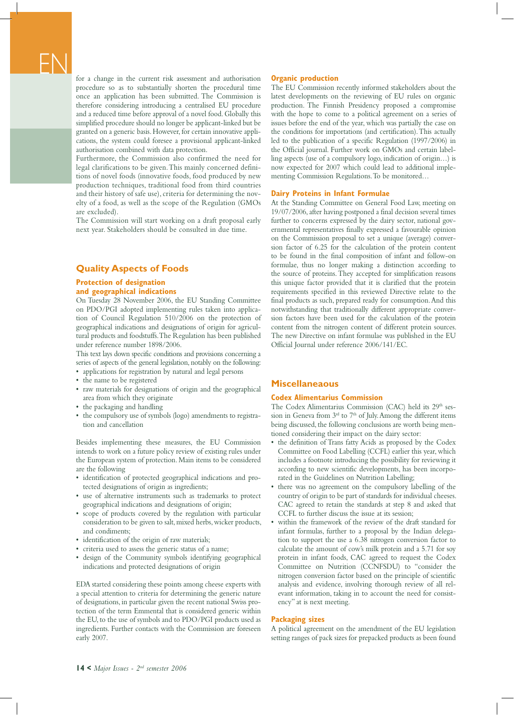for a change in the current risk assessment and authorisation procedure so as to substantially shorten the procedural time once an application has been submitted. The Commission is therefore considering introducing a centralised EU procedure and a reduced time before approval of a novel food. Globally this simplified procedure should no longer be applicant-linked but be granted on a generic basis. However, for certain innovative applications, the system could foresee a provisional applicant-linked authorisation combined with data protection.

Furthermore, the Commission also confirmed the need for legal clarifications to be given. This mainly concerned definitions of novel foods (innovative foods, food produced by new production techniques, traditional food from third countries and their history of safe use), criteria for determining the novelty of a food, as well as the scope of the Regulation (GMOs are excluded).

The Commission will start working on a draft proposal early next year. Stakeholders should be consulted in due time.

#### **Quality Aspects of Foods**

#### **Protection of designation and geographical indications**

On Tuesday 28 November 2006, the EU Standing Committee on PDO/PGI adopted implementing rules taken into application of Council Regulation 510/2006 on the protection of geographical indications and designations of origin for agricultural products and foodstuffs. The Regulation has been published under reference number 1898/2006.

This text lays down specific conditions and provisions concerning a series of aspects of the general legislation, notably on the following:

- applications for registration by natural and legal persons
- the name to be registered
- raw materials for designations of origin and the geographical area from which they originate
- the packaging and handling
- the compulsory use of symbols (logo) amendments to registration and cancellation

Besides implementing these measures, the EU Commission intends to work on a future policy review of existing rules under the European system of protection. Main items to be considered are the following

- identification of protected geographical indications and protected designations of origin as ingredients;
- use of alternative instruments such as trademarks to protect geographical indications and designations of origin;
- scope of products covered by the regulation with particular consideration to be given to salt, mixed herbs, wicker products, and condiments;
- identification of the origin of raw materials;
- criteria used to assess the generic status of a name;
- design of the Community symbols identifying geographical indications and protected designations of origin

EDA started considering these points among cheese experts with a special attention to criteria for determining the generic nature of designations, in particular given the recent national Swiss protection of the term Emmental that is considered generic within the EU, to the use of symbols and to PDO/PGI products used as ingredients. Further contacts with the Commission are foreseen early 2007.

#### **Organic production**

The EU Commission recently informed stakeholders about the latest developments on the reviewing of EU rules on organic production. The Finnish Presidency proposed a compromise with the hope to come to a political agreement on a series of issues before the end of the year, which was partially the case on the conditions for importations (and certification). This actually led to the publication of a specific Regulation (1997/2006) in the Official journal. Further work on GMOs and certain labelling aspects (use of a compulsory logo, indication of origin…) is now expected for 2007 which could lead to additional implementing Commission Regulations. To be monitored…

#### **Dairy Proteins in Infant Formulae**

At the Standing Committee on General Food Law, meeting on 19/07/2006, after having postponed a final decision several times further to concerns expressed by the dairy sector, national governmental representatives finally expressed a favourable opinion on the Commission proposal to set a unique (average) conversion factor of 6.25 for the calculation of the protein content to be found in the final composition of infant and follow-on formulae, thus no longer making a distinction according to the source of proteins. They accepted for simplification reasons this unique factor provided that it is clarified that the protein requirements specified in this reviewed Directive relate to the final products as such, prepared ready for consumption. And this notwithstanding that traditionally different appropriate conversion factors have been used for the calculation of the protein content from the nitrogen content of different protein sources. The new Directive on infant formulae was published in the EU Official Journal under reference 2006/141/EC.

#### **Miscellaneaous**

#### **Codex Alimentarius Commission**

The Codex Alimentarius Commission (CAC) held its 29<sup>th</sup> session in Geneva from  $3<sup>rd</sup>$  to  $7<sup>th</sup>$  of July. Among the different items being discussed, the following conclusions are worth being mentioned considering their impact on the dairy sector:

- the definition of Trans fatty Acids as proposed by the Codex Committee on Food Labelling (CCFL) earlier this year, which includes a footnote introducing the possibility for reviewing it according to new scientific developments, has been incorporated in the Guidelines on Nutrition Labelling;
- there was no agreement on the compulsory labelling of the country of origin to be part of standards for individual cheeses. CAC agreed to retain the standards at step 8 and asked that CCFL to further discuss the issue at its session;
- within the framework of the review of the draft standard for infant formulas, further to a proposal by the Indian delegation to support the use a 6.38 nitrogen conversion factor to calculate the amount of cow's milk protein and a 5.71 for soy protein in infant foods, CAC agreed to request the Codex Committee on Nutrition (CCNFSDU) to "consider the nitrogen conversion factor based on the principle of scientific analysis and evidence, involving thorough review of all relevant information, taking in to account the need for consistency" at is next meeting.

#### **Packaging sizes**

A political agreement on the amendment of the EU legislation setting ranges of pack sizes for prepacked products as been found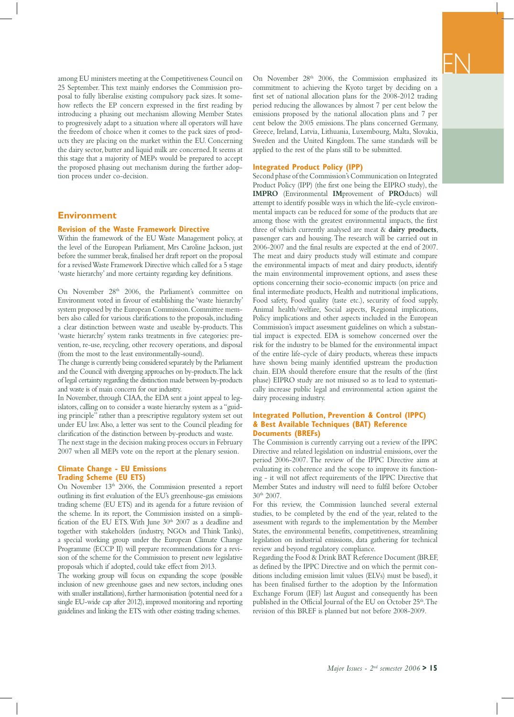among EU ministers meeting at the Competitiveness Council on 25 September. This text mainly endorses the Commission proposal to fully liberalise existing compulsory pack sizes. It somehow reflects the EP concern expressed in the first reading by introducing a phasing out mechanism allowing Member States to progressively adapt to a situation where all operators will have the freedom of choice when it comes to the pack sizes of products they are placing on the market within the EU. Concerning the dairy sector, butter and liquid milk are concerned. It seems at this stage that a majority of MEPs would be prepared to accept the proposed phasing out mechanism during the further adoption process under co-decision.

#### **Environment**

#### **Revision of the Waste Framework Directive**

Within the framework of the EU Waste Management policy, at the level of the European Parliament, Mrs Caroline Jackson, just before the summer break, finalised her draft report on the proposal for a revised Waste Framework Directive which called for a 5 stage 'waste hierarchy' and more certainty regarding key definitions.

On November 28<sup>th</sup> 2006, the Parliament's committee on Environment voted in favour of establishing the 'waste hierarchy' system proposed by the European Commission. Committee members also called for various clarifications to the proposals, including a clear distinction between waste and useable by-products. This 'waste hierarchy' system ranks treatments in five categories: prevention, re-use, recycling, other recovery operations, and disposal (from the most to the least environmentally-sound).

The change is currently being considered separately by the Parliament and the Council with diverging approaches on by-products. The lack of legal certainty regarding the distinction made between by-products and waste is of main concern for our industry.

In November, through CIAA, the EDA sent a joint appeal to legislators, calling on to consider a waste hierarchy system as a "guiding principle" rather than a prescriptive regulatory system set out under EU law. Also, a letter was sent to the Council pleading for clarification of the distinction between by-products and waste. The next stage in the decision making process occurs in February 2007 when all MEPs vote on the report at the plenary session.

#### **Climate Change - EU Emissions Trading Scheme (EU ETS)**

On November 13th 2006, the Commission presented a report outlining its first evaluation of the EU's greenhouse-gas emissions trading scheme (EU ETS) and its agenda for a future revision of the scheme. In its report, the Commission insisted on a simplification of the EU ETS. With June  $30<sup>th</sup>$  2007 as a deadline and together with stakeholders (industry, NGOs and Think Tanks), a special working group under the European Climate Change Programme (ECCP II) will prepare recommendations for a revision of the scheme for the Commission to present new legislative proposals which if adopted, could take effect from 2013.

The working group will focus on expanding the scope (possible inclusion of new greenhouse gases and new sectors, including ones with smaller installations), further harmonisation (potential need for a single EU-wide cap after 2012), improved monitoring and reporting guidelines and linking the ETS with other existing trading schemes.

On November 28<sup>th</sup> 2006, the Commission emphasized its commitment to achieving the Kyoto target by deciding on a first set of national allocation plans for the 2008-2012 trading period reducing the allowances by almost 7 per cent below the emissions proposed by the national allocation plans and 7 per cent below the 2005 emissions. The plans concerned Germany, Greece, Ireland, Latvia, Lithuania, Luxembourg, Malta, Slovakia, Sweden and the United Kingdom. The same standards will be applied to the rest of the plans still to be submitted.

#### **Integrated Product Policy (IPP)**

Second phase of the Commission's Communication on Integrated Product Policy (IPP) (the first one being the EIPRO study), the **IMPRO** (Environmental **IM**provement of **PRO**ducts) will attempt to identify possible ways in which the life-cycle environmental impacts can be reduced for some of the products that are among those with the greatest environmental impacts, the first three of which currently analysed are meat & **dairy products**, passenger cars and housing. The research will be carried out in 2006-2007 and the final results are expected at the end of 2007. The meat and dairy products study will estimate and compare the environmental impacts of meat and dairy products, identify the main environmental improvement options, and assess these options concerning their socio-economic impacts (on price and final intermediate products, Health and nutritional implications, Food safety, Food quality (taste etc.), security of food supply, Animal health/welfare, Social aspects, Regional implications, Policy implications and other aspects included in the European Commission's impact assessment guidelines on which a substantial impact is expected. EDA is somehow concerned over the risk for the industry to be blamed for the environmental impact of the entire life-cycle of dairy products, whereas these impacts have shown being mainly identified upstream the production chain. EDA should therefore ensure that the results of the (first phase) EIPRO study are not misused so as to lead to systematically increase public legal and environmental action against the dairy processing industry.

#### **Integrated Pollution, Prevention & Control (IPPC) & Best Available Techniques (BAT) Reference Documents (BREFs)**

The Commission is currently carrying out a review of the IPPC Directive and related legislation on industrial emissions, over the period 2006-2007. The review of the IPPC Directive aims at evaluating its coherence and the scope to improve its functioning - it will not affect requirements of the IPPC Directive that Member States and industry will need to fulfil before October 30th 2007.

For this review, the Commission launched several external studies, to be completed by the end of the year, related to the assessment with regards to the implementation by the Member States, the environmental benefits, competitiveness, streamlining legislation on industrial emissions, data gathering for technical review and beyond regulatory compliance.

Regarding the Food & Drink BAT Reference Document (BREF, as defined by the IPPC Directive and on which the permit conditions including emission limit values (ELVs) must be based), it has been finalised further to the adoption by the Information Exchange Forum (IEF) last August and consequently has been published in the Official Journal of the EU on October 25<sup>th</sup>. The revision of this BREF is planned but not before 2008-2009.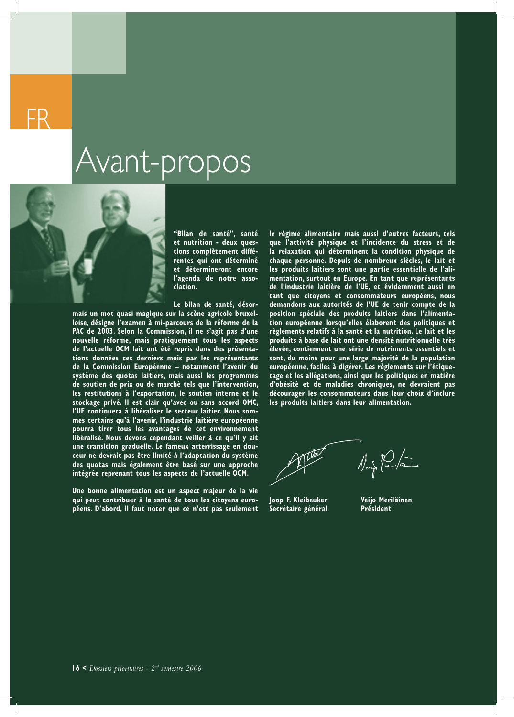### Avant-propos

**"Bilan de santé", santé et nutrition - deux questions complètement différentes qui ont déterminé et détermineront encore l'agenda de notre association.**

**Le bilan de santé, désor-**

**mais un mot quasi magique sur la scène agricole bruxelloise, désigne l'examen à mi-parcours de la réforme de la PAC de 2003. Selon la Commission, il ne s'agit pas d'une nouvelle réforme, mais pratiquement tous les aspects de l'actuelle OCM lait ont été repris dans des présentations données ces derniers mois par les représentants de la Commission Européenne – notamment l'avenir du système des quotas laitiers, mais aussi les programmes de soutien de prix ou de marché tels que l'intervention, les restitutions à l'exportation, le soutien interne et le stockage privé. Il est clair qu'avec ou sans accord OMC, l'UE continuera à libéraliser le secteur laitier. Nous sommes certains qu'à l'avenir, l'industrie laitière européenne pourra tirer tous les avantages de cet environnement libéralisé. Nous devons cependant veiller à ce qu'il y ait une transition graduelle. Le fameux atterrissage en douceur ne devrait pas être limité à l'adaptation du système des quotas mais également être basé sur une approche intégrée reprenant tous les aspects de l'actuelle OCM.**

**Une bonne alimentation est un aspect majeur de la vie qui peut contribuer à la santé de tous les citoyens européens. D'abord, il faut noter que ce n'est pas seulement**  **le régime alimentaire mais aussi d'autres facteurs, tels que l'activité physique et l'incidence du stress et de la relaxation qui déterminent la condition physique de chaque personne. Depuis de nombreux siècles, le lait et les produits laitiers sont une partie essentielle de l'alimentation, surtout en Europe. En tant que représentants de l'industrie laitière de l'UE, et évidemment aussi en tant que citoyens et consommateurs européens, nous demandons aux autorités de l'UE de tenir compte de la position spéciale des produits laitiers dans l'alimentation européenne lorsqu'elles élaborent des politiques et règlements relatifs à la santé et la nutrition. Le lait et les produits à base de lait ont une densité nutritionnelle très élevée, contiennent une série de nutriments essentiels et sont, du moins pour une large majorité de la population européenne, faciles à digérer. Les règlements sur l'étiquetage et les allégations, ainsi que les politiques en matière d'obésité et de maladies chroniques, ne devraient pas décourager les consommateurs dans leur choix d'inclure les produits laitiers dans leur alimentation.**

 $\sqrt{2\pi\sqrt{2}}$ 

**Joop F. Kleibeuker Veijo Meriläinen Secrétaire général Président**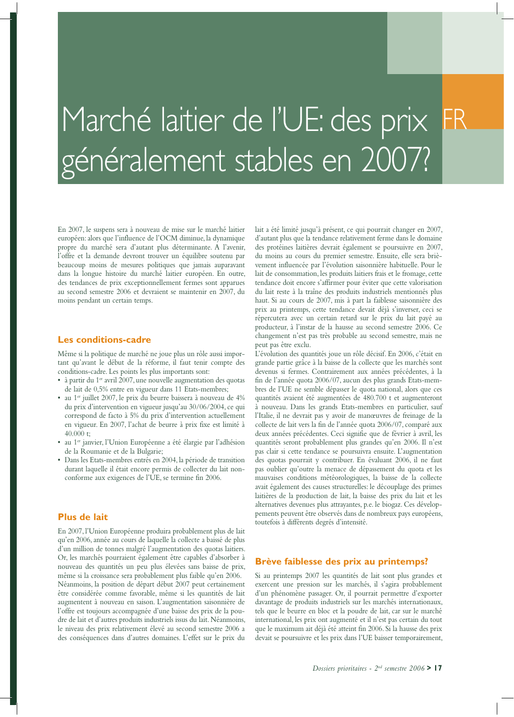## Marché laitier de l'UE: des prix généralement stables en 2007?

En 2007, le suspens sera à nouveau de mise sur le marché laitier européen: alors que l'influence de l'OCM diminue, la dynamique propre du marché sera d'autant plus déterminante. A l'avenir, l'offre et la demande devront trouver un équilibre soutenu par beaucoup moins de mesures politiques que jamais auparavant dans la longue histoire du marché laitier européen. En outre, des tendances de prix exceptionnellement fermes sont apparues au second semestre 2006 et devraient se maintenir en 2007, du moins pendant un certain temps.

#### **Les conditions-cadre**

Même si la politique de marché ne joue plus un rôle aussi important qu'avant le début de la réforme, il faut tenir compte des conditions-cadre. Les points les plus importants sont:

- $\bullet$  à partir du 1<sup>er</sup> avril 2007, une nouvelle augmentation des quotas de lait de 0,5% entre en vigueur dans 11 Etats-membres;
- au 1er juillet 2007, le prix du beurre baissera à nouveau de 4% du prix d'intervention en vigueur jusqu'au 30/06/2004, ce qui correspond de facto à 5% du prix d'intervention actuellement en vigueur. En 2007, l'achat de beurre à prix fixe est limité à 40.000 t;
- au 1er janvier, l'Union Européenne a été élargie par l'adhésion de la Roumanie et de la Bulgarie;
- Dans les Etats-membres entrés en 2004, la période de transition durant laquelle il était encore permis de collecter du lait nonconforme aux exigences de l'UE, se termine fin 2006.

#### **Plus de lait**

En 2007, l'Union Européenne produira probablement plus de lait qu'en 2006, année au cours de laquelle la collecte a baissé de plus d'un million de tonnes malgré l'augmentation des quotas laitiers. Or, les marchés pourraient également être capables d'absorber à nouveau des quantités un peu plus élevées sans baisse de prix, même si la croissance sera probablement plus faible qu'en 2006. Néanmoins, la position de départ début 2007 peut certainement être considérée comme favorable, même si les quantités de lait augmentent à nouveau en saison. L'augmentation saisonnière de l'offre est toujours accompagnée d'une baisse des prix de la poudre de lait et d'autres produits industriels issus du lait. Néanmoins, le niveau des prix relativement élevé au second semestre 2006 a des conséquences dans d'autres domaines. L'effet sur le prix du

lait a été limité jusqu'à présent, ce qui pourrait changer en 2007, d'autant plus que la tendance relativement ferme dans le domaine des protéines laitières devrait également se poursuivre en 2007, du moins au cours du premier semestre. Ensuite, elle sera brièvement influencée par l'évolution saisonnière habituelle. Pour le lait de consommation, les produits laitiers frais et le fromage, cette tendance doit encore s'affirmer pour éviter que cette valorisation du lait reste à la traîne des produits industriels mentionnés plus haut. Si au cours de 2007, mis à part la faiblesse saisonnière des prix au printemps, cette tendance devait déjà s'inverser, ceci se répercutera avec un certain retard sur le prix du lait payé au producteur, à l'instar de la hausse au second semestre 2006. Ce changement n'est pas très probable au second semestre, mais ne peut pas être exclu.

L'évolution des quantités joue un rôle décisif. En 2006, c'était en grande partie grâce à la baisse de la collecte que les marchés sont devenus si fermes. Contrairement aux années précédentes, à la fin de l'année quota 2006/07, aucun des plus grands Etats-membres de l'UE ne semble dépasser le quota national, alors que ces quantités avaient été augmentées de 480.700 t et augmenteront à nouveau. Dans les grands Etats-membres en particulier, sauf l'Italie, il ne devrait pas y avoir de manœuvres de freinage de la collecte de lait vers la fin de l'année quota 2006/07, comparé aux deux années précédentes. Ceci signifie que de février à avril, les quantités seront probablement plus grandes qu'en 2006. Il n'est pas clair si cette tendance se poursuivra ensuite. L'augmentation des quotas pourrait y contribuer. En évaluant 2006, il ne faut pas oublier qu'outre la menace de dépassement du quota et les mauvaises conditions météorologiques, la baisse de la collecte avait également des causes structurelles: le découplage des primes laitières de la production de lait, la baisse des prix du lait et les alternatives devenues plus attrayantes, p.e. le biogaz. Ces développements peuvent être observés dans de nombreux pays européens, toutefois à différents degrés d'intensité.

#### **Brève faiblesse des prix au printemps?**

Si au printemps 2007 les quantités de lait sont plus grandes et exercent une pression sur les marchés, il s'agira probablement d'un phénomène passager. Or, il pourrait permettre d'exporter davantage de produits industriels sur les marchés internationaux, tels que le beurre en bloc et la poudre de lait, car sur le marché international, les prix ont augmenté et il n'est pas certain du tout que le maximum ait déjà été atteint fin 2006. Si la hausse des prix devait se poursuivre et les prix dans l'UE baisser temporairement,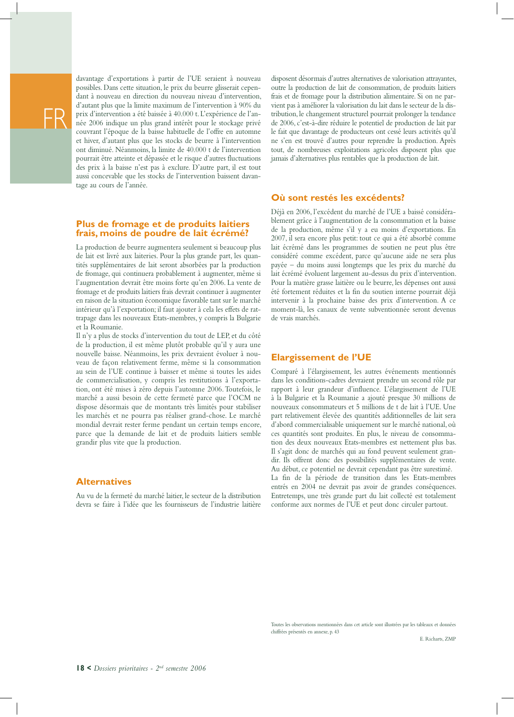

davantage d'exportations à partir de l'UE seraient à nouveau possibles. Dans cette situation, le prix du beurre glisserait cependant à nouveau en direction du nouveau niveau d'intervention, d'autant plus que la limite maximum de l'intervention à 90% du prix d'intervention a été baissée à 40.000 t. L'expérience de l'année 2006 indique un plus grand intérêt pour le stockage privé couvrant l'époque de la baisse habituelle de l'offre en automne et hiver, d'autant plus que les stocks de beurre à l'intervention ont diminué. Néanmoins, la limite de 40.000 t de l'intervention pourrait être atteinte et dépassée et le risque d'autres fluctuations des prix à la baisse n'est pas à exclure. D'autre part, il est tout aussi concevable que les stocks de l'intervention baissent davantage au cours de l'année.

#### **Plus de fromage et de produits laitiers frais, moins de poudre de lait écrémé?**

La production de beurre augmentera seulement si beaucoup plus de lait est livré aux laiteries. Pour la plus grande part, les quantités supplémentaires de lait seront absorbées par la production de fromage, qui continuera probablement à augmenter, même si l'augmentation devrait être moins forte qu'en 2006. La vente de fromage et de produits laitiers frais devrait continuer à augmenter en raison de la situation économique favorable tant sur le marché intérieur qu'à l'exportation; il faut ajouter à cela les effets de rattrapage dans les nouveaux Etats-membres, y compris la Bulgarie et la Roumanie.

Il n'y a plus de stocks d'intervention du tout de LEP, et du côté de la production, il est même plutôt probable qu'il y aura une nouvelle baisse. Néanmoins, les prix devraient évoluer à nouveau de façon relativement ferme, même si la consommation au sein de l'UE continue à baisser et même si toutes les aides de commercialisation, y compris les restitutions à l'exportation, ont été mises à zéro depuis l'automne 2006. Toutefois, le marché a aussi besoin de cette fermeté parce que l'OCM ne dispose désormais que de montants très limités pour stabiliser les marchés et ne pourra pas réaliser grand-chose. Le marché mondial devrait rester ferme pendant un certain temps encore, parce que la demande de lait et de produits laitiers semble grandir plus vite que la production.

#### **Alternatives**

Au vu de la fermeté du marché laitier, le secteur de la distribution devra se faire à l'idée que les fournisseurs de l'industrie laitière

disposent désormais d'autres alternatives de valorisation attrayantes, outre la production de lait de consommation, de produits laitiers frais et de fromage pour la distribution alimentaire. Si on ne parvient pas à améliorer la valorisation du lait dans le secteur de la distribution, le changement structurel pourrait prolonger la tendance de 2006, c'est-à-dire réduire le potentiel de production de lait par le fait que davantage de producteurs ont cessé leurs activités qu'il ne s'en est trouvé d'autres pour reprendre la production. Après tout, de nombreuses exploitations agricoles disposent plus que jamais d'alternatives plus rentables que la production de lait.

#### **Où sont restés les excédents?**

Déjà en 2006, l'excédent du marché de l'UE a baissé considérablement grâce à l'augmentation de la consommation et la baisse de la production, même s'il y a eu moins d'exportations. En 2007, il sera encore plus petit: tout ce qui a été absorbé comme lait écrémé dans les programmes de soutien ne peut plus être considéré comme excédent, parce qu'aucune aide ne sera plus payée – du moins aussi longtemps que les prix du marché du lait écrémé évoluent largement au-dessus du prix d'intervention. Pour la matière grasse laitière ou le beurre, les dépenses ont aussi été fortement réduites et la fin du soutien interne pourrait déjà intervenir à la prochaine baisse des prix d'intervention. A ce moment-là, les canaux de vente subventionnée seront devenus de vrais marchés.

#### **Elargissement de l'UE**

Comparé à l'élargissement, les autres événements mentionnés dans les conditions-cadres devraient prendre un second rôle par rapport à leur grandeur d'influence. L'élargissement de l'UE à la Bulgarie et la Roumanie a ajouté presque 30 millions de nouveaux consommateurs et 5 millions de t de lait à l'UE. Une part relativement élevée des quantités additionnelles de lait sera d'abord commercialisable uniquement sur le marché national, où ces quantités sont produites. En plus, le niveau de consommation des deux nouveaux Etats-membres est nettement plus bas. Il s'agit donc de marchés qui au fond peuvent seulement grandir. Ils offrent donc des possibilités supplémentaires de vente. Au début, ce potentiel ne devrait cependant pas être surestimé. La fin de la période de transition dans les Etats-membres entrés en 2004 ne devrait pas avoir de grandes conséquences. Entretemps, une très grande part du lait collecté est totalement conforme aux normes de l'UE et peut donc circuler partout.

Toutes les observations mentionnées dans cet article sont illustrées par les tableaux et données chiffrées présentés en annexe, p. 43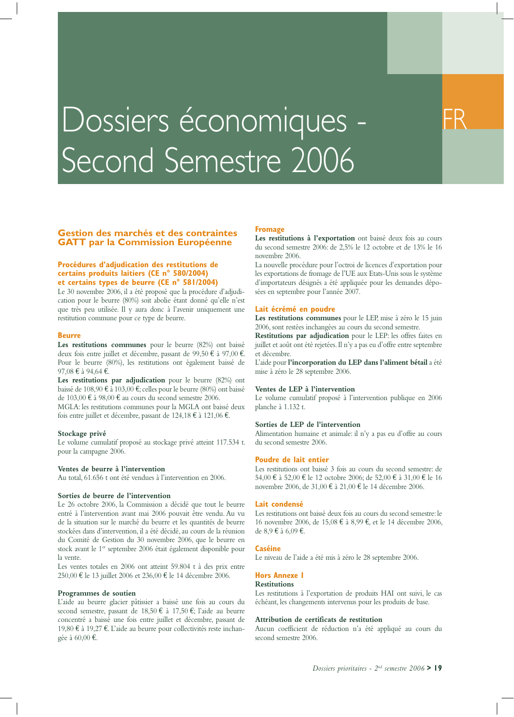# Dossiers économiques -Second Semestre 2006

#### **Gestion des marchés et des contraintes GATT par la Commission Européenne**

#### **Procédures d'adjudication des restitutions de certains produits laitiers (CE n° 580/2004) et certains types de beurre (CE n° 581/2004)**

Le 30 novembre 2006, il a été proposé que la procédure d'adjudication pour le beurre (80%) soit abolie étant donné qu'elle n'est que très peu utilisée. Il y aura donc à l'avenir uniquement une restitution commune pour ce type de beurre.

#### **Beurre**

**Les restitutions communes** pour le beurre (82%) ont baissé deux fois entre juillet et décembre, passant de 99,50 € à 97,00 €. Pour le beurre (80%), les restitutions ont également baissé de 97,08 € à 94,64 €.

**Les restitutions par adjudication** pour le beurre (82%) ont baissé de 108,90 € à 103,00 €; celles pour le beurre (80%) ont baissé de 103,00 € à 98,00 € au cours du second semestre 2006. MGLA: les restitutions communes pour la MGLA ont baissé deux fois entre juillet et décembre, passant de 124,18 € à 121,06 €.

#### **Stockage privé**

Le volume cumulatif proposé au stockage privé atteint 117.534 t. pour la campagne 2006.

#### **Ventes de beurre à l'intervention**

Au total, 61.656 t ont été vendues à l'intervention en 2006.

#### **Sorties de beurre de l'intervention**

Le 26 octobre 2006, la Commission a décidé que tout le beurre entré à l'intervention avant mai 2006 pouvait être vendu. Au vu de la situation sur le marché du beurre et les quantités de beurre stockées dans d'intervention, il a été décidé, au cours de la réunion du Comité de Gestion du 30 novembre 2006, que le beurre en stock avant le 1<sup>er</sup> septembre 2006 était également disponible pour la vente.

Les ventes totales en 2006 ont atteint 59.804 t à des prix entre 250,00 € le 13 juillet 2006 et 236,00 € le 14 décembre 2006.

#### **Programmes de soutien**

L'aide au beurre glacier pâtissier a baissé une fois au cours du second semestre, passant de 18,50 € à 17,50 €; l'aide au beurre concentré a baissé une fois entre juillet et décembre, passant de 19,80 € à 19,27 €. L'aide au beurre pour collectivités reste inchangée à 60,00 €.

#### **Fromage**

Les restitutions à l'exportation ont baissé deux fois au cours du second semestre 2006: de 2,5% le 12 octobre et de 13% le 16 novembre 2006.

La nouvelle procédure pour l'octroi de licences d'exportation pour les exportations de fromage de l'UE aux Etats-Unis sous le système d'importateurs désignés a été appliquée pour les demandes déposées en septembre pour l'année 2007.

#### **Lait écrémé en poudre**

Les restitutions communes pour le LEP, mise à zéro le 15 juin 2006, sont restées inchangées au cours du second semestre.

**Restitutions par adjudication** pour le LEP: les offres faites en juillet et août ont été rejetées. Il n'y a pas eu d'offre entre septembre et décembre.

L'aide pour **l'incorporation du LEP dans l'aliment bétail** a été mise à zéro le 28 septembre 2006.

#### **Ventes de LEP à l'intervention**

Le volume cumulatif proposé à l'intervention publique en 2006 planche à 1.132 t.

#### **Sorties de LEP de l'intervention**

Alimentation humaine et animale: il n'y a pas eu d'offre au cours du second semestre 2006.

#### **Poudre de lait entier**

Les restitutions ont baissé 3 fois au cours du second semestre: de 54,00 € à 52,00 € le 12 octobre 2006; de 52,00 € à 31,00 € le 16 novembre 2006, de 31,00 € à 21,00 € le 14 décembre 2006.

#### **Lait condensé**

Les restitutions ont baissé deux fois au cours du second semestre: le 16 novembre 2006, de 15,08 € à 8,99 €, et le 14 décembre 2006, de 8,9 € à 6,09 €.

#### **Caséine**

Le niveau de l'aide a été mis à zéro le 28 septembre 2006.

#### **Hors Annexe I**

#### **Restitutions**

Les restitutions à l'exportation de produits HAI ont suivi, le cas échéant, les changements intervenus pour les produits de base.

#### **Attribution de certificats de restitution**

Aucun coefficient de réduction n'a été appliqué au cours du second semestre 2006.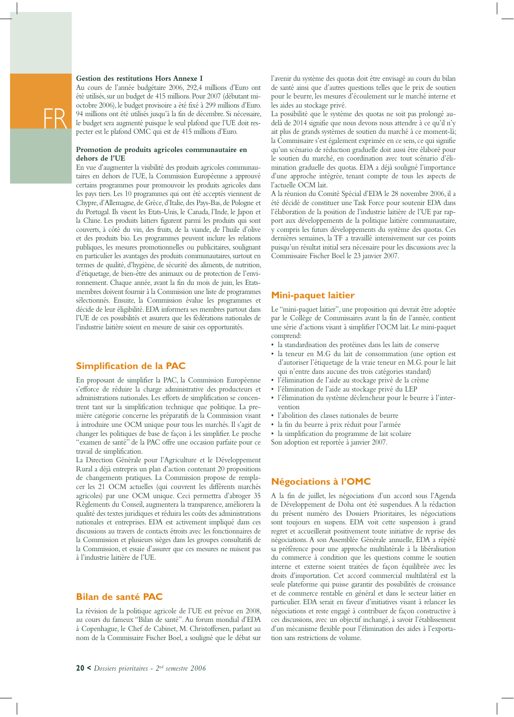#### **Gestion des restitutions Hors Annexe I**

FR

Au cours de l'année budgétaire 2006, 292,4 millions d'Euro ont été utilisés, sur un budget de 415 millions. Pour 2007 (débutant mioctobre 2006), le budget provisoire a été fixé à 299 millions d'Euro. 94 millions ont été utilisés jusqu'à la fin de décembre. Si nécessaire, le budget sera augmenté puisque le seul plafond que l'UE doit respecter est le plafond OMC qui est de 415 millions d'Euro.

#### **Promotion de produits agricoles communautaire en dehors de l'UE**

En vue d'augmenter la visibilité des produits agricoles communautaires en dehors de l'UE, la Commission Européenne a approuvé certains programmes pour promouvoir les produits agricoles dans les pays tiers. Les 10 programmes qui ont été acceptés viennent de Chypre, d'Allemagne, de Grèce, d'Italie, des Pays-Bas, de Pologne et du Portugal. Ils visent les Etats-Unis, le Canada, l'Inde, le Japon et la Chine. Les produits laitiers figurent parmi les produits qui sont couverts, à côté du vin, des fruits, de la viande, de l'huile d'olive et des produits bio. Les programmes peuvent inclure les relations publiques, les mesures promotionnelles ou publicitaires, soulignant en particulier les avantages des produits communautaires, surtout en termes de qualité, d'hygiène, de sécurité des aliments, de nutrition, d'étiquetage, de bien-être des animaux ou de protection de l'environnement. Chaque année, avant la fin du mois de juin, les Etatsmembres doivent fournir à la Commission une liste de programmes sélectionnés. Ensuite, la Commission évalue les programmes et décide de leur éligibilité. EDA informera ses membres partout dans l'UE de ces possibilités et assurera que les fédérations nationales de l'industrie laitière soient en mesure de saisir ces opportunités.

#### **Simplification de la PAC**

En proposant de simplifier la PAC, la Commission Européenne s'efforce de réduire la charge administrative des producteurs et administrations nationales. Les efforts de simplification se concentrent tant sur la simplification technique que politique. La première catégorie concerne les préparatifs de la Commission visant à introduire une OCM unique pour tous les marchés. Il s'agit de changer les politiques de base de façon à les simplifier. Le proche "examen de santé" de la PAC offre une occasion parfaite pour ce travail de simplification.

La Direction Générale pour l'Agriculture et le Développement Rural a déjà entrepris un plan d'action contenant 20 propositions de changements pratiques. La Commission propose de remplacer les 21 OCM actuelles (qui couvrent les différents marchés agricoles) par une OCM unique. Ceci permettra d'abroger 35 Règlements du Conseil, augmentera la transparence, améliorera la qualité des textes juridiques et réduira les coûts des administrations nationales et entreprises. EDA est activement impliqué dans ces discussions au travers de contacts étroits avec les fonctionnaires de la Commission et plusieurs sièges dans les groupes consultatifs de la Commission, et essaie d'assurer que ces mesures ne nuisent pas à l'industrie laitière de l'UE.

#### **Bilan de santé PAC**

La révision de la politique agricole de l'UE est prévue en 2008, au cours du fameux "Bilan de santé". Au forum mondial d'EDA à Copenhague, le Chef de Cabinet, M. Christoffersen, parlant au nom de la Commissaire Fischer Boel, a souligné que le débat sur

l'avenir du système des quotas doit être envisagé au cours du bilan de santé ainsi que d'autres questions telles que le prix de soutien pour le beurre, les mesures d'écoulement sur le marché interne et les aides au stockage privé.

La possibilité que le système des quotas ne soit pas prolongé audelà de 2014 signifie que nous devons nous attendre à ce qu'il n'y ait plus de grands systèmes de soutien du marché à ce moment-là; la Commissaire s'est également exprimée en ce sens, ce qui signifie qu'un scénario de réduction graduelle doit aussi être élaboré pour le soutien du marché, en coordination avec tout scénario d'élimination graduelle des quotas. EDA a déjà souligné l'importance d'une approche intégrée, tenant compte de tous les aspects de l'actuelle OCM lait.

A la réunion du Comité Spécial d'EDA le 28 novembre 2006, il a été décidé de constituer une Task Force pour soutenir EDA dans l'élaboration de la position de l'industrie laitière de l'UE par rapport aux développements de la politique laitière communautaire, y compris les futurs développements du système des quotas. Ces dernières semaines, la TF a travaillé intensivement sur ces points puisqu'un résultat initial sera nécessaire pour les discussions avec la Commissaire Fischer Boel le 23 janvier 2007.

#### **Mini-paquet laitier**

Le "mini-paquet laitier", une proposition qui devrait être adoptée par le Collège de Commissaires avant la fin de l'année, contient une série d'actions visant à simplifier l'OCM lait. Le mini-paquet comprend:

- la standardisation des protéines dans les laits de conserve
- la teneur en M.G du lait de consommation (une option est d'autoriser l'étiquetage de la vraie teneur en M.G. pour le lait qui n'entre dans aucune des trois catégories standard)
- l'élimination de l'aide au stockage privé de la crème
- l'élimination de l'aide au stockage privé du LEP
- l'élimination du système déclencheur pour le beurre à l'intervention
- l'abolition des classes nationales de beurre
- la fin du beurre à prix réduit pour l'armée
- la simplification du programme de lait scolaire

Son adoption est reportée à janvier 2007.

#### **Négociations à l'OMC**

A la fin de juillet, les négociations d'un accord sous l'Agenda de Développement de Doha ont été suspendues. A la rédaction du présent numéro des Dossiers Prioritaires, les négociations sont toujours en suspens. EDA voit cette suspension à grand regret et accueillerait positivement toute initiative de reprise des négociations. A son Assemblée Générale annuelle, EDA a répété sa préférence pour une approche multilatérale à la libéralisation du commerce à condition que les questions comme le soutien interne et externe soient traitées de façon équilibrée avec les droits d'importation. Cet accord commercial multilatéral est la seule plateforme qui puisse garantir des possibilités de croissance et de commerce rentable en général et dans le secteur laitier en particulier. EDA serait en faveur d'initiatives visant à relancer les négociations et reste engagé à contribuer de façon constructive à ces discussions, avec un objectif inchangé, à savoir l'établissement d'un mécanisme flexible pour l'élimination des aides à l'exportation sans restrictions de volume.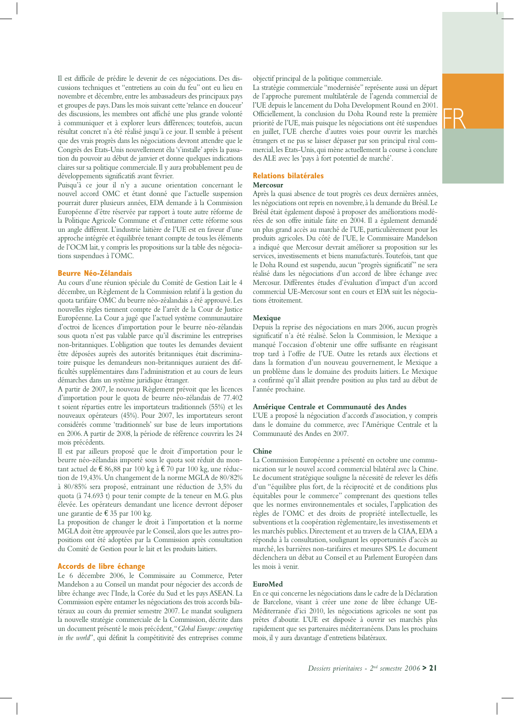Il est difficile de prédire le devenir de ces négociations. Des discussions techniques et "entretiens au coin du feu" ont eu lieu en novembre et décembre, entre les ambassadeurs des principaux pays et groupes de pays. Dans les mois suivant cette 'relance en douceur' des discussions, les membres ont affiché une plus grande volonté à communiquer et à explorer leurs différences; toutefois, aucun résultat concret n'a été réalisé jusqu'à ce jour. Il semble à présent que des vrais progrès dans les négociations devront attendre que le Congrès des Etats-Unis nouvellement élu 's'installe' après la passation du pouvoir au début de janvier et donne quelques indications claires sur sa politique commerciale. Il y aura probablement peu de développements significatifs avant février.

Puisqu'à ce jour il n'y a aucune orientation concernant le nouvel accord OMC et étant donné que l'actuelle suspension pourrait durer plusieurs années, EDA demande à la Commission Européenne d'être réservée par rapport à toute autre réforme de la Politique Agricole Commune et d'entamer cette réforme sous un angle différent. L'industrie laitière de l'UE est en faveur d'une approche intégrée et équilibrée tenant compte de tous les éléments de l'OCM lait, y compris les propositions sur la table des négociations suspendues à l'OMC.

#### **Beurre Néo-Zélandais**

Au cours d'une réunion spéciale du Comité de Gestion Lait le 4 décembre, un Règlement de la Commission relatif à la gestion du quota tarifaire OMC du beurre néo-zéalandais a été approuvé. Les nouvelles règles tiennent compte de l'arrêt de la Cour de Justice Européenne. La Cour a jugé que l'actuel système communautaire d'octroi de licences d'importation pour le beurre néo-zélandais sous quota n'est pas valable parce qu'il discrimine les entreprises non-britanniques. L'obligation que toutes les demandes devaient être déposées auprès des autorités britanniques était discriminatoire puisque les demandeurs non-britanniques auraient des difficultés supplémentaires dans l'administration et au cours de leurs démarches dans un système juridique étranger.

A partir de 2007, le nouveau Règlement prévoit que les licences d'importation pour le quota de beurre néo-zélandais de 77.402 t soient réparties entre les importateurs traditionnels (55%) et les nouveaux opérateurs (45%). Pour 2007, les importateurs seront considérés comme 'traditionnels' sur base de leurs importations en 2006. A partir de 2008, la période de référence couvrira les 24 mois précédents.

Il est par ailleurs proposé que le droit d'importation pour le beurre néo-zélandais importé sous le quota soit réduit du montant actuel de € 86,88 par 100 kg à € 70 par 100 kg, une réduction de 19,43%. Un changement de la norme MGLA de 80/82% à 80/85% sera proposé, entrainant une réduction de 3,5% du quota (à 74.693 t) pour tenir compte de la teneur en M.G. plus élevée. Les opérateurs demandant une licence devront déposer une garantie de € 35 par 100 kg.

La proposition de changer le droit à l'importation et la norme MGLA doit être approuvée par le Conseil, alors que les autres propositions ont été adoptées par la Commission après consultation du Comité de Gestion pour le lait et les produits laitiers.

#### **Accords de libre échange**

Le 6 décembre 2006, le Commissaire au Commerce, Peter Mandelson a au Conseil un mandat pour négocier des accords de libre échange avec l'Inde, la Corée du Sud et les pays ASEAN. La Commission espère entamer les négociations des trois accords bilatéraux au cours du premier semestre 2007. Le mandat soulignera la nouvelle stratégie commerciale de la Commission, décrite dans un document présenté le mois précédent, "*Global Europe: competing in the world*", qui définit la compétitivité des entreprises comme

objectif principal de la politique commerciale.

La stratégie commerciale "modernisée" représente aussi un départ de l'approche purement multilatérale de l'agenda commercial de l'UE depuis le lancement du Doha Development Round en 2001. Officiellement, la conclusion du Doha Round reste la première priorité de l'UE, mais puisque les négociations ont été suspendues en juillet, l'UE cherche d'autres voies pour ouvrir les marchés étrangers et ne pas se laisser dépasser par son principal rival commercial, les Etats-Unis, qui mène actuellement la course à conclure des ALE avec les 'pays à fort potentiel de marché'.

#### **Relations bilatérales**

#### **Mercosur**

Après la quasi absence de tout progrès ces deux dernières années, les négociations ont repris en novembre, à la demande du Brésil. Le Brésil était également disposé à proposer des améliorations modérées de son offre initiale faite en 2004. Il a également demandé un plus grand accès au marché de l'UE, particulièrement pour les produits agricoles. Du côté de l'UE, le Commissaire Mandelson a indiqué que Mercosur devrait améliorer sa proposition sur les services, investissements et biens manufacturés. Toutefois, tant que le Doha Round est suspendu, aucun "progrès significatif" ne sera réalisé dans les négociations d'un accord de libre échange avec Mercosur. Différentes études d'évaluation d'impact d'un accord commercial UE-Mercosur sont en cours et EDA suit les négociations étroitement.

#### **Mexique**

Depuis la reprise des négociations en mars 2006, aucun progrès significatif n'a été réalisé. Selon la Commission, le Mexique a manqué l'occasion d'obtenir une offre suffisante en réagissant trop tard à l'offre de l'UE. Outre les retards aux élections et dans la formation d'un nouveau gouvernement, le Mexique a un problème dans le domaine des produits laitiers. Le Mexique a confirmé qu'il allait prendre position au plus tard au début de l'année prochaine.

#### **Amérique Centrale et Communauté des Andes**

L'UE a proposé la négociation d'accords d'association, y compris dans le domaine du commerce, avec l'Amérique Centrale et la Communauté des Andes en 2007.

#### **Chine**

La Commission Européenne a présenté en octobre une communication sur le nouvel accord commercial bilatéral avec la Chine. Le document stratégique souligne la nécessité de relever les défis d'un "équilibre plus fort, de la réciprocité et de conditions plus équitables pour le commerce" comprenant des questions telles que les normes environnementales et sociales, l'application des règles de l'OMC et des droits de propriété intellectuelle, les subventions et la coopération règlementaire, les investissements et les marchés publics. Directement et au travers de la CIAA, EDA a répondu à la consultation, soulignant les opportunités d'accès au marché, les barrières non-tarifaires et mesures SPS. Le document déclenchera un débat au Conseil et au Parlement Européen dans les mois à venir.

#### **EuroMed**

En ce qui concerne les négociations dans le cadre de la Déclaration de Barcelone, visant à créer une zone de libre échange UE-Méditerranée d'ici 2010, les négociations agricoles ne sont pas prêtes d'aboutir. L'UE est disposée à ouvrir ses marchés plus rapidement que ses partenaires méditerranéens. Dans les prochains mois, il y aura davantage d'entretiens bilatéraux.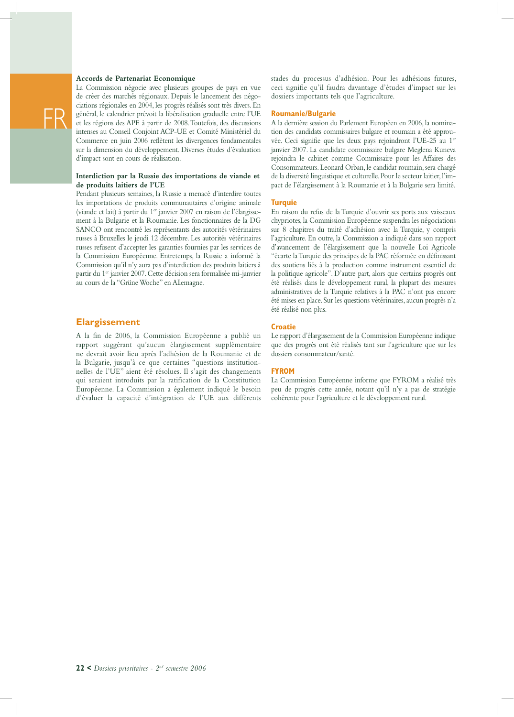#### **Accords de Partenariat Economique**

FR

La Commission négocie avec plusieurs groupes de pays en vue de créer des marchés régionaux. Depuis le lancement des négociations régionales en 2004, les progrès réalisés sont très divers. En général, le calendrier prévoit la libéralisation graduelle entre l'UE et les régions des APE à partir de 2008. Toutefois, des discussions intenses au Conseil Conjoint ACP-UE et Comité Ministériel du Commerce en juin 2006 reflètent les divergences fondamentales sur la dimension du développement. Diverses études d'évaluation d'impact sont en cours de réalisation.

#### **Interdiction par la Russie des importations de viande et de produits laitiers de l'UE**

Pendant plusieurs semaines, la Russie a menacé d'interdire toutes les importations de produits communautaires d'origine animale (viande et lait) à partir du 1<sup>er</sup> janvier 2007 en raison de l'élargissement à la Bulgarie et la Roumanie. Les fonctionnaires de la DG SANCO ont rencontré les représentants des autorités vétérinaires russes à Bruxelles le jeudi 12 décembre. Les autorités vétérinaires russes refusent d'accepter les garanties fournies par les services de la Commission Européenne. Entretemps, la Russie a informé la Commission qu'il n'y aura pas d'interdiction des produits laitiers à partir du 1<sup>er</sup> janvier 2007. Cette décision sera formalisée mi-janvier au cours de la "Grüne Woche" en Allemagne.

#### **Elargissement**

A la fin de 2006, la Commission Européenne a publié un rapport suggérant qu'aucun élargissement supplémentaire ne devrait avoir lieu après l'adhésion de la Roumanie et de la Bulgarie, jusqu'à ce que certaines "questions institutionnelles de l'UE" aient été résolues. Il s'agit des changements qui seraient introduits par la ratification de la Constitution Européenne. La Commission a également indiqué le besoin d'évaluer la capacité d'intégration de l'UE aux différents

stades du processus d'adhésion. Pour les adhésions futures, ceci signifie qu'il faudra davantage d'études d'impact sur les dossiers importants tels que l'agriculture.

#### **Roumanie/Bulgarie**

A la dernière session du Parlement Européen en 2006, la nomination des candidats commissaires bulgare et roumain a été approuvée. Ceci signifie que les deux pays rejoindront l'UE-25 au 1er janvier 2007. La candidate commissaire bulgare Meglena Kuneva rejoindra le cabinet comme Commissaire pour les Affaires des Consommateurs. Leonard Orban, le candidat roumain, sera chargé de la diversité linguistique et culturelle. Pour le secteur laitier, l'impact de l'élargissement à la Roumanie et à la Bulgarie sera limité.

#### **Turquie**

En raison du refus de la Turquie d'ouvrir ses ports aux vaisseaux chypriotes, la Commission Européenne suspendra les négociations sur 8 chapitres du traité d'adhésion avec la Turquie, y compris l'agriculture. En outre, la Commission a indiqué dans son rapport d'avancement de l'élargissement que la nouvelle Loi Agricole "écarte la Turquie des principes de la PAC réformée en définissant des soutiens liés à la production comme instrument essentiel de la politique agricole". D'autre part, alors que certains progrès ont été réalisés dans le développement rural, la plupart des mesures administratives de la Turquie relatives à la PAC n'ont pas encore été mises en place. Sur les questions vétérinaires, aucun progrès n'a été réalisé non plus.

#### **Croatie**

Le rapport d'élargissement de la Commission Européenne indique que des progrès ont été réalisés tant sur l'agriculture que sur les dossiers consommateur/santé.

#### **FYROM**

La Commission Européenne informe que FYROM a réalisé très peu de progrès cette année, notant qu'il n'y a pas de stratégie cohérente pour l'agriculture et le développement rural.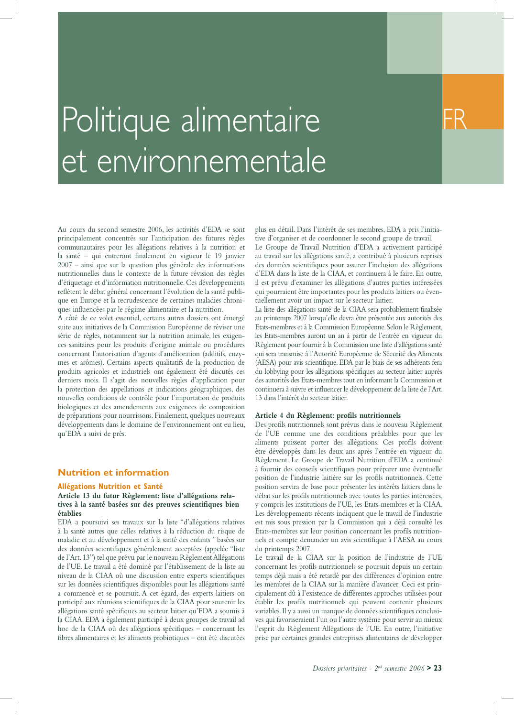

## Politique alimentaire et environnementale

Au cours du second semestre 2006, les activités d'EDA se sont principalement concentrés sur l'anticipation des futures règles communautaires pour les allégations relatives à la nutrition et la santé – qui entreront finalement en vigueur le 19 janvier 2007 – ainsi que sur la question plus générale des informations nutritionnelles dans le contexte de la future révision des règles d'étiquetage et d'information nutritionnelle. Ces développements reflètent le débat général concernant l'évolution de la santé publique en Europe et la recrudescence de certaines maladies chroniques influencées par le régime alimentaire et la nutrition.

A côté de ce volet essentiel, certains autres dossiers ont émergé suite aux initiatives de la Commission Européenne de réviser une série de règles, notamment sur la nutrition animale, les exigences sanitaires pour les produits d'origine animale ou procédures concernant l'autorisation d'agents d'amélioration (additifs, enzymes et arômes). Certains aspects qualitatifs de la production de produits agricoles et industriels ont également été discutés ces derniers mois. Il s'agit des nouvelles règles d'application pour la protection des appellations et indications géographiques, des nouvelles conditions de contrôle pour l'importation de produits biologiques et des amendements aux exigences de composition de préparations pour nourrissons. Finalement, quelques nouveaux développements dans le domaine de l'environnement ont eu lieu, qu'EDA a suivi de près.

#### **Nutrition et information**

#### **Allégations Nutrition et Santé**

#### **Article 13 du futur Règlement: liste d'allégations relatives à la santé basées sur des preuves scientifiques bien établies**

EDA a poursuivi ses travaux sur la liste "d'allégations relatives à la santé autres que celles relatives à la réduction du risque de maladie et au développement et à la santé des enfants " basées sur des données scientifiques généralement acceptées (appelée "liste de l'Art. 13") tel que prévu par le nouveau Règlement Allégations de l'UE. Le travail a été dominé par l'établissement de la liste au niveau de la CIAA où une discussion entre experts scientifiques sur les données scientifiques disponibles pour les allégations santé a commencé et se poursuit. A cet égard, des experts laitiers on participé aux réunions scientifiques de la CIAA pour soutenir les allégations santé spécifiques au secteur laitier qu'EDA a soumis à la CIAA. EDA a également participé à deux groupes de travail ad hoc de la CIAA où des allégations spécifiques – concernant les fibres alimentaires et les aliments probiotiques – ont été discutées

plus en détail. Dans l'intérêt de ses membres, EDA a pris l'initiative d'organiser et de coordonner le second groupe de travail.

Le Groupe de Travail Nutrition d'EDA a activement participé au travail sur les allégations santé, a contribué à plusieurs reprises des données scientifiques pour assurer l'inclusion des allégations d'EDA dans la liste de la CIAA, et continuera à le faire. En outre, il est prévu d'examiner les allégations d'autres parties intéressées qui pourraient être importantes pour les produits laitiers ou éventuellement avoir un impact sur le secteur laitier.

La liste des allégations santé de la CIAA sera probablement finalisée au printemps 2007 lorsqu'elle devra être présentée aux autorités des Etats-membres et à la Commission Européenne. Selon le Règlement, les Etats-membres auront un an à partir de l'entrée en vigueur du Règlement pour fournir à la Commission une liste d'allégations santé qui sera transmise à l'Autorité Européenne de Sécurité des Aliments (AESA) pour avis scientifique. EDA par le biais de ses adhérents fera du lobbying pour les allégations spécifiques au secteur laitier auprès des autorités des Etats-membres tout en informant la Commission et continuera à suivre et influencer le développement de la liste de l'Art. 13 dans l'intérêt du secteur laitier.

#### **Article 4 du Règlement: profils nutritionnels**

Des profils nutritionnels sont prévus dans le nouveau Règlement de l'UE comme une des conditions préalables pour que les aliments puissent porter des allégations. Ces profils doivent être développés dans les deux ans après l'entrée en vigueur du Règlement. Le Groupe de Travail Nutrition d'EDA a continué à fournir des conseils scientifiques pour préparer une éventuelle position de l'industrie laitière sur les profils nutritionnels. Cette position servira de base pour présenter les intérêts laitiers dans le débat sur les profils nutritionnels avec toutes les parties intéressées, y compris les institutions de l'UE, les Etats-membres et la CIAA. Les développements récents indiquent que le travail de l'industrie est mis sous pression par la Commission qui a déjà consulté les Etats-membres sur leur position concernant les profils nutritionnels et compte demander un avis scientifique à l'AESA au cours du printemps 2007.

Le travail de la CIAA sur la position de l'industrie de l'UE concernant les profils nutritionnels se poursuit depuis un certain temps déjà mais a été retardé par des différences d'opinion entre les membres de la CIAA sur la manière d'avancer. Ceci est principalement dû à l'existence de différentes approches utilisées pour établir les profils nutritionnels qui peuvent contenir plusieurs variables. Il y a aussi un manque de données scientifiques conclusives qui favoriseraient l'un ou l'autre système pour servir au mieux l'esprit du Règlement Allégations de l'UE. En outre, l'initiative prise par certaines grandes entreprises alimentaires de développer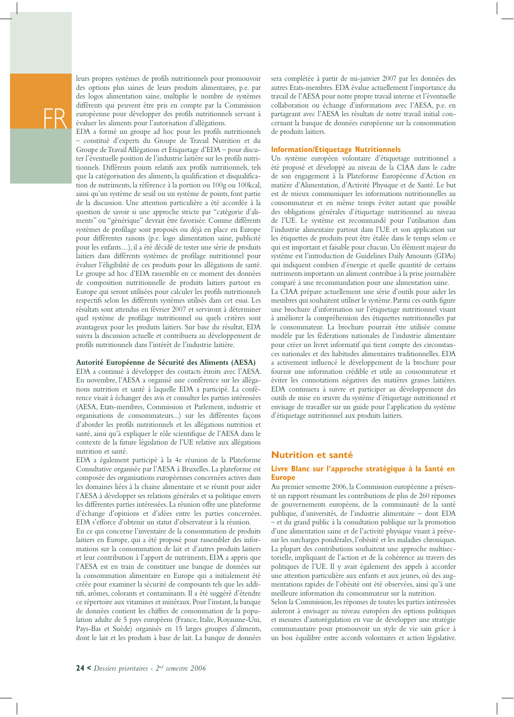leurs propres systèmes de profils nutritionnels pour promouvoir des options plus saines de leurs produits alimentaires, p.e. par des logos alimentation saine, multiplie le nombre de systèmes différents qui peuvent être pris en compte par la Commission européenne pour développer des profils nutritionnels servant à évaluer les aliments pour l'autorisation d'allégations.

EDA a formé un groupe ad hoc pour les profils nutritionnels – constitué d'experts du Groupe de Travail Nutrition et du Groupe de Travail Allégations et Etiquetage d'EDA – pour discuter l'éventuelle position de l'industrie laitière sur les profils nutritionnels. Différents points relatifs aux profils nutritionnels, tels que la catégorisation des aliments, la qualification et disqualification de nutriments, la référence à la portion ou 100g ou 100kcal, ainsi qu'un système de seuil ou un système de points, font partie de la discussion. Une attention particulière a été accordée à la question de savoir si une approche stricte par "catégorie d'aliments" ou "générique" devrait être favorisée. Comme différents systèmes de profilage sont proposés ou déjà en place en Europe pour différentes raisons (p.e. logo alimentation saine, publicité pour les enfants…), il a été décidé de tester une série de produits laitiers dans différents systèmes de profilage nutritionnel pour évaluer l'éligibilité de ces produits pour les allégations de santé. Le groupe ad hoc d'EDA rassemble en ce moment des données de composition nutritionnelle de produits laitiers partout en Europe qui seront utilisées pour calculer les profils nutritionnels respectifs selon les différents systèmes utilisés dans cet essai. Les résultats sont attendus en février 2007 et serviront à déterminer quel système de profilage nutritionnel ou quels critères sont avantageux pour les produits laitiers. Sur base du résultat, EDA suivra la discussion actuelle et contribuera au développement de profils nutritionnels dans l'intérêt de l'industrie laitière.

#### **Autorité Européenne de Sécurité des Aliments (AESA)**

EDA a continué à développer des contacts étroits avec l'AESA. En novembre, l'AESA a organisé une conférence sur les allégations nutrition et santé à laquelle EDA a participé. La conférence visait à échanger des avis et consulter les parties intéressées (AESA, Etats-membres, Commission et Parlement, industrie et organisations de consommateurs...) sur les différentes façons d'aborder les profils nutritionnels et les allégations nutrition et santé, ainsi qu'à expliquer le rôle scientifique de l'AESA dans le contexte de la future législation de l'UE relative aux allégations nutrition et santé.

EDA a également participé à la 4e réunion de la Plateforme Consultative organisée par l'AESA à Bruxelles. La plateforme est composée des organisations européennes concernées actives dans les domaines liées à la chaine alimentaire et se réunit pour aider l'AESA à développer ses relations générales et sa politique envers les différentes parties intéressées. La réunion offre une plateforme d'échange d'opinions et d'idées entre les parties concernées. EDA s'efforce d'obtenir un statut d'observateur à la réunion.

En ce qui concerne l'inventaire de la consommation de produits laitiers en Europe, qui a été proposé pour rassembler des informations sur la consommation de lait et d'autres produits laitiers et leur contribution à l'apport de nutriments, EDA a appris que l'AESA est en train de constituer une banque de données sur la consommation alimentaire en Europe qui a initialement été créée pour examiner la sécurité de composants tels que les additifs, arômes, colorants et contaminants. Il a été suggéré d'étendre ce répertoire aux vitamines et minéraux. Pour l'instant, la banque de données contient les chiffres de consommation de la population adulte de 5 pays européens (France, Italie, Royaume-Uni, Pays-Bas et Suède) organisés en 15 larges groupes d'aliments, dont le lait et les produits à base de lait. La banque de données

sera complétée à partir de mi-janvier 2007 par les données des autres Etats-membres. EDA évalue actuellement l'importance du travail de l'AESA pour notre propre travail interne et l'éventuelle collaboration ou échange d'informations avec l'AESA, p.e. en partageant avec l'AESA les résultats de notre travail initial concernant la banque de données européenne sur la consommation de produits laitiers.

#### **Information/Etiquetage Nutritionnels**

Un système européen volontaire d'étiquetage nutritionnel a été proposé et développé au niveau de la CIAA dans le cadre de son engagement à la Plateforme Européenne d'Action en matière d'Alimentation, d'Activité Physique et de Santé. Le but est de mieux communiquer les informations nutritionnelles au consommateur et en même temps éviter autant que possible des obligations générales d'étiquetage nutritionnel au niveau de l'UE. Le système est recommandé pour l'utilisation dans l'industrie alimentaire partout dans l'UE et son application sur les étiquettes de produits peut être étalée dans le temps selon ce qui est important et faisable pour chacun. Un élément majeur du système est l'introduction de Guidelines Daily Amounts (GDAs) qui indiquent combien d'énergie et quelle quantité de certains nutriments importants un aliment contribue à la prise journalière comparé à une recommandation pour une alimentation saine.

La CIAA prépare actuellement une série d'outils pour aider les membres qui souhaitent utiliser le système. Parmi ces outils figure une brochure d'information sur l'étiquetage nutritionnel visant à améliorer la compréhension des étiquettes nutritionnelles par le consommateur. La brochure pourrait être utilisée comme modèle par les fédérations nationales de l'industrie alimentaire pour créer un livret informatif qui tient compte des circonstances nationales et des habitudes alimentaires traditionnelles. EDA a activement influencé le développement de la brochure pour fournir une information crédible et utile au consommateur et éviter les connotations négatives des matières grasses laitières. EDA continuera à suivre et participer au développement des outils de mise en œuvre du système d'étiquetage nutritionnel et envisage de travailler sur un guide pour l'application du système d'étiquetage nutritionnel aux produits laitiers.

#### **Nutrition et santé**

#### **Livre Blanc sur l'approche stratégique à la Santé en Europe**

Au premier semestre 2006, la Commission européenne a présenté un rapport résumant les contributions de plus de 260 réponses de gouvernements européens, de la communauté de la santé publique, d'universités, de l'industrie alimentaire – dont EDA – et du grand public à la consultation publique sur la promotion d'une alimentation saine et de l'activité physique visant à prévenir les surcharges pondérales, l'obésité et les maladies chroniques. La plupart des contributions souhaitent une approche multisectorielle, impliquant de l'action et de la cohérence au travers des politiques de l'UE. Il y avait également des appels à accorder une attention particulière aux enfants et aux jeunes, où des augmentations rapides de l'obésité ont été observées, ainsi qu'à une meilleure information du consommateur sur la nutrition.

Selon la Commission, les réponses de toutes les parties intéressées aideront à envisager au niveau européen des options politiques et mesures d'autorégulation en vue de développer une stratégie communautaire pour promouvoir un style de vie sain grâce à un bon équilibre entre accords volontaires et action législative.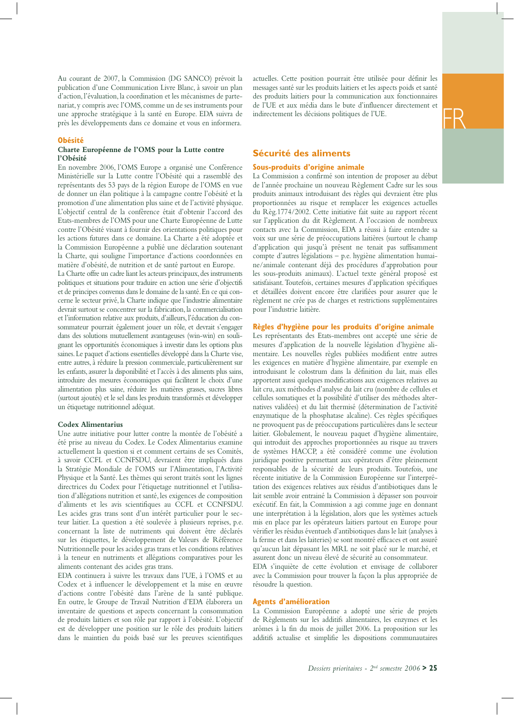Au courant de 2007, la Commission (DG SANCO) prévoit la publication d'une Communication Livre Blanc, à savoir un plan d'action, l'évaluation, la coordination et les mécanismes de partenariat, y compris avec l'OMS, comme un de ses instruments pour une approche stratégique à la santé en Europe. EDA suivra de près les développements dans ce domaine et vous en informera.

#### **Obésité**

#### **Charte Européenne de l'OMS pour la Lutte contre l'Obésité**

En novembre 2006, l'OMS Europe a organisé une Conférence Ministérielle sur la Lutte contre l'Obésité qui a rassemblé des représentants des 53 pays de la région Europe de l'OMS en vue de donner un élan politique à la campagne contre l'obésité et la promotion d'une alimentation plus saine et de l'activité physique. L'objectif central de la conférence était d'obtenir l'accord des Etats-membres de l'OMS pour une Charte Européenne de Lutte contre l'Obésité visant à fournir des orientations politiques pour les actions futures dans ce domaine. La Charte a été adoptée et la Commission Européenne a publié une déclaration soutenant la Charte, qui souligne l'importance d'actions coordonnées en matière d'obésité, de nutrition et de santé partout en Europe.

La Charte offre un cadre liant les acteurs principaux, des instruments politiques et situations pour traduire en action une série d'objectifs et de principes convenus dans le domaine de la santé. En ce qui concerne le secteur privé, la Charte indique que l'industrie alimentaire devrait surtout se concentrer sur la fabrication, la commercialisation et l'information relative aux produits, d'ailleurs, l'éducation du consommateur pourrait également jouer un rôle, et devrait s'engager dans des solutions mutuellement avantageuses (win-win) en soulignant les opportunités économiques à investir dans les options plus saines. Le paquet d'actions essentielles développé dans la Charte vise, entre autres, à réduire la pression commerciale, particulièrement sur les enfants, assurer la disponibilité et l'accès à des aliments plus sains, introduire des mesures économiques qui facilitent le choix d'une alimentation plus saine, réduire les matières grasses, sucres libres (surtout ajoutés) et le sel dans les produits transformés et développer un étiquetage nutritionnel adéquat.

#### **Codex Alimentarius**

Une autre initiative pour lutter contre la montée de l'obésité a été prise au niveau du Codex. Le Codex Alimentarius examine actuellement la question si et comment certains de ses Comités, à savoir CCFL et CCNFSDU, devraient être impliqués dans la Stratégie Mondiale de l'OMS sur l'Alimentation, l'Activité Physique et la Santé. Les thèmes qui seront traités sont les lignes directrices du Codex pour l'étiquetage nutritionnel et l'utilisation d'allégations nutrition et santé, les exigences de composition d'aliments et les avis scientifiques au CCFL et CCNFSDU. Les acides gras trans sont d'un intérêt particulier pour le secteur laitier. La question a été soulevée à plusieurs reprises, p.e. concernant la liste de nutriments qui doivent être déclarés sur les étiquettes, le développement de Valeurs de Référence Nutritionnelle pour les acides gras trans et les conditions relatives à la teneur en nutriments et allégations comparatives pour les aliments contenant des acides gras trans.

EDA continuera à suivre les travaux dans l'UE, à l'OMS et au Codex et à influencer le développement et la mise en œuvre d'actions contre l'obésité dans l'arène de la santé publique. En outre, le Groupe de Travail Nutrition d'EDA élaborera un inventaire de questions et aspects concernant la consommation de produits laitiers et son rôle par rapport à l'obésité. L'objectif est de développer une position sur le rôle des produits laitiers dans le maintien du poids basé sur les preuves scientifiques

actuelles. Cette position pourrait être utilisée pour définir les messages santé sur les produits laitiers et les aspects poids et santé des produits laitiers pour la communication aux fonctionnaires de l'UE et aux média dans le bute d'influencer directement et indirectement les décisions politiques de l'UE.

#### **Sécurité des aliments**

#### **Sous-produits d'origine animale**

La Commission a confirmé son intention de proposer au début de l'année prochaine un nouveau Règlement Cadre sur les sous produits animaux introduisant des règles qui devraient être plus proportionnées au risque et remplacer les exigences actuelles du Règ.1774/2002. Cette initiative fait suite au rapport récent sur l'application du dit Règlement. A l'occasion de nombreux contacts avec la Commission, EDA a réussi à faire entendre sa voix sur une série de préoccupations laitières (surtout le champ d'application qui jusqu'à présent ne tenait pas suffisamment compte d'autres législations – p.e. hygiène alimentation humaine/animale contenant déjà des procédures d'approbation pour les sous-produits animaux). L'actuel texte général proposé est satisfaisant. Toutefois, certaines mesures d'application spécifiques et détaillées doivent encore être clarifiées pour assurer que le règlement ne crée pas de charges et restrictions supplémentaires pour l'industrie laitière.

#### **Règles d'hygiène pour les produits d'origine animale**

Les représentants des Etats-membres ont accepté une série de mesures d'application de la nouvelle législation d'hygiène alimentaire. Les nouvelles règles publiées modifient entre autres les exigences en matière d'hygiène alimentaire, par exemple en introduisant le colostrum dans la définition du lait, mais elles apportent aussi quelques modifications aux exigences relatives au lait cru, aux méthodes d'analyse du lait cru (nombre de cellules et cellules somatiques et la possibilité d'utiliser des méthodes alternatives validées) et du lait thermisé (détermination de l'activité enzymatique de la phosphatase alcaline). Ces règles spécifiques ne provoquent pas de préoccupations particulières dans le secteur laitier. Globalement, le nouveau paquet d'hygiène alimentaire, qui introduit des approches proportionnées au risque au travers de systèmes HACCP, a été considéré comme une évolution juridique positive permettant aux opérateurs d'être pleinement responsables de la sécurité de leurs produits. Toutefois, une récente initiative de la Commission Européenne sur l'interprétation des exigences relatives aux résidus d'antibiotiques dans le lait semble avoir entrainé la Commission à dépasser son pouvoir exécutif. En fait, la Commission a agi comme juge en donnant une interprétation à la législation, alors que les systèmes actuels mis en place par les opérateurs laitiers partout en Europe pour vérifier les résidus éventuels d'antibiotiques dans le lait (analyses à la ferme et dans les laiteries) se sont montré efficaces et ont assuré qu'aucun lait dépassant les MRL ne soit placé sur le marché, et assurent donc un niveau élevé de sécurité au consommateur. EDA s'inquiète de cette évolution et envisage de collaborer avec la Commission pour trouver la façon la plus appropriée de résoudre la question.

#### **Agents d'amélioration**

La Commission Européenne a adopté une série de projets de Règlements sur les additifs alimentaires, les enzymes et les arômes à la fin du mois de juillet 2006. La proposition sur les additifs actualise et simplifie les dispositions communautaires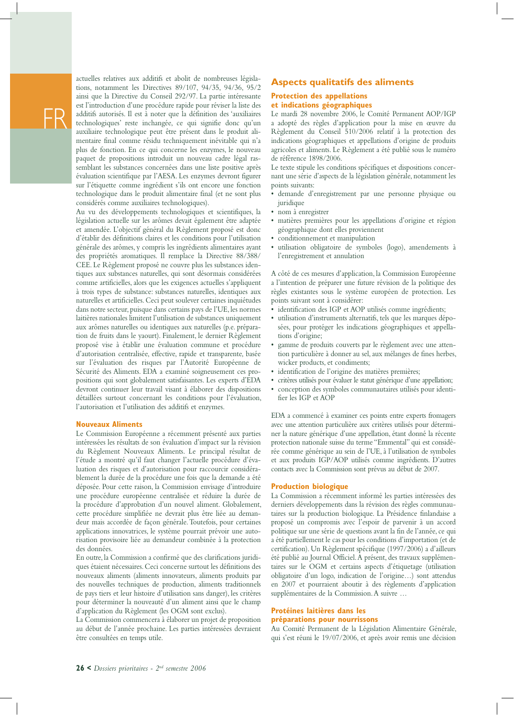actuelles relatives aux additifs et abolit de nombreuses législations, notamment les Directives 89/107, 94/35, 94/36, 95/2 ainsi que la Directive du Conseil 292/97. La partie intéressante est l'introduction d'une procédure rapide pour réviser la liste des additifs autorisés. Il est à noter que la définition des 'auxiliaires technologiques' reste inchangée, ce qui signifie donc qu'un auxiliaire technologique peut être présent dans le produit alimentaire final comme résidu techniquement inévitable qui n'a plus de fonction. En ce qui concerne les enzymes, le nouveau paquet de propositions introduit un nouveau cadre légal rassemblant les substances concernées dans une liste positive après évaluation scientifique par l'AESA. Les enzymes devront figurer sur l'étiquette comme ingrédient s'ils ont encore une fonction technologique dans le produit alimentaire final (et ne sont plus considérés comme auxiliaires technologiques).

Au vu des développements technologiques et scientifiques, la législation actuelle sur les arômes devait également être adaptée et amendée. L'objectif général du Règlement proposé est donc d'établir des définitions claires et les conditions pour l'utilisation générale des arômes, y compris les ingrédients alimentaires ayant des propriétés aromatiques. Il remplace la Directive 88/388/ CEE. Le Règlement proposé ne couvre plus les substances identiques aux substances naturelles, qui sont désormais considérées comme artificielles, alors que les exigences actuelles s'appliquent à trois types de substance: substances naturelles, identiques aux naturelles et artificielles. Ceci peut soulever certaines inquiétudes dans notre secteur, puisque dans certains pays de l'UE, les normes laitières nationales limitent l'utilisation de substances uniquement aux arômes naturelles ou identiques aux naturelles (p.e. préparation de fruits dans le yaourt). Finalement, le dernier Règlement proposé vise à établir une évaluation commune et procédure d'autorisation centralisée, effective, rapide et transparente, basée sur l'évaluation des risques par l'Autorité Européenne de Sécurité des Aliments. EDA a examiné soigneusement ces propositions qui sont globalement satisfaisantes. Les experts d'EDA devront continuer leur travail visant à élaborer des dispositions détaillées surtout concernant les conditions pour l'évaluation, l'autorisation et l'utilisation des additifs et enzymes.

#### **Nouveaux Aliments**

Le Commission Européenne a récemment présenté aux parties intéressées les résultats de son évaluation d'impact sur la révision du Règlement Nouveaux Aliments. Le principal résultat de l'étude a montré qu'il faut changer l'actuelle procédure d'évaluation des risques et d'autorisation pour raccourcir considérablement la durée de la procédure une fois que la demande a été déposée. Pour cette raison, la Commission envisage d'introduire une procédure européenne centralisée et réduire la durée de la procédure d'approbation d'un nouvel aliment. Globalement, cette procédure simplifiée ne devrait plus être liée au demandeur mais accordée de façon générale. Toutefois, pour certaines applications innovatrices, le système pourrait prévoir une autorisation provisoire liée au demandeur combinée à la protection des données.

En outre, la Commission a confirmé que des clarifications juridiques étaient nécessaires. Ceci concerne surtout les définitions des nouveaux aliments (aliments innovateurs, aliments produits par des nouvelles techniques de production, aliments traditionnels de pays tiers et leur histoire d'utilisation sans danger), les critères pour déterminer la nouveauté d'un aliment ainsi que le champ d'application du Règlement (les OGM sont exclus).

La Commission commencera à élaborer un projet de proposition au début de l'année prochaine. Les parties intéressées devraient être consultées en temps utile.

#### **Aspects qualitatifs des aliments**

#### **Protection des appellations et indications géographiques**

Le mardi 28 novembre 2006, le Comité Permanent AOP/IGP a adopté des règles d'application pour la mise en œuvre du Règlement du Conseil 510/2006 relatif à la protection des indications géographiques et appellations d'origine de produits agricoles et aliments. Le Règlement a été publié sous le numéro de référence 1898/2006.

Le texte stipule les conditions spécifiques et dispositions concernant une série d'aspects de la législation générale, notamment les points suivants:

- demande d'enregistrement par une personne physique ou juridique
- nom à enregistrer
- matières premières pour les appellations d'origine et région géographique dont elles proviennent
- conditionnement et manipulation
- utilisation obligatoire de symboles (logo), amendements à l'enregistrement et annulation

A côté de ces mesures d'application, la Commission Européenne a l'intention de préparer une future révision de la politique des règles existantes sous le système européen de protection. Les points suivant sont à considérer:

- identification des IGP et AOP utilisés comme ingrédients;
- utilisation d'instruments alternatifs, tels que les marques déposées, pour protéger les indications géographiques et appellations d'origine;
- gamme de produits couverts par le règlement avec une attention particulière à donner au sel, aux mélanges de fines herbes, wicker products, et condiments;
- identification de l'origine des matières premières;
- critères utilisés pour évaluer le statut générique d'une appellation;
- conception des symboles communautaires utilisés pour identifier les IGP et AOP

EDA a commencé à examiner ces points entre experts fromagers avec une attention particulière aux critères utilisés pour déterminer la nature générique d'une appellation, étant donné la récente protection nationale suisse du terme "Emmental" qui est considérée comme générique au sein de l'UE, à l'utilisation de symboles et aux produits IGP/AOP utilisés comme ingrédients. D'autres contacts avec la Commission sont prévus au début de 2007.

#### **Production biologique**

La Commission a récemment informé les parties intéressées des derniers développements dans la révision des règles communautaires sur la production biologique. La Présidence finlandaise a proposé un compromis avec l'espoir de parvenir à un accord politique sur une série de questions avant la fin de l'année, ce qui a été partiellement le cas pour les conditions d'importation (et de certification). Un Règlement spécifique (1997/2006) a d'ailleurs été publié au Journal Officiel. A présent, des travaux supplémentaires sur le OGM et certains aspects d'étiquetage (utilisation obligatoire d'un logo, indication de l'origine…) sont attendus en 2007 et pourraient aboutir à des règlements d'application supplémentaires de la Commission. A suivre …

#### **Protéines laitières dans les préparations pour nourrissons**

Au Comité Permanent de la Législation Alimentaire Générale, qui s'est réuni le 19/07/2006, et après avoir remis une décision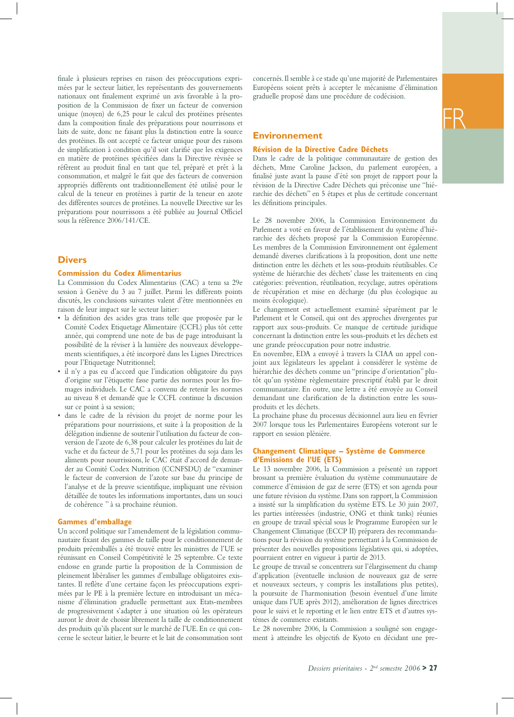finale à plusieurs reprises en raison des préoccupations exprimées par le secteur laitier, les représentants des gouvernements nationaux ont finalement exprimé un avis favorable à la proposition de la Commission de fixer un facteur de conversion unique (moyen) de 6,25 pour le calcul des protéines présentes dans la composition finale des préparations pour nourrissons et laits de suite, donc ne faisant plus la distinction entre la source des protéines. Ils ont accepté ce facteur unique pour des raisons de simplification à condition qu'il soit clarifié que les exigences en matière de protéines spécifiées dans la Directive révisée se réfèrent au produit final en tant que tel, préparé et prêt à la consommation, et malgré le fait que des facteurs de conversion appropriés différents ont traditionnellement été utilisé pour le calcul de la teneur en protéines à partir de la teneur en azote des différentes sources de protéines. La nouvelle Directive sur les préparations pour nourrissons a été publiée au Journal Officiel sous la référence 2006/141/CE.

#### **Divers**

#### **Commission du Codex Alimentarius**

La Commission du Codex Alimentarius (CAC) a tenu sa 29e session à Genève du 3 au 7 juillet. Parmi les différents points discutés, les conclusions suivantes valent d'être mentionnées en raison de leur impact sur le secteur laitier:

- la définition des acides gras trans telle que proposée par le Comité Codex Etiquetage Alimentaire (CCFL) plus tôt cette année, qui comprend une note de bas de page introduisant la possibilité de la réviser à la lumière des nouveaux développements scientifiques, a été incorporé dans les Lignes Directrices pour l'Etiquetage Nutritionnel;
- il n'y a pas eu d'accord que l'indication obligatoire du pays d'origine sur l'étiquette fasse partie des normes pour les fromages individuels. Le CAC a convenu de retenir les normes au niveau 8 et demandé que le CCFL continue la discussion sur ce point à sa session;
- dans le cadre de la révision du projet de norme pour les préparations pour nourrissions, et suite à la proposition de la délégation indienne de soutenir l'utilisation du facteur de conversion de l'azote de 6,38 pour calculer les protéines du lait de vache et du facteur de 5,71 pour les protéines du soja dans les aliments pour nourrissions, le CAC était d'accord de demander au Comité Codex Nutrition (CCNFSDU) de "examiner le facteur de conversion de l'azote sur base du principe de l'analyse et de la preuve scientifique, impliquant une révision détaillée de toutes les informations importantes, dans un souci de cohérence " à sa prochaine réunion.

#### **Gammes d'emballage**

Un accord politique sur l'amendement de la législation communautaire fixant des gammes de taille pour le conditionnement de produits préemballés a été trouvé entre les ministres de l'UE se réunissant en Conseil Compétitivité le 25 septembre. Ce texte endosse en grande partie la proposition de la Commission de pleinement libéraliser les gammes d'emballage obligatoires existantes. Il reflète d'une certaine façon les préoccupations exprimées par le PE à la première lecture en introduisant un mécanisme d'élimination graduelle permettant aux Etats-membres de progressivement s'adapter à une situation où les opérateurs auront le droit de choisir librement la taille de conditionnement des produits qu'ils placent sur le marché de l'UE. En ce qui concerne le secteur laitier, le beurre et le lait de consommation sont concernés. Il semble à ce stade qu'une majorité de Parlementaires Européens soient prêts à accepter le mécanisme d'élimination graduelle proposé dans une procédure de codécision.

#### **Environnement**

#### **Révision de la Directive Cadre Déchets**

Dans le cadre de la politique communautaire de gestion des déchets, Mme Caroline Jackson, du parlement européen, a finalisé juste avant la pause d'été son projet de rapport pour la révision de la Directive Cadre Déchets qui préconise une "hiérarchie des déchets" en 5 étapes et plus de certitude concernant les définitions principales.

Le 28 novembre 2006, la Commission Environnement du Parlement a voté en faveur de l'établissement du système d'hiérarchie des déchets proposé par la Commission Européenne. Les membres de la Commission Environnement ont également demandé diverses clarifications à la proposition, dont une nette distinction entre les déchets et les sous-produits réutilisables. Ce système de hiérarchie des déchets' classe les traitements en cinq catégories: prévention, réutilisation, recyclage, autres opérations de récupération et mise en décharge (du plus écologique au moins écologique).

Le changement est actuellement examiné séparément par le Parlement et le Conseil, qui ont des approches divergentes par rapport aux sous-produits. Ce manque de certitude juridique concernant la distinction entre les sous-produits et les déchets est une grande préoccupation pour notre industrie.

En novembre, EDA a envoyé à travers la CIAA un appel conjoint aux législateurs les appelant à considérer le système de hiérarchie des déchets comme un "principe d'orientation" plutôt qu'un système règlementaire prescriptif établi par le droit communautaire. En outre, une lettre a été envoyée au Conseil demandant une clarification de la distinction entre les sousproduits et les déchets.

La prochaine phase du processus décisionnel aura lieu en février 2007 lorsque tous les Parlementaires Européens voteront sur le rapport en session plénière.

#### **Changement Climatique – Système de Commerce d'Emissions de l'UE (ETS)**

Le 13 novembre 2006, la Commission a présenté un rapport brossant sa première évaluation du système communautaire de commerce d'émission de gaz de serre (ETS) et son agenda pour une future révision du système. Dans son rapport, la Commission a insisté sur la simplification du système ETS. Le 30 juin 2007, les parties intéressées (industrie, ONG et think tanks) réunies en groupe de travail spécial sous le Programme Européen sur le Changement Climatique (ECCP II) préparera des recommandations pour la révision du système permettant à la Commission de présenter des nouvelles propositions législatives qui, si adoptées, pourraient entrer en vigueur à partir de 2013.

Le groupe de travail se concentrera sur l'élargissement du champ d'application (éventuelle inclusion de nouveaux gaz de serre et nouveaux secteurs, y compris les installations plus petites), la poursuite de l'harmonisation (besoin éventuel d'une limite unique dans l'UE après 2012), amélioration de lignes directrices pour le suivi et le reporting et le lien entre ETS et d'autres systèmes de commerce existants.

Le 28 novembre 2006, la Commission a souligné son engagement à atteindre les objectifs de Kyoto en décidant une pre-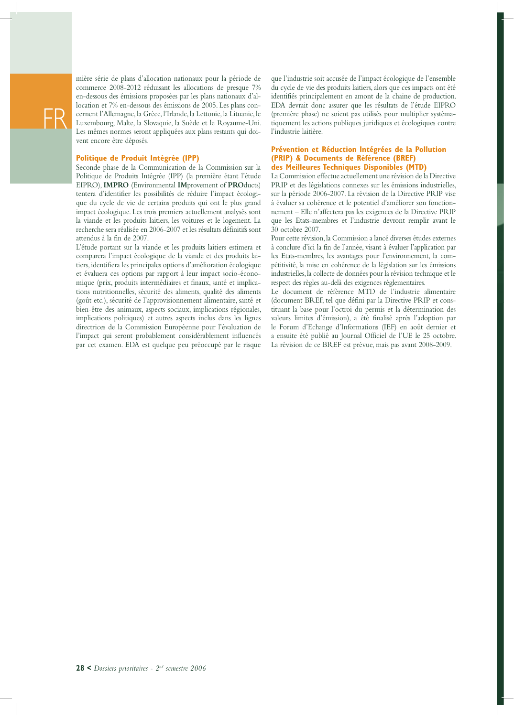

mière série de plans d'allocation nationaux pour la période de commerce 2008-2012 réduisant les allocations de presque 7% en-dessous des émissions proposées par les plans nationaux d'allocation et 7% en-dessous des émissions de 2005. Les plans concernent l'Allemagne, la Grèce, l'Irlande, la Lettonie, la Lituanie, le Luxembourg, Malte, la Slovaquie, la Suède et le Royaume-Uni. Les mêmes normes seront appliquées aux plans restants qui doivent encore être déposés.

#### **Politique de Produit Intégrée (IPP)**

Seconde phase de la Communication de la Commission sur la Politique de Produits Intégrée (IPP) (la première étant l'étude EIPRO), **IMPRO** (Environmental **IM**provement of **PRO**ducts) tentera d'identifier les possibilités de réduire l'impact écologique du cycle de vie de certains produits qui ont le plus grand impact écologique. Les trois premiers actuellement analysés sont la viande et les produits laitiers, les voitures et le logement. La recherche sera réalisée en 2006-2007 et les résultats définitifs sont attendus à la fin de 2007.

L'étude portant sur la viande et les produits laitiers estimera et comparera l'impact écologique de la viande et des produits laitiers, identifiera les principales options d'amélioration écologique et évaluera ces options par rapport à leur impact socio-économique (prix, produits intermédiaires et finaux, santé et implications nutritionnelles, sécurité des aliments, qualité des aliments (goût etc.), sécurité de l'approvisionnement alimentaire, santé et bien-être des animaux, aspects sociaux, implications régionales, implications politiques) et autres aspects inclus dans les lignes directrices de la Commission Européenne pour l'évaluation de l'impact qui seront probablement considérablement influencés par cet examen. EDA est quelque peu préoccupé par le risque

que l'industrie soit accusée de l'impact écologique de l'ensemble du cycle de vie des produits laitiers, alors que ces impacts ont été identifiés principalement en amont de la chaine de production. EDA devrait donc assurer que les résultats de l'étude EIPRO (première phase) ne soient pas utilisés pour multiplier systématiquement les actions publiques juridiques et écologiques contre l'industrie laitière.

#### **Prévention et Réduction Intégrées de la Pollution (PRIP) & Documents de Référence (BREF) des Meilleures Techniques Disponibles (MTD)**

La Commission effectue actuellement une révision de la Directive PRIP et des législations connexes sur les émissions industrielles, sur la période 2006-2007. La révision de la Directive PRIP vise à évaluer sa cohérence et le potentiel d'améliorer son fonctionnement – Elle n'affectera pas les exigences de la Directive PRIP que les Etats-membres et l'industrie devront remplir avant le 30 octobre 2007.

Pour cette révision, la Commission a lancé diverses études externes à conclure d'ici la fin de l'année, visant à évaluer l'application par les Etats-membres, les avantages pour l'environnement, la compétitivité, la mise en cohérence de la législation sur les émissions industrielles, la collecte de données pour la révision technique et le respect des règles au-delà des exigences règlementaires.

Le document de référence MTD de l'industrie alimentaire (document BREF, tel que défini par la Directive PRIP et constituant la base pour l'octroi du permis et la détermination des valeurs limites d'émission), a été finalisé après l'adoption par le Forum d'Echange d'Informations (IEF) en août dernier et a ensuite été publié au Journal Officiel de l'UE le 25 octobre. La révision de ce BREF est prévue, mais pas avant 2008-2009.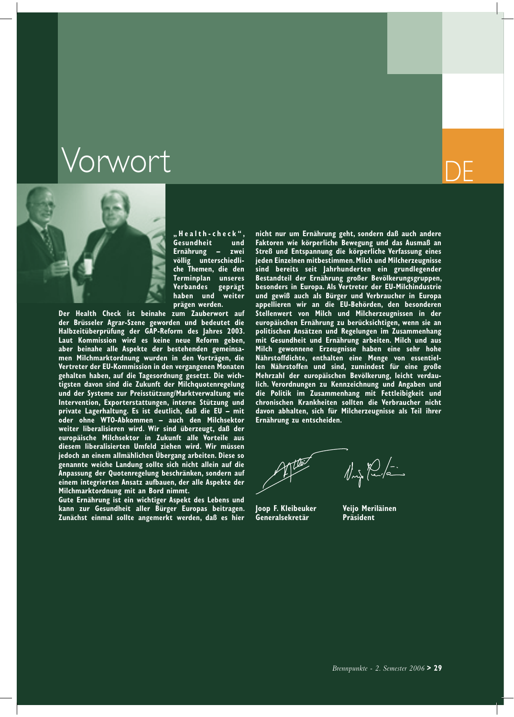### **Vorwort**



**" H e a l t h - c h e c k " , Gesundheit und Ernährung – zwei völlig unterschiedliche Themen, die den Terminplan unseres Verbandes geprägt haben und weiter prägen werden.**

**Der Health Check ist beinahe zum Zauberwort auf der Brüsseler Agrar-Szene geworden und bedeutet die Halbzeitüberprüfung der GAP-Reform des Jahres 2003. Laut Kommission wird es keine neue Reform geben, aber beinahe alle Aspekte der bestehenden gemeinsamen Milchmarktordnung wurden in den Vorträgen, die Vertreter der EU-Kommission in den vergangenen Monaten gehalten haben, auf die Tagesordnung gesetzt. Die wichtigsten davon sind die Zukunft der Milchquotenregelung und der Systeme zur Preisstützung/Marktverwaltung wie Intervention, Exporterstattungen, interne Stützung und private Lagerhaltung. Es ist deutlich, daß die EU – mit oder ohne WTO-Abkommen – auch den Milchsektor weiter liberalisieren wird. Wir sind überzeugt, daß der europäische Milchsektor in Zukunft alle Vorteile aus diesem liberalisierten Umfeld ziehen wird. Wir müssen jedoch an einem allmählichen Übergang arbeiten. Diese so genannte weiche Landung sollte sich nicht allein auf die Anpassung der Quotenregelung beschränken, sondern auf einem integrierten Ansatz aufbauen, der alle Aspekte der Milchmarktordnung mit an Bord nimmt.**

**Gute Ernährung ist ein wichtiger Aspekt des Lebens und kann zur Gesundheit aller Bürger Europas beitragen. Zunächst einmal sollte angemerkt werden, daß es hier**  **nicht nur um Ernährung geht, sondern daß auch andere Faktoren wie körperliche Bewegung und das Ausmaß an Streß und Entspannung die körperliche Verfassung eines jeden Einzelnen mitbestimmen. Milch und Milcherzeugnisse sind bereits seit Jahrhunderten ein grundlegender Bestandteil der Ernährung großer Bevölkerungsgruppen, besonders in Europa. Als Vertreter der EU-Milchindustrie und gewiß auch als Bürger und Verbraucher in Europa appellieren wir an die EU-Behörden, den besonderen Stellenwert von Milch und Milcherzeugnissen in der europäischen Ernährung zu berücksichtigen, wenn sie an politischen Ansätzen und Regelungen im Zusammenhang mit Gesundheit und Ernährung arbeiten. Milch und aus Milch gewonnene Erzeugnisse haben eine sehr hohe Nährstoffdichte, enthalten eine Menge von essentiellen Nährstoffen und sind, zumindest für eine große Mehrzahl der europäischen Bevölkerung, leicht verdaulich. Verordnungen zu Kennzeichnung und Angaben und die Politik im Zusammenhang mit Fettleibigkeit und chronischen Krankheiten sollten die Verbraucher nicht davon abhalten, sich für Milcherzeugnisse als Teil ihrer Ernährung zu entscheiden.**

 $\lim_{x\to 0} \frac{1}{x} \int_{-\infty}^{+\infty}$ 

**Joop F. Kleibeuker Veijo Meriläinen Generalsekretär Präsident**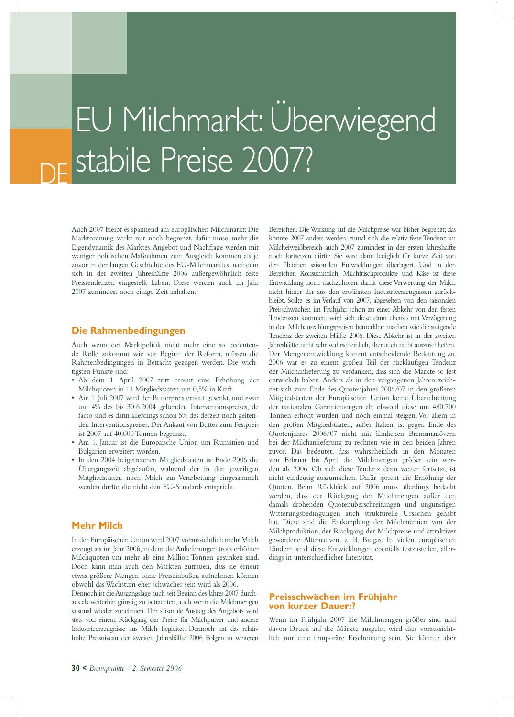### DE EU Milchmarkt: Überwiegend stabile Preise 2007?

Auch 2007 bleibt es spannend am europäischen Milchmarkt: Die Marktordnung wirkt nur noch begrenzt, dafür umso mehr die Eigendynamik des Marktes. Angebot und Nachfrage werden mit weniger politischen Maßnahmen zum Ausgleich kommen als je zuvor in der langen Geschichte des EU-Milchmarktes, nachdem sich in der zweiten Jahreshälfte 2006 außergewöhnlich feste Preistendenzen eingestellt haben. Diese werden auch im Jahr 2007 zumindest noch einige Zeit anhalten.

#### **Die Rahmenbedingungen**

Auch wenn der Marktpolitik nicht mehr eine so bedeutende Rolle zukommt wie vor Beginn der Reform, müssen die Rahmenbedingungen in Betracht gezogen werden. Die wichtigsten Punkte sind:

- Ab dem 1. April 2007 tritt erneut eine Erhöhung der Milchquoten in 11 Mitgliedstaaten um 0,5% in Kraft.
- Am 1. Juli 2007 wird der Butterpreis erneut gesenkt, und zwar um 4% des bis 30.6.2004 geltenden Interventionspreises, de facto sind es dann allerdings schon 5% des derzeit noch geltenden Interventionspreises. Der Ankauf von Butter zum Festpreis ist 2007 auf 40.000 Tonnen begrenzt.
- Am 1. Januar ist die Europäische Union um Rumänien und Bulgarien erweitert worden.
- In den 2004 beigetretenen Mitgliedstaaten ist Ende 2006 die Übergangszeit abgelaufen, während der in den jeweiligen Mitgliedstaaten noch Milch zur Verarbeitung eingesammelt werden durfte, die nicht den EU-Standards entspricht.

#### **Mehr Milch**

In der Europäischen Union wird 2007 voraussichtlich mehr Milch erzeugt als im Jahr 2006, in dem die Anlieferungen trotz erhöhter Milchquoten um mehr als eine Million Tonnen gesunken sind. Doch kann man auch den Märkten zutrauen, dass sie erneut etwas größere Mengen ohne Preiseinbußen aufnehmen können obwohl das Wachstum eher schwächer sein wird als 2006.

Dennoch ist die Ausgangslage auch seit Beginn des Jahres 2007 durchaus als weiterhin günstig zu betrachten, auch wenn die Milchmengen saisonal wieder zunehmen. Der saisonale Anstieg des Angebots wird stets von einem Rückgang der Preise für Milchpulver und andere Industrieerzeugnisse aus Milch begleitet. Dennoch hat das relativ hohe Preisniveau der zweiten Jahreshälfte 2006 Folgen in weiteren

Bereichen. Die Wirkung auf die Milchpreise war bisher begrenzt; das könnte 2007 anders werden, zumal sich die relativ feste Tendenz im Milcheiweißbereich auch 2007 zumindest in der ersten Jahreshälfte noch fortsetzen dürfte. Sie wird dann lediglich für kurze Zeit von den üblichen saisonalen Entwicklungen überlagert. Und in den Bereichen Konsummilch, Milchfrischprodukte und Käse ist diese Entwicklung noch nachzuholen, damit diese Verwertung der Milch nicht hinter der aus den erwähnten Industrieerzeugnissen zurückbleibt. Sollte es im Verlauf von 2007, abgesehen von den saisonalen Preisschwächen im Frühjahr, schon zu einer Abkehr von den festen Tendenzen kommen, wird sich diese dann ebenso mit Verzögerung in den Milchauszahlungspreisen bemerkbar machen wie die steigende Tendenz der zweiten Hälfte 2006. Diese Abkehr ist in der zweiten Jahreshälfte nicht sehr wahrscheinlich, aber auch nicht auszuschließen. Der Mengenentwicklung kommt entscheidende Bedeutung zu. 2006 war es zu einem großen Teil der rückläufigen Tendenz der Milchanlieferung zu verdanken, dass sich die Märkte so fest entwickelt haben. Anders als in den vergangenen Jahren zeichnet sich zum Ende des Quotenjahres 2006/07 in den größeren Mitgliedstaaten der Europäischen Union keine Überschreitung der nationalen Garantiemengen ab, obwohl diese um 480.700 Tonnen erhöht wurden und noch einmal steigen. Vor allem in den großen Mitgliedstaaten, außer Italien, ist gegen Ende des Quotenjahres 2006/07 nicht mit ähnlichen Bremsmanövern bei der Milchanlieferung zu rechnen wie in den beiden Jahren zuvor. Das bedeutet, dass wahrscheinlich in den Monaten von Februar bis April die Milchmengen größer sein werden als 2006. Ob sich diese Tendenz dann weiter fortsetzt, ist nicht eindeutig auszumachen. Dafür spricht die Erhöhung der Quoten. Beim Rückblick auf 2006 muss allerdings bedacht werden, dass der Rückgang der Milchmengen außer den damals drohenden Quotenüberschreitungen und ungünstigen Witterungsbedingungen auch strukturelle Ursachen gehabt hat. Diese sind die Entkopplung der Milchprämien von der Milchproduktion, der Rückgang der Milchpreise und attraktiver gewordene Alternativen, z. B. Biogas. In vielen europäischen Ländern sind diese Entwicklungen ebenfalls festzustellen, allerdings in unterschiedlicher Intensität.

#### **Preisschwächen im Frühjahr von kurzer Dauer:?**

Wenn im Frühjahr 2007 die Milchmengen größer sind und davon Druck auf die Märkte ausgeht, wird dies voraussichtlich nur eine temporäre Erscheinung sein. Sie könnte aber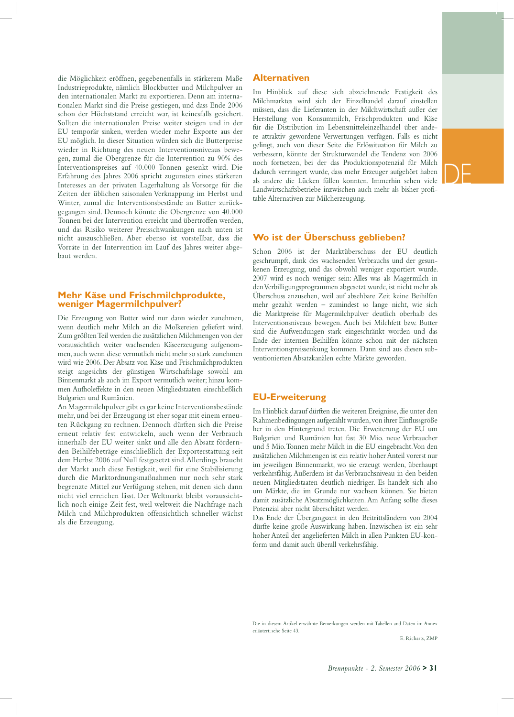DE

die Möglichkeit eröffnen, gegebenenfalls in stärkerem Maße Industrieprodukte, nämlich Blockbutter und Milchpulver an den internationalen Markt zu exportieren. Denn am internationalen Markt sind die Preise gestiegen, und dass Ende 2006 schon der Höchststand erreicht war, ist keinesfalls gesichert. Sollten die internationalen Preise weiter steigen und in der EU temporär sinken, werden wieder mehr Exporte aus der EU möglich. In dieser Situation würden sich die Butterpreise wieder in Richtung des neuen Interventionsniveaus bewegen, zumal die Obergrenze für die Intervention zu 90% des Interventionspreises auf 40.000 Tonnen gesenkt wird. Die Erfahrung des Jahres 2006 spricht zugunsten eines stärkeren Interesses an der privaten Lagerhaltung als Vorsorge für die Zeiten der üblichen saisonalen Verknappung im Herbst und Winter, zumal die Interventionsbestände an Butter zurückgegangen sind. Dennoch könnte die Obergrenze von 40.000 Tonnen bei der Intervention erreicht und übertroffen werden, und das Risiko weiterer Preisschwankungen nach unten ist nicht auszuschließen. Aber ebenso ist vorstellbar, dass die Vorräte in der Intervention im Lauf des Jahres weiter abgebaut werden.

#### **Mehr Käse und Frischmilchprodukte, weniger Magermilchpulver?**

Die Erzeugung von Butter wird nur dann wieder zunehmen, wenn deutlich mehr Milch an die Molkereien geliefert wird. Zum größten Teil werden die zusätzlichen Milchmengen von der voraussichtlich weiter wachsenden Käseerzeugung aufgenommen, auch wenn diese vermutlich nicht mehr so stark zunehmen wird wie 2006. Der Absatz von Käse und Frischmilchprodukten steigt angesichts der günstigen Wirtschaftslage sowohl am Binnenmarkt als auch im Export vermutlich weiter; hinzu kommen Aufholeffekte in den neuen Mitgliedstaaten einschließlich Bulgarien und Rumänien.

An Magermilchpulver gibt es gar keine Interventionsbestände mehr, und bei der Erzeugung ist eher sogar mit einem erneuten Rückgang zu rechnen. Dennoch dürften sich die Preise erneut relativ fest entwickeln, auch wenn der Verbrauch innerhalb der EU weiter sinkt und alle den Absatz fördernden Beihilfebeträge einschließlich der Exporterstattung seit dem Herbst 2006 auf Null festgesetzt sind. Allerdings braucht der Markt auch diese Festigkeit, weil für eine Stabilisierung durch die Marktordnungsmaßnahmen nur noch sehr stark begrenzte Mittel zur Verfügung stehen, mit denen sich dann nicht viel erreichen lässt. Der Weltmarkt bleibt voraussichtlich noch einige Zeit fest, weil weltweit die Nachfrage nach Milch und Milchprodukten offensichtlich schneller wächst als die Erzeugung.

#### **Alternativen**

Im Hinblick auf diese sich abzeichnende Festigkeit des Milchmarktes wird sich der Einzelhandel darauf einstellen müssen, dass die Lieferanten in der Milchwirtschaft außer der Herstellung von Konsummilch, Frischprodukten und Käse für die Distribution im Lebensmitteleinzelhandel über andere attraktiv gewordene Verwertungen verfügen. Falls es nicht gelingt, auch von dieser Seite die Erlössituation für Milch zu verbessern, könnte der Strukturwandel die Tendenz von 2006 noch fortsetzen, bei der das Produktionspotenzial für Milch dadurch verringert wurde, dass mehr Erzeuger aufgehört haben als andere die Lücken füllen konnten. Immerhin sehen viele Landwirtschaftsbetriebe inzwischen auch mehr als bisher profitable Alternativen zur Milcherzeugung.

#### **Wo ist der Überschuss geblieben?**

Schon 2006 ist der Marktüberschuss der EU deutlich geschrumpft, dank des wachsenden Verbrauchs und der gesunkenen Erzeugung, und das obwohl weniger exportiert wurde. 2007 wird es noch weniger sein: Alles was als Magermilch in den Verbilligungsprogrammen abgesetzt wurde, ist nicht mehr als Überschuss anzusehen, weil auf absehbare Zeit keine Beihilfen mehr gezahlt werden – zumindest so lange nicht, wie sich die Marktpreise für Magermilchpulver deutlich oberhalb des Interventionsniveaus bewegen. Auch bei Milchfett bzw. Butter sind die Aufwendungen stark eingeschränkt worden und das Ende der internen Beihilfen könnte schon mit der nächsten Interventionspreissenkung kommen. Dann sind aus diesen subventionierten Absatzkanälen echte Märkte geworden.

#### **EU-Erweiterung**

Im Hinblick darauf dürften die weiteren Ereignisse, die unter den Rahmenbedingungen aufgezählt wurden, von ihrer Einflussgröße her in den Hintergrund treten. Die Erweiterung der EU um Bulgarien und Rumänien hat fast 30 Mio. neue Verbraucher und 5 Mio. Tonnen mehr Milch in die EU eingebracht. Von den zusätzlichen Milchmengen ist ein relativ hoher Anteil vorerst nur im jeweiligen Binnenmarkt, wo sie erzeugt werden, überhaupt verkehrsfähig. Außerdem ist das Verbrauchsniveau in den beiden neuen Mitgliedstaaten deutlich niedriger. Es handelt sich also um Märkte, die im Grunde nur wachsen können. Sie bieten damit zusätzliche Absatzmöglichkeiten. Am Anfang sollte dieses Potenzial aber nicht überschätzt werden.

Das Ende der Übergangszeit in den Beitrittsländern von 2004 dürfte keine große Auswirkung haben. Inzwischen ist ein sehr hoher Anteil der angelieferten Milch in allen Punkten EU-konform und damit auch überall verkehrsfähig.

Die in diesem Artikel erwähnte Bemerkungen werden mit Tabellen and Daten im Annex erläutert; sehe Seite 43.

E. Richarts, ZMP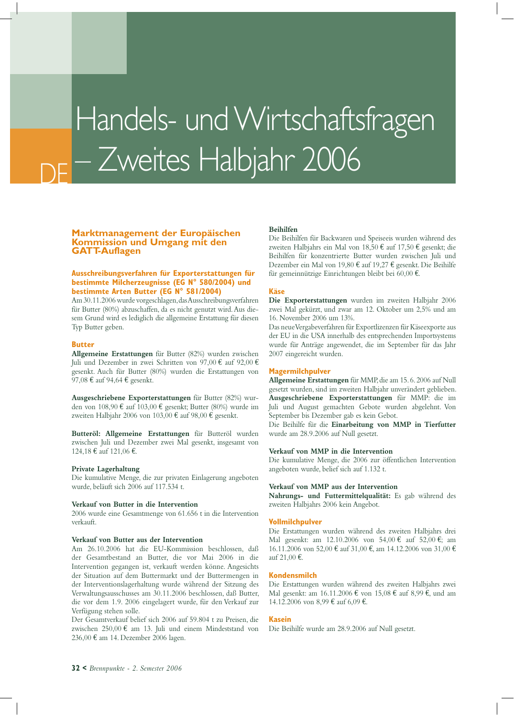## Handels- und Wirtschaftsfragen – Zweites Halbjahr 2006

#### **Marktmanagement der Europäischen Kommission und Umgang mit den GATT-Auflagen**

#### **Ausschreibungsverfahren für Exporterstattungen für bestimmte Milcherzeugnisse (EG N° 580/2004) und bestimmte Arten Butter (EG N° 581/2004)**

Am 30.11.2006 wurde vorgeschlagen, das Ausschreibungsverfahren für Butter (80%) abzuschaffen, da es nicht genutzt wird. Aus diesem Grund wird es lediglich die allgemeine Erstattung für diesen Typ Butter geben.

#### **Butter**

DE

**Allgemeine Erstattungen** für Butter (82%) wurden zwischen Juli und Dezember in zwei Schritten von 97,00 € auf 92,00 € gesenkt. Auch für Butter (80%) wurden die Erstattungen von 97,08 € auf 94,64 € gesenkt.

**Ausgeschriebene Exporterstattungen** für Butter (82%) wurden von 108,90 € auf 103,00 € gesenkt; Butter (80%) wurde im zweiten Halbjahr 2006 von 103,00 € auf 98,00 € gesenkt.

**Butteröl: Allgemeine Erstattungen** für Butteröl wurden zwischen Juli und Dezember zwei Mal gesenkt, insgesamt von 124,18 € auf 121,06 €.

#### **Private Lagerhaltung**

Die kumulative Menge, die zur privaten Einlagerung angeboten wurde, beläuft sich 2006 auf 117.534 t.

#### **Verkauf von Butter in die Intervention**

2006 wurde eine Gesamtmenge von 61.656 t in die Intervention verkauft.

#### **Verkauf von Butter aus der Intervention**

Am 26.10.2006 hat die EU-Kommission beschlossen, daß der Gesamtbestand an Butter, die vor Mai 2006 in die Intervention gegangen ist, verkauft werden könne. Angesichts der Situation auf dem Buttermarkt und der Buttermengen in der Interventionslagerhaltung wurde während der Sitzung des Verwaltungsausschusses am 30.11.2006 beschlossen, daß Butter, die vor dem 1.9. 2006 eingelagert wurde, für den Verkauf zur Verfügung stehen solle.

Der Gesamtverkauf belief sich 2006 auf 59.804 t zu Preisen, die zwischen 250,00 € am 13. Juli und einem Mindeststand von 236,00 € am 14. Dezember 2006 lagen.

#### **Beihilfen**

Die Beihilfen für Backwaren und Speiseeis wurden während des zweiten Halbjahrs ein Mal von 18,50 € auf 17,50 € gesenkt; die Beihilfen für konzentrierte Butter wurden zwischen Juli und Dezember ein Mal von 19,80 € auf 19,27 € gesenkt. Die Beihilfe für gemeinnützige Einrichtungen bleibt bei 60,00 €.

#### **Käse**

**Die Exporterstattungen** wurden im zweiten Halbjahr 2006 zwei Mal gekürzt, und zwar am 12. Oktober um 2,5% und am 16. November 2006 um 13%.

Das neue Vergabeverfahren für Exportlizenzen für Käseexporte aus der EU in die USA innerhalb des entsprechenden Importsystems wurde für Anträge angewendet, die im September für das Jahr 2007 eingereicht wurden.

#### **Magermilchpulver**

**Allgemeine Erstattungen** für MMP, die am 15. 6. 2006 auf Null gesetzt wurden, sind im zweiten Halbjahr unverändert geblieben. **Ausgeschriebene Exporterstattungen** für MMP: die im Juli und August gemachten Gebote wurden abgelehnt. Von September bis Dezember gab es kein Gebot.

Die Beihilfe für die **Einarbeitung von MMP in Tierfutter**  wurde am 28.9.2006 auf Null gesetzt.

#### **Verkauf von MMP in die Intervention**

Die kumulative Menge, die 2006 zur öffentlichen Intervention angeboten wurde, belief sich auf 1.132 t.

#### **Verkauf von MMP aus der Intervention**

**Nahrungs- und Futtermittelqualität:** Es gab während des zweiten Halbjahrs 2006 kein Angebot.

#### **Vollmilchpulver**

Die Erstattungen wurden während des zweiten Halbjahrs drei Mal gesenkt: am 12.10.2006 von 54,00 € auf 52,00 €; am 16.11.2006 von 52,00 € auf 31,00 €, am 14.12.2006 von 31,00 € auf 21,00 €.

#### **Kondensmilch**

Die Erstattungen wurden während des zweiten Halbjahrs zwei Mal gesenkt: am 16.11.2006 € von 15,08 € auf 8,99 €, und am 14.12.2006 von 8,99 € auf 6,09 €.

#### **Kasein**

Die Beihilfe wurde am 28.9.2006 auf Null gesetzt.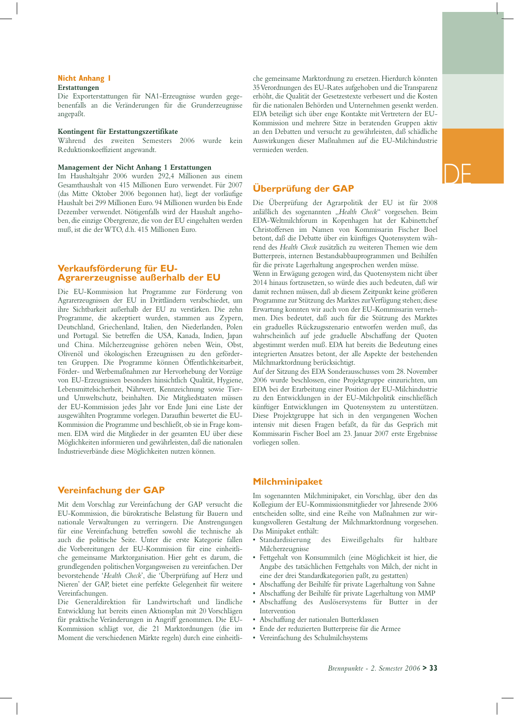#### **Nicht Anhang 1 Erstattungen**

Die Exporterstattungen für NA1-Erzeugnisse wurden gegebenenfalls an die Veränderungen für die Grunderzeugnisse angepaßt.

#### **Kontingent für Erstattungszertifikate**

Während des zweiten Semesters 2006 wurde kein Reduktionskoeffizient angewandt.

#### **Management der Nicht Anhang 1 Erstattungen**

Im Haushaltsjahr 2006 wurden 292,4 Millionen aus einem Gesamthaushalt von 415 Millionen Euro verwendet. Für 2007 (das Mitte Oktober 2006 begonnen hat), liegt der vorläufige Haushalt bei 299 Millionen Euro. 94 Millionen wurden bis Ende Dezember verwendet. Nötigenfalls wird der Haushalt angehoben, die einzige Obergrenze, die von der EU eingehalten werden muß, ist die der WTO, d.h. 415 Millionen Euro.

#### **Verkaufsförderung für EU-Agrarerzeugnisse außerhalb der EU**

Die EU-Kommission hat Programme zur Förderung von Agrarerzeugnissen der EU in Drittländern verabschiedet, um ihre Sichtbarkeit außerhalb der EU zu verstärken. Die zehn Programme, die akzeptiert wurden, stammen aus Zypern, Deutschland, Griechenland, Italien, den Niederlanden, Polen und Portugal. Sie betreffen die USA, Kanada, Indien, Japan und China. Milcherzeugnisse gehören neben Wein, Obst, Olivenöl und ökologischen Erzeugnissen zu den geförderten Gruppen. Die Programme können Öffentlichkeitsarbeit, Förder- und Werbemaßnahmen zur Hervorhebung der Vorzüge von EU-Erzeugnissen besonders hinsichtlich Qualität, Hygiene, Lebensmittelsicherheit, Nährwert, Kennzeichnung sowie Tierund Umweltschutz, beinhalten. Die Mitgliedstaaten müssen der EU-Kommission jedes Jahr vor Ende Juni eine Liste der ausgewählten Programme vorlegen. Daraufhin bewertet die EU-Kommission die Programme und beschließt, ob sie in Frage kommen. EDA wird die Mitglieder in der gesamten EU über diese Möglichkeiten informieren und gewährleisten, daß die nationalen Industrieverbände diese Möglichkeiten nutzen können.

#### **Vereinfachung der GAP**

Mit dem Vorschlag zur Vereinfachung der GAP versucht die EU-Kommission, die bürokratische Belastung für Bauern und nationale Verwaltungen zu verringern. Die Anstrengungen für eine Vereinfachung betreffen sowohl die technische als auch die politische Seite. Unter die erste Kategorie fallen die Vorbereitungen der EU-Kommission für eine einheitliche gemeinsame Marktorganisation. Hier geht es darum, die grundlegenden politischen Vorgangsweisen zu vereinfachen. Der bevorstehende '*Health Check*', die 'Überprüfung auf Herz und Nieren' der GAP, bietet eine perfekte Gelegenheit für weitere Vereinfachungen.

Die Generaldirektion für Landwirtschaft und ländliche Entwicklung hat bereits einen Aktionsplan mit 20 Vorschlägen für praktische Veränderungen in Angriff genommen. Die EU-Kommission schlägt vor, die 21 Marktordnungen (die im Moment die verschiedenen Märkte regeln) durch eine einheitliche gemeinsame Marktordnung zu ersetzen. Hierdurch könnten 35 Verordnungen des EU-Rates aufgehoben und die Transparenz erhöht, die Qualität der Gesetzestexte verbessert und die Kosten für die nationalen Behörden und Unternehmen gesenkt werden. EDA beteiligt sich über enge Kontakte mit Vertretern der EU-Kommission und mehrere Sitze in beratenden Gruppen aktiv an den Debatten und versucht zu gewährleisten, daß schädliche Auswirkungen dieser Maßnahmen auf die EU-Milchindustrie vermieden werden.

#### **Überprüfung der GAP**

Die Überprüfung der Agrarpolitik der EU ist für 2008 anläßlich des sogenannten "*Health Check*" vorgesehen. Beim EDA-Weltmilchforum in Kopenhagen hat der Kabinettchef Christoffersen im Namen von Kommissarin Fischer Boel betont, daß die Debatte über ein künftiges Quotensystem während des *Health Check* zusätzlich zu weiteren Themen wie dem Butterpreis, internen Bestandsabbauprogrammen und Beihilfen für die private Lagerhaltung angesprochen werden müsse.

Wenn in Erwägung gezogen wird, das Quotensystem nicht über 2014 hinaus fortzusetzen, so würde dies auch bedeuten, daß wir damit rechnen müssen, daß ab diesem Zeitpunkt keine größeren Programme zur Stützung des Marktes zur Verfügung stehen; diese Erwartung konnten wir auch von der EU-Kommissarin vernehmen. Dies bedeutet, daß auch für die Stützung des Marktes ein graduelles Rückzugsszenario entworfen werden muß, das wahrscheinlich auf jede graduelle Abschaffung der Quoten abgestimmt werden muß. EDA hat bereits die Bedeutung eines integrierten Ansatzes betont, der alle Aspekte der bestehenden Milchmarktordnung berücksichtigt.

Auf der Sitzung des EDA Sonderausschusses vom 28. November 2006 wurde beschlossen, eine Projektgruppe einzurichten, um EDA bei der Erarbeitung einer Position der EU-Milchindustrie zu den Entwicklungen in der EU-Milchpolitik einschließlich künftiger Entwicklungen im Quotensystem zu unterstützen. Diese Projektgruppe hat sich in den vergangenen Wochen intensiv mit diesen Fragen befaßt, da für das Gespräch mit Kommissarin Fischer Boel am 23. Januar 2007 erste Ergebnisse vorliegen sollen.

#### **Milchminipaket**

Im sogenannten Milchminipaket, ein Vorschlag, über den das Kollegium der EU-Kommissionsmitglieder vor Jahresende 2006 entscheiden sollte, sind eine Reihe von Maßnahmen zur wirkungsvolleren Gestaltung der Milchmarktordnung vorgesehen. Das Minipaket enthält:

- Standardisierung des Eiweißgehalts für haltbare Milcherzeugnisse
- Fettgehalt von Konsummilch (eine Möglichkeit ist hier, die Angabe des tatsächlichen Fettgehalts von Milch, der nicht in eine der drei Standardkategorien paßt, zu gestatten)
- Abschaffung der Beihilfe für private Lagerhaltung von Sahne
- Abschaffung der Beihilfe für private Lagerhaltung von MMP
- Abschaffung des Auslösersystems für Butter in der Intervention
- Abschaffung der nationalen Butterklassen
- Ende der reduzierten Butterpreise für die Armee
- Vereinfachung des Schulmilchsystems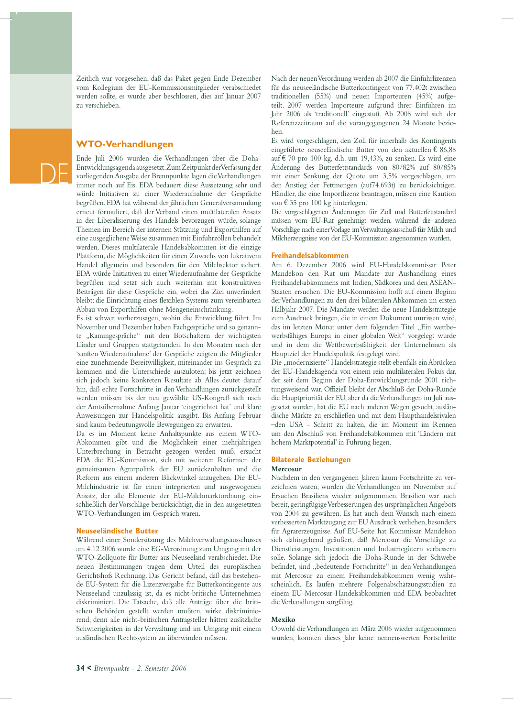Zeitlich war vorgesehen, daß das Paket gegen Ende Dezember vom Kollegium der EU-Kommissionsmitglieder verabschiedet werden sollte, es wurde aber beschlossen, dies auf Januar 2007 zu verschieben.

#### **WTO-Verhandlungen**

DE

Ende Juli 2006 wurden die Verhandlungen über die Doha-Entwicklungsagenda ausgesetzt. Zum Zeitpunkt der Verfassung der vorliegenden Ausgabe der Brennpunkte lagen die Verhandlungen immer noch auf Eis. EDA bedauert diese Aussetzung sehr und würde Initiativen zu einer Wiederaufnahme der Gespräche begrüßen. EDA hat während der jährlichen Generalversammlung erneut formuliert, daß der Verband einen multilateralen Ansatz in der Liberalisierung des Handels bevorzugen würde, solange Themen im Bereich der internen Stützung und Exporthilfen auf eine ausgeglichene Weise zusammen mit Einfuhrzöllen behandelt werden. Dieses multilaterale Handelsabkommen ist die einzige Plattform, die Möglichkeiten für einen Zuwachs von lukrativem Handel allgemein und besonders für den Milchsektor sichert. EDA würde Initiativen zu einer Wiederaufnahme der Gespräche begrüßen und setzt sich auch weiterhin mit konstruktiven Beiträgen für diese Gespräche ein, wobei das Ziel unverändert bleibt: die Einrichtung eines flexiblen Systems zum vereinbarten Abbau von Exporthilfen ohne Mengeneinschränkung.

Es ist schwer vorherzusagen, wohin die Entwicklung führt. Im November und Dezember haben Fachgespräche und so genannte "Kamingespräche" mit den Botschaftern der wichtigsten Länder und Gruppen stattgefunden. In den Monaten nach der 'sanften Wiederaufnahme' der Gespräche zeigten die Mitglieder eine zunehmende Bereitwilligkeit, miteinander ins Gespräch zu kommen und die Unterschiede auszuloten; bis jetzt zeichnen sich jedoch keine konkreten Resultate ab. Alles deutet darauf hin, daß echte Fortschritte in den Verhandlungen zurückgestellt werden müssen bis der neu gewählte US-Kongreß sich nach der Amtsübernahme Anfang Januar 'eingerichtet hat' und klare Anweisungen zur Handelspolitik ausgibt. Bis Anfang Februar sind kaum bedeutungsvolle Bewegungen zu erwarten.

Da es im Moment keine Anhaltspunkte aus einem WTO-Abkommen gibt und die Möglichkeit einer mehrjährigen Unterbrechung in Betracht gezogen werden muß, ersucht EDA die EU-Kommission, sich mit weiteren Reformen der gemeinsamen Agrarpolitik der EU zurückzuhalten und die Reform aus einem anderen Blickwinkel anzugehen. Die EU-Milchindustrie ist für einen integrierten und ausgewogenen Ansatz, der alle Elemente der EU-Milchmarktordnung einschließlich der Vorschläge berücksichtigt, die in den ausgesetzten WTO-Verhandlungen im Gespräch waren.

#### **Neuseeländische Butter**

Während einer Sondersitzung des Milchverwaltungsausschusses am 4.12.2006 wurde eine EG-Verordnung zum Umgang mit der WTO-Zollquote für Butter aus Neuseeland verabschiedet. Die neuen Bestimmungen tragen dem Urteil des europäischen Gerichtshofs Rechnung. Das Gericht befand, daß das bestehende EU-System für die Lizenzvergabe für Butterkontingente aus Neuseeland unzulässig ist, da es nicht-britische Unternehmen diskriminiert. Die Tatsache, daß alle Anträge über die britischen Behörden gestellt werden mußten, wirke diskriminierend, denn alle nicht-britischen Antragsteller hätten zusätzliche Schwierigkeiten in der Verwaltung und im Umgang mit einem ausländischen Rechtssystem zu überwinden müssen.

Nach der neuen Verordnung werden ab 2007 die Einfuhrlizenzen für das neuseeländische Butterkontingent von 77.402t zwischen traditionellen (55%) und neuen Importeuren (45%) aufgeteilt. 2007 werden Importeure aufgrund ihrer Einfuhren im Jahr 2006 als 'traditionell' eingestuft. Ab 2008 wird sich der Referenzzeitraum auf die vorangegangenen 24 Monate beziehen.

Es wird vorgeschlagen, den Zoll für innerhalb des Kontingents eingeführte neuseeländische Butter von den aktuellen € 86,88 auf € 70 pro 100 kg, d.h. um 19,43%, zu senken. Es wird eine Änderung des Butterfettstandards von 80/82% auf 80/85% mit einer Senkung der Quote um 3,5% vorgeschlagen, um den Anstieg der Fettmengen (auf74.693t) zu berücksichtigen. Händler, die eine Importlizenz beantragen, müssen eine Kaution von € 35 pro 100 kg hinterlegen.

Die vorgeschlagenen Änderungen für Zoll und Butterfettstandard müssen vom EU-Rat genehmigt werden, während die anderen Vorschläge nach einer Vorlage im Verwaltungsausschuß für Milch und Milcherzeugnisse von der EU-Kommission angenommen wurden.

#### **Freihandelsabkommen**

Am 6. Dezember 2006 wird EU-Handelskommissar Peter Mandelson den Rat um Mandate zur Aushandlung eines Freihandelsabkommens mit Indien, Südkorea und den ASEAN-Staaten ersuchen. Die EU-Kommission hofft auf einen Beginn der Verhandlungen zu den drei bilateralen Abkommen im ersten Halbjahr 2007. Die Mandate werden die neue Handelsstrategie zum Ausdruck bringen, die in einem Dokument umrissen wird, das im letzten Monat unter dem folgenden Titel "Ein wettbewerbsfähiges Europa in einer globalen Welt" vorgelegt wurde und in dem die Wettbewerbsfähigkeit der Unternehmen als Hauptziel der Handelspolitik festgelegt wird.

Die "modernisierte" Handelsstrategie stellt ebenfalls ein Abrücken der EU-Handelsagenda von einem rein multilateralen Fokus dar, der seit dem Beginn der Doha-Entwicklungsrunde 2001 richtungsweisend war. Offiziell bleibt der Abschluß der Doha-Runde die Hauptpriorität der EU, aber da die Verhandlungen im Juli ausgesetzt wurden, hat die EU nach anderen Wegen gesucht, ausländische Märkte zu erschließen und mit dem Haupthandelsrivalen –den USA - Schritt zu halten, die im Moment im Rennen um den Abschluß von Freihandelsabkommen mit 'Ländern mit hohem Marktpotential' in Führung liegen.

#### **Bilaterale Beziehungen**

#### **Mercosur**

Nachdem in den vergangenen Jahren kaum Fortschritte zu verzeichnen waren, wurden die Verhandlungen im November auf Ersuchen Brasiliens wieder aufgenommen. Brasilien war auch bereit, geringfügige Verbesserungen des ursprünglichen Angebots von 2004 zu gewähren. Es hat auch dem Wunsch nach einem verbesserten Marktzugang zur EU Ausdruck verliehen, besonders für Agrarerzeugnisse. Auf EU-Seite hat Kommissar Mandelson sich dahingehend geäußert, daß Mercosur die Vorschläge zu Dienstleistungen, Investitionen und Industriegütern verbessern solle. Solange sich jedoch die Doha-Runde in der Schwebe befindet, sind "bedeutende Fortschritte" in den Verhandlungen mit Mercosur zu einem Freihandelsabkommen wenig wahrscheinlich. Es laufen mehrere Folgenabschätzungsstudien zu einem EU-Mercosur-Handelsabkommen und EDA beobachtet die Verhandlungen sorgfältig.

#### **Mexiko**

Obwohl die Verhandlungen im März 2006 wieder aufgenommen wurden, konnten dieses Jahr keine nennenswerten Fortschritte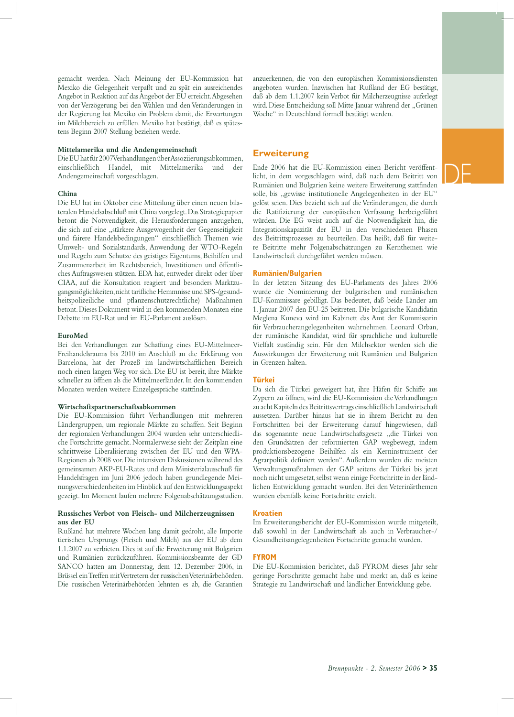DE

gemacht werden. Nach Meinung der EU-Kommission hat Mexiko die Gelegenheit verpaßt und zu spät ein ausreichendes Angebot in Reaktion auf das Angebot der EU erreicht. Abgesehen von der Verzögerung bei den Wahlen und den Veränderungen in der Regierung hat Mexiko ein Problem damit, die Erwartungen im Milchbereich zu erfüllen. Mexiko hat bestätigt, daß es spätestens Beginn 2007 Stellung beziehen werde.

#### **Mittelamerika und die Andengemeinschaft**

Die EU hat für 2007 Verhandlungen über Assoziierungsabkommen, einschließlich Handel, mit Mittelamerika und der Andengemeinschaft vorgeschlagen.

#### **China**

Die EU hat im Oktober eine Mitteilung über einen neuen bilateralen Handelsabschluß mit China vorgelegt. Das Strategiepapier betont die Notwendigkeit, die Herausforderungen anzugehen, die sich auf eine "stärkere Ausgewogenheit der Gegenseitigkeit und fairere Handelsbedingungen" einschließlich Themen wie Umwelt- und Sozialstandards, Anwendung der WTO-Regeln und Regeln zum Schutze des geistiges Eigentums, Beihilfen und Zusammenarbeit im Rechtsbereich, Investitionen und öffentliches Auftragswesen stützen. EDA hat, entweder direkt oder über CIAA, auf die Konsultation reagiert und besonders Marktzugangsmöglichkeiten, nicht tarifliche Hemmnisse und SPS-(gesundheitspolizeiliche und pflanzenschutzrechtliche) Maßnahmen betont. Dieses Dokument wird in den kommenden Monaten eine Debatte im EU-Rat und im EU-Parlament auslösen.

#### **EuroMed**

Bei den Verhandlungen zur Schaffung eines EU-Mittelmeer-Freihandelsraums bis 2010 im Anschluß an die Erklärung von Barcelona, hat der Prozeß im landwirtschaftlichen Bereich noch einen langen Weg vor sich. Die EU ist bereit, ihre Märkte schneller zu öffnen als die Mittelmeerländer. In den kommenden Monaten werden weitere Einzelgespräche stattfinden.

#### **Wirtschaftspartnerschaftsabkommen**

Die EU-Kommission führt Verhandlungen mit mehreren Ländergruppen, um regionale Märkte zu schaffen. Seit Beginn der regionalen Verhandlungen 2004 wurden sehr unterschiedliche Fortschritte gemacht. Normalerweise sieht der Zeitplan eine schrittweise Liberalisierung zwischen der EU und den WPA-Regionen ab 2008 vor. Die intensiven Diskussionen während des gemeinsamen AKP-EU-Rates und dem Ministerialausschuß für Handelsfragen im Juni 2006 jedoch haben grundlegende Meinungsverschiedenheiten im Hinblick auf den Entwicklungsaspekt gezeigt. Im Moment laufen mehrere Folgenabschätzungsstudien.

#### **Russisches Verbot von Fleisch- und Milcherzeugnissen aus der EU**

Rußland hat mehrere Wochen lang damit gedroht, alle Importe tierischen Ursprungs (Fleisch und Milch) aus der EU ab dem 1.1.2007 zu verbieten. Dies ist auf die Erweiterung mit Bulgarien und Rumänien zurückzuführen. Kommissionsbeamte der GD SANCO hatten am Donnerstag, dem 12. Dezember 2006, in Brüssel ein Treffen mit Vertretern der russischen Veterinärbehörden. Die russischen Veterinärbehörden lehnten es ab, die Garantien

anzuerkennen, die von den europäischen Kommissionsdiensten angeboten wurden. Inzwischen hat Rußland der EG bestätigt, daß ab dem 1.1.2007 kein Verbot für Milcherzeugnisse auferlegt wird. Diese Entscheidung soll Mitte Januar während der "Grünen Woche" in Deutschland formell bestätigt werden.

#### **Erweiterung**

Ende 2006 hat die EU-Kommission einen Bericht veröffentlicht, in dem vorgeschlagen wird, daß nach dem Beitritt von Rumänien und Bulgarien keine weitere Erweiterung stattfinden solle, bis "gewisse institutionelle Angelegenheiten in der EU" gelöst seien. Dies bezieht sich auf die Veränderungen, die durch die Ratifizierung der europäischen Verfassung herbeigeführt würden. Die EG weist auch auf die Notwendigkeit hin, die Integrationskapazität der EU in den verschiedenen Phasen des Beitrittsprozesses zu beurteilen. Das heißt, daß für weitere Beitritte mehr Folgenabschätzungen zu Kernthemen wie Landwirtschaft durchgeführt werden müssen.

#### **Rumänien/Bulgarien**

In der letzten Sitzung des EU-Parlaments des Jahres 2006 wurde die Nominierung der bulgarischen und rumänischen EU-Kommissare gebilligt. Das bedeutet, daß beide Länder am 1. Januar 2007 den EU-25 beitreten. Die bulgarische Kandidatin Meglena Kuneva wird im Kabinett das Amt der Kommissarin für Verbraucherangelegenheiten wahrnehmen. Leonard Orban, der rumänische Kandidat, wird für sprachliche und kulturelle Vielfalt zuständig sein. Für den Milchsektor werden sich die Auswirkungen der Erweiterung mit Rumänien und Bulgarien in Grenzen halten.

#### **Türkei**

Da sich die Türkei geweigert hat, ihre Häfen für Schiffe aus Zypern zu öffnen, wird die EU-Kommission die Verhandlungen zu acht Kapiteln des Beitrittsvertrags einschließlich Landwirtschaft aussetzen. Darüber hinaus hat sie in ihrem Bericht zu den Fortschritten bei der Erweiterung darauf hingewiesen, daß das sogenannte neue Landwirtschaftsgesetz "die Türkei von den Grundsätzen der reformierten GAP wegbewegt, indem produktionsbezogene Beihilfen als ein Kerninstrument der Agrarpolitik definiert werden". Außerdem wurden die meisten Verwaltungsmaßnahmen der GAP seitens der Türkei bis jetzt noch nicht umgesetzt, selbst wenn einige Fortschritte in der ländlichen Entwicklung gemacht wurden. Bei den Veterinärthemen wurden ebenfalls keine Fortschritte erzielt.

#### **Kroatien**

Im Erweiterungsbericht der EU-Kommission wurde mitgeteilt, daß sowohl in der Landwirtschaft als auch in Verbraucher-/ Gesundheitsangelegenheiten Fortschritte gemacht wurden.

#### **FYROM**

Die EU-Kommission berichtet, daß FYROM dieses Jahr sehr geringe Fortschritte gemacht habe und merkt an, daß es keine Strategie zu Landwirtschaft und ländlicher Entwicklung gebe.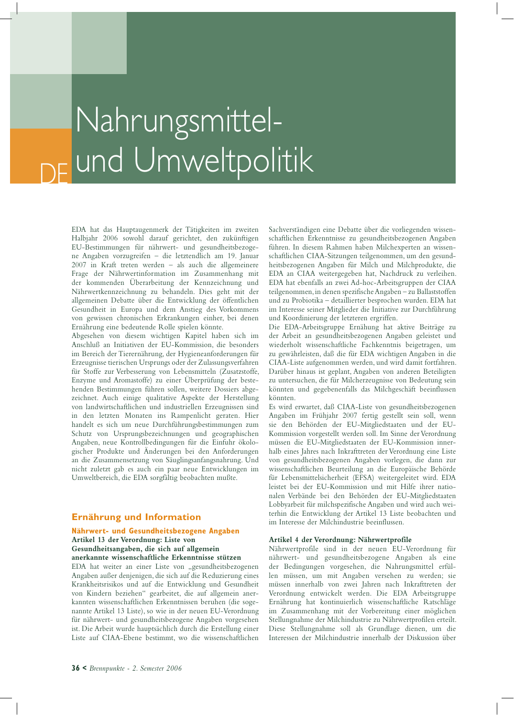### DE Nahrungsmittelund Umweltpolitik

EDA hat das Hauptaugenmerk der Tätigkeiten im zweiten Halbjahr 2006 sowohl darauf gerichtet, den zukünftigen EU-Bestimmungen für nährwert- und gesundheitsbezogene Angaben vorzugreifen – die letztendlich am 19. Januar 2007 in Kraft treten werden – als auch die allgemeinere Frage der Nährwertinformation im Zusammenhang mit der kommenden Überarbeitung der Kennzeichnung und Nährwertkennzeichnung zu behandeln. Dies geht mit der allgemeinen Debatte über die Entwicklung der öffentlichen Gesundheit in Europa und dem Anstieg des Vorkommens von gewissen chronischen Erkrankungen einher, bei denen Ernährung eine bedeutende Rolle spielen könnte.

Abgesehen von diesem wichtigen Kapitel haben sich im Anschluß an Initiativen der EU-Kommission, die besonders im Bereich der Tierernährung, der Hygieneanforderungen für Erzeugnisse tierischen Ursprungs oder der Zulassungsverfahren für Stoffe zur Verbesserung von Lebensmitteln (Zusatzstoffe, Enzyme und Aromastoffe) zu einer Überprüfung der bestehenden Bestimmungen führen sollen, weitere Dossiers abgezeichnet. Auch einige qualitative Aspekte der Herstellung von landwirtschaftlichen und industriellen Erzeugnissen sind in den letzten Monaten ins Rampenlicht geraten. Hier handelt es sich um neue Durchführungsbestimmungen zum Schutz von Ursprungsbezeichnungen und geographischen Angaben, neue Kontrollbedingungen für die Einfuhr ökologischer Produkte und Änderungen bei den Anforderungen an die Zusammensetzung von Säuglingsanfangsnahrung. Und nicht zuletzt gab es auch ein paar neue Entwicklungen im Umweltbereich, die EDA sorgfältig beobachten mußte.

#### **Ernährung und Information**

#### **Nährwert- und Gesundheitsbezogene Angaben Artikel 13 der Verordnung: Liste von Gesundheitsangaben, die sich auf allgemein**

**anerkannte wissenschaftliche Erkenntnisse stützen** 

EDA hat weiter an einer Liste von "gesundheitsbezogenen Angaben außer denjenigen, die sich auf die Reduzierung eines Krankheitsrisikos und auf die Entwicklung und Gesundheit von Kindern beziehen" gearbeitet, die auf allgemein anerkannten wissenschaftlichen Erkenntnissen beruhen (die sogenannte Artikel 13 Liste), so wie in der neuen EU-Verordnung für nährwert- und gesundheitsbezogene Angaben vorgesehen ist. Die Arbeit wurde hauptsächlich durch die Erstellung einer Liste auf CIAA-Ebene bestimmt, wo die wissenschaftlichen

Sachverständigen eine Debatte über die vorliegenden wissenschaftlichen Erkenntnisse zu gesundheitsbezogenen Angaben führen. In diesem Rahmen haben Milchexperten an wissenschaftlichen CIAA-Sitzungen teilgenommen, um den gesundheitsbezogenen Angaben für Milch und Milchprodukte, die EDA an CIAA weitergegeben hat, Nachdruck zu verleihen. EDA hat ebenfalls an zwei Ad-hoc-Arbeitsgruppen der CIAA teilgenommen, in denen spezifische Angaben – zu Ballaststoffen und zu Probiotika – detaillierter besprochen wurden. EDA hat im Interesse seiner Mitglieder die Initiative zur Durchführung und Koordinierung der letzteren ergriffen.

Die EDA-Arbeitsgruppe Ernähung hat aktive Beiträge zu der Arbeit an gesundheitsbezogenen Angaben geleistet und wiederholt wissenschaftliche Fachkenntnis beigetragen, um zu gewährleisten, daß die für EDA wichtigen Angaben in die CIAA-Liste aufgenommen werden, und wird damit fortfahren. Darüber hinaus ist geplant, Angaben von anderen Beteiligten zu untersuchen, die für Milcherzeugnisse von Bedeutung sein könnten und gegebenenfalls das Milchgeschäft beeinflussen könnten.

Es wird erwartet, daß CIAA-Liste von gesundheitsbezogenen Angaben im Frühjahr 2007 fertig gestellt sein soll, wenn sie den Behörden der EU-Mitgliedstaaten und der EU-Kommission vorgestellt werden soll. Im Sinne der Verordnung müssen die EU-Mitgliedstaaten der EU-Kommission innerhalb eines Jahres nach Inkrafttreten der Verordnung eine Liste von gesundheitsbezogenen Angaben vorlegen, die dann zur wissenschaftlichen Beurteilung an die Europäische Behörde für Lebensmittelsicherheit (EFSA) weitergeleitet wird. EDA leistet bei der EU-Kommission und mit Hilfe ihrer nationalen Verbände bei den Behörden der EU-Mitgliedstaaten Lobbyarbeit für milchspezifische Angaben und wird auch weiterhin die Entwicklung der Artikel 13 Liste beobachten und im Interesse der Milchindustrie beeinflussen.

#### **Artikel 4 der Verordnung: Nährwertprofile**

Nährwertprofile sind in der neuen EU-Verordnung für nährwert- und gesundheitsbezogene Angaben als eine der Bedingungen vorgesehen, die Nahrungsmittel erfüllen müssen, um mit Angaben versehen zu werden; sie müssen innerhalb von zwei Jahren nach Inkrafttreten der Verordnung entwickelt werden. Die EDA Arbeitsgruppe Ernährung hat kontinuierlich wissenschaftliche Ratschläge im Zusammenhang mit der Vorbereitung einer möglichen Stellungnahme der Milchindustrie zu Nährwertprofilen erteilt. Diese Stellungnahme soll als Grundlage dienen, um die Interessen der Milchindustrie innerhalb der Diskussion über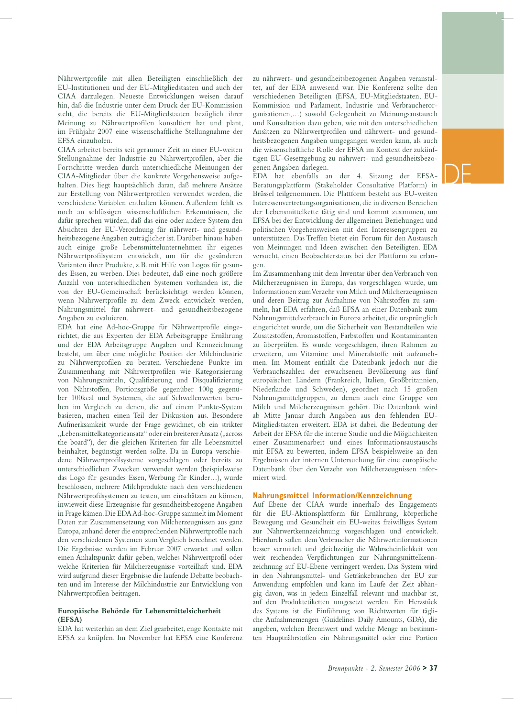Nährwertprofile mit allen Beteiligten einschließlich der EU-Institutionen und der EU-Mitgliedstaaten und auch der CIAA darzulegen. Neueste Entwicklungen weisen darauf hin, daß die Industrie unter dem Druck der EU-Kommission steht, die bereits die EU-Mitgliedstaaten bezüglich ihrer Meinung zu Nährwertprofilen konsultiert hat und plant, im Frühjahr 2007 eine wissenschaftliche Stellungnahme der EFSA einzuholen.

CIAA arbeitet bereits seit geraumer Zeit an einer EU-weiten Stellungnahme der Industrie zu Nährwertprofilen, aber die Fortschritte werden durch unterschiedliche Meinungen der CIAA-Mitglieder über die konkrete Vorgehensweise aufgehalten. Dies liegt hauptsächlich daran, daß mehrere Ansätze zur Erstellung von Nährwertprofilen verwendet werden, die verschiedene Variablen enthalten können. Außerdem fehlt es noch an schlüssigen wissenschaftlichen Erkenntnissen, die dafür sprechen würden, daß das eine oder andere System den Absichten der EU-Verordnung für nährwert- und gesundheitsbezogene Angaben zuträglicher ist. Darüber hinaus haben auch einige große Lebensmittelunternehmen ihr eigenes Nährwertprofilsystem entwickelt, um für die gesünderen Varianten ihrer Produkte, z.B. mit Hilfe von Logos für gesundes Essen, zu werben. Dies bedeutet, daß eine noch größere Anzahl von unterschiedlichen Systemen vorhanden ist, die von der EU-Gemeinschaft berücksichtigt werden können, wenn Nährwertprofile zu dem Zweck entwickelt werden, Nahrungsmittel für nährwert- und gesundheitsbezogene Angaben zu evaluieren.

EDA hat eine Ad-hoc-Gruppe für Nährwertprofile eingerichtet, die aus Experten der EDA Arbeitsgruppe Ernährung und der EDA Arbeitsgruppe Angaben und Kennzeichnung besteht, um über eine mögliche Position der Milchindustrie zu Nährwertprofilen zu beraten. Verschiedene Punkte im Zusammenhang mit Nährwertprofilen wie Kategorisierung von Nahrungsmitteln, Qualifizierung und Disqualifizierung von Nährstoffen, Portionsgröße gegenüber 100g gegenüber 100kcal und Systemen, die auf Schwellenwerten beruhen im Vergleich zu denen, die auf einem Punkte-System basieren, machen einen Teil der Diskussion aus. Besondere Aufmerksamkeit wurde der Frage gewidmet, ob ein strikter "Lebensmittelkategorieansatz" oder ein breiterer Ansatz ("across the board"), der die gleichen Kriterien für alle Lebensmittel beinhaltet, begünstigt werden sollte. Da in Europa verschiedene Nährwertprofilsysteme vorgeschlagen oder bereits zu unterschiedlichen Zwecken verwendet werden (beispielsweise das Logo für gesundes Essen, Werbung für Kinder…), wurde beschlossen, mehrere Milchprodukte nach den verschiedenen Nährwertprofilsystemen zu testen, um einschätzen zu können, inwieweit diese Erzeugnisse für gesundheitsbezogene Angaben in Frage kämen. Die EDA Ad-hoc-Gruppe sammelt im Moment Daten zur Zusammensetzung von Milcherzeugnissen aus ganz Europa, anhand derer die entsprechenden Nährwertprofile nach den verschiedenen Systemen zum Vergleich berechnet werden. Die Ergebnisse werden im Februar 2007 erwartet und sollen einen Anhaltspunkt dafür geben, welches Nährwertprofil oder welche Kriterien für Milcherzeugnisse vorteilhaft sind. EDA wird aufgrund dieser Ergebnisse die laufende Debatte beobachten und im Interesse der Milchindustrie zur Entwicklung von Nährwertprofilen beitragen.

#### **Europäische Behörde für Lebensmittelsicherheit (EFSA)**

EDA hat weiterhin an dem Ziel gearbeitet, enge Kontakte mit EFSA zu knüpfen. Im November hat EFSA eine Konferenz

zu nährwert- und gesundheitsbezogenen Angaben veranstaltet, auf der EDA anwesend war. Die Konferenz sollte den verschiedenen Beteiligten (EFSA, EU-Mitgliedstaaten, EU-Kommission und Parlament, Industrie und Verbraucherorganisationen,…) sowohl Gelegenheit zu Meinungsaustausch und Konsultation dazu geben, wie mit den unterschiedlichen Ansätzen zu Nährwertprofilen und nährwert- und gesundheitsbezogenen Angaben umgegangen werden kann, als auch die wissenschaftliche Rolle der EFSA im Kontext der zukünftigen EU-Gesetzgebung zu nährwert- und gesundheitsbezogenen Angaben darlegen.

EDA hat ebenfalls an der 4. Sitzung der EFSA-Beratungsplattform (Stakeholder Consultative Platform) in Brüssel teilgenommen. Die Plattform besteht aus EU-weiten Interessenvertretungsorganisationen, die in diversen Bereichen der Lebensmittelkette tätig sind und kommt zusammen, um EFSA bei der Entwicklung der allgemeinen Beziehungen und politischen Vorgehensweisen mit den Interessengruppen zu unterstützen. Das Treffen bietet ein Forum für den Austausch von Meinungen und Ideen zwischen den Beteiligten. EDA versucht, einen Beobachterstatus bei der Plattform zu erlan-

gen. Im Zusammenhang mit dem Inventar über den Verbrauch von Milcherzeugnissen in Europa, das vorgeschlagen wurde, um Informationen zum Verzehr von Milch und Milcherzeugnissen und deren Beitrag zur Aufnahme von Nährstoffen zu sammeln, hat EDA erfahren, daß EFSA an einer Datenbank zum Nahrungsmittelverbrauch in Europa arbeitet, die ursprünglich eingerichtet wurde, um die Sicherheit von Bestandteilen wie Zusatzstoffen, Aromastoffen, Farbstoffen und Kontaminanten zu überprüfen. Es wurde vorgeschlagen, ihren Rahmen zu erweitern, um Vitamine und Mineralstoffe mit aufzunehmen. Im Moment enthält die Datenbank jedoch nur die Verbrauchszahlen der erwachsenen Bevölkerung aus fünf europäischen Ländern (Frankreich, Italien, Großbritannien, Niederlande und Schweden), geordnet nach 15 großen Nahrungsmittelgruppen, zu denen auch eine Gruppe von Milch und Milcherzeugnissen gehört. Die Datenbank wird ab Mitte Januar durch Angaben aus den fehlenden EU-Mitgliedstaaten erweitert. EDA ist dabei, die Bedeutung der Arbeit der EFSA für die interne Studie und die Möglichkeiten einer Zusammenarbeit und eines Informationsaustauschs mit EFSA zu bewerten, indem EFSA beispielsweise an den Ergebnissen der internen Untersuchung für eine europäische Datenbank über den Verzehr von Milcherzeugnissen informiert wird.

#### **Nahrungsmittel Information/Kennzeichnung**

Auf Ebene der CIAA wurde innerhalb des Engagements für die EU-Aktionsplattform für Ernährung, körperliche Bewegung und Gesundheit ein EU-weites freiwilliges System zur Nährwertkennzeichnung vorgeschlagen und entwickelt. Hierdurch sollen dem Verbraucher die Nährwertinformationen besser vermittelt und gleichzeitig die Wahrscheinlichkeit von weit reichenden Verpflichtungen zur Nahrungsmittelkennzeichnung auf EU-Ebene verringert werden. Das System wird in den Nahrungsmittel- und Getränkebranchen der EU zur Anwendung empfohlen und kann im Laufe der Zeit abhängig davon, was in jedem Einzelfall relevant und machbar ist, auf den Produktetiketten umgesetzt werden. Ein Herzstück des Systems ist die Einführung von Richtwerten für tägliche Aufnahmemengen (Guidelines Daily Amounts, GDA), die angeben, welchen Brennwert und welche Menge an bestimmten Hauptnährstoffen ein Nahrungsmittel oder eine Portion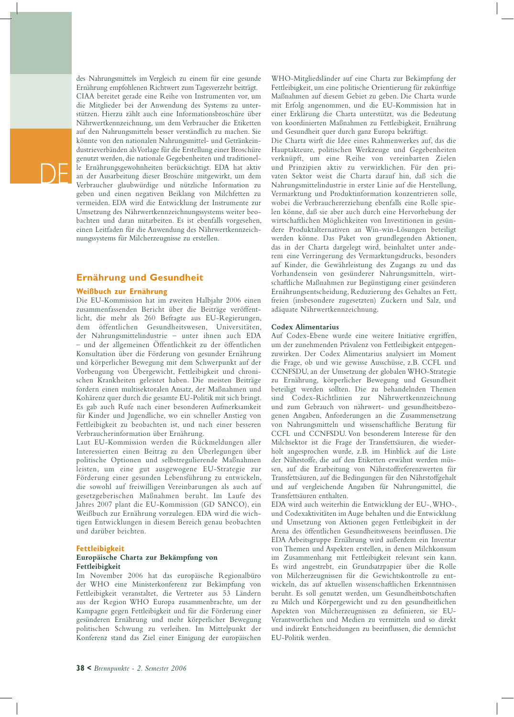des Nahrungsmittels im Vergleich zu einem für eine gesunde Ernährung empfohlenen Richtwert zum Tagesverzehr beiträgt. CIAA bereitet gerade eine Reihe von Instrumenten vor, um die Mitglieder bei der Anwendung des Systems zu unterstützen. Hierzu zählt auch eine Informationsbroschüre über Nährwertkennzeichnung, um dem Verbraucher die Etiketten auf den Nahrungsmitteln besser verständlich zu machen. Sie könnte von den nationalen Nahrungsmittel- und Getränkeindustrieverbänden als Vorlage für die Erstellung einer Broschüre genutzt werden, die nationale Gegebenheiten und traditionelle Ernährungsgewohnheiten berücksichtigt. EDA hat aktiv an der Ausarbeitung dieser Broschüre mitgewirkt, um dem Verbraucher glaubwürdige und nützliche Information zu geben und einen negativen Beiklang von Milchfetten zu vermeiden. EDA wird die Entwicklung der Instrumente zur Umsetzung des Nährwertkennzeichnungssystems weiter beobachten und daran mitarbeiten. Es ist ebenfalls vorgesehen, einen Leitfaden für die Anwendung des Nährwertkennzeichnungssystems für Milcherzeugnisse zu erstellen.

#### **Ernährung und Gesundheit**

#### **Weißbuch zur Ernährung**

DE

Die EU-Kommission hat im zweiten Halbjahr 2006 einen zusammenfassenden Bericht über die Beiträge veröffentlicht, die mehr als 260 Befragte aus EU-Regierungen, dem öffentlichen Gesundheitswesen, Universitäten, der Nahrungsmittelindustrie – unter ihnen auch EDA – und der allgemeinen Öffentlichkeit zu der öffentlichen Konsultation über die Förderung von gesunder Ernährung und körperlicher Bewegung mit dem Schwerpunkt auf der Vorbeugung von Übergewicht, Fettleibigkeit und chronischen Krankheiten geleistet haben. Die meisten Beiträge fordern einen multisektoralen Ansatz, der Maßnahmen und Kohärenz quer durch die gesamte EU-Politik mit sich bringt. Es gab auch Rufe nach einer besonderen Aufmerksamkeit für Kinder und Jugendliche, wo ein schneller Anstieg von Fettleibigkeit zu beobachten ist, und nach einer besseren Verbraucherinformation über Ernährung.

Laut EU-Kommission werden die Rückmeldungen aller Interessierten einen Beitrag zu den Überlegungen über politische Optionen und selbstregulierende Maßnahmen leisten, um eine gut ausgewogene EU-Strategie zur Förderung einer gesunden Lebensführung zu entwickeln, die sowohl auf freiwilligen Vereinbarungen als auch auf gesetzgeberischen Maßnahmen beruht. Im Laufe des Jahres 2007 plant die EU-Kommission (GD SANCO), ein Weißbuch zur Ernährung vorzulegen. EDA wird die wichtigen Entwicklungen in diesem Bereich genau beobachten und darüber beichten.

#### **Fettleibigkeit**

#### **Europäische Charta zur Bekämpfung von Fettleibigkeit**

Im November 2006 hat das europäische Regionalbüro der WHO eine Ministerkonferenz zur Bekämpfung von Fettleibigkeit veranstaltet, die Vertreter aus 53 Ländern aus der Region WHO Europa zusammenbrachte, um der Kampagne gegen Fettleibigkeit und für die Förderung einer gesünderen Ernährung und mehr körperlicher Bewegung politischen Schwung zu verleihen. Im Mittelpunkt der Konferenz stand das Ziel einer Einigung der europäischen WHO-Mitgliedsländer auf eine Charta zur Bekämpfung der Fettleibigkeit, um eine politische Orientierung für zukünftige Maßnahmen auf diesem Gebiet zu geben. Die Charta wurde mit Erfolg angenommen, und die EU-Kommission hat in einer Erklärung die Charta unterstützt, was die Bedeutung von koordinierten Maßnahmen zu Fettleibigkeit, Ernährung und Gesundheit quer durch ganz Europa bekräftigt.

Die Charta wirft die Idee eines Rahmenwerkes auf, das die Hauptakteure, politischen Werkzeuge und Gegebenheiten verknüpft, um eine Reihe von vereinbarten Zielen und Prinzipien aktiv zu verwirklichen. Für den privaten Sektor weist die Charta darauf hin, daß sich die Nahrungsmittelindustrie in erster Linie auf die Herstellung, Vermarktung und Produktinformation konzentrieren solle, wobei die Verbrauchererziehung ebenfalls eine Rolle spielen könne, daß sie aber auch durch eine Hervorhebung der wirtschaftlichen Möglichkeiten von Investitionen in gesündere Produktalternativen an Win-win-Lösungen beteiligt werden könne. Das Paket von grundlegenden Aktionen, das in der Charta dargelegt wird, beinhaltet unter anderem eine Verringerung des Vermarktungsdrucks, besonders auf Kinder, die Gewährleistung des Zugangs zu und das Vorhandensein von gesünderer Nahrungsmitteln, wirtschaftliche Maßnahmen zur Begünstigung einer gesünderen Ernährungsentscheidung, Reduzierung des Gehaltes an Fett, freien (insbesondere zugesetzten) Zuckern und Salz, und adäquate Nährwertkennzeichnung.

#### **Codex Alimentarius**

Auf Codex-Ebene wurde eine weitere Initiative ergriffen, um der zunehmenden Prävalenz von Fettleibigkeit entgegenzuwirken. Der Codex Alimentarius analysiert im Moment die Frage, ob und wie gewisse Ausschüsse, z.B. CCFL und CCNFSDU, an der Umsetzung der globalen WHO-Strategie zu Ernährung, körperlicher Bewegung und Gesundheit beteiligt werden sollten. Die zu behandelnden Themen sind Codex-Richtlinien zur Nährwertkennzeichnung und zum Gebrauch von nährwert- und gesundheitsbezogenen Angaben, Anforderungen an die Zusammensetzung von Nahrungsmitteln und wissenschaftliche Beratung für CCFL und CCNFSDU. Von besonderem Interesse für den Milchsektor ist die Frage der Transfettsäuren, die wiederholt angesprochen wurde, z.B. im Hinblick auf die Liste der Nährstoffe, die auf den Etiketten erwähnt werden müssen, auf die Erarbeitung von Nährstoffreferenzwerten für Transfettsäuren, auf die Bedingungen für den Nährstoffgehalt und auf vergleichende Angaben für Nahrungsmittel, die Transfettsäuren enthalten.

EDA wird auch weiterhin die Entwicklung der EU-, WHO-, und Codexaktivitäten im Auge behalten und die Entwicklung und Umsetzung von Aktionen gegen Fettleibigkeit in der Arena des öffentlichen Gesundheitswesens beeinflussen. Die EDA Arbeitsgruppe Ernährung wird außerdem ein Inventar von Themen und Aspekten erstellen, in denen Milchkonsum im Zusammenhang mit Fettleibigkeit relevant sein kann. Es wird angestrebt, ein Grundsatzpapier über die Rolle von Milcherzeugnissen für die Gewichtskontrolle zu entwickeln, das auf aktuellen wissenschaftlichen Erkenntnissen beruht. Es soll genutzt werden, um Gesundheitsbotschaften zu Milch und Körpergewicht und zu den gesundheitlichen Aspekten von Milcherzeugnissen zu definieren, sie EU-Verantwortlichen und Medien zu vermitteln und so direkt und indirekt Entscheidungen zu beeinflussen, die demnächst EU-Politik werden.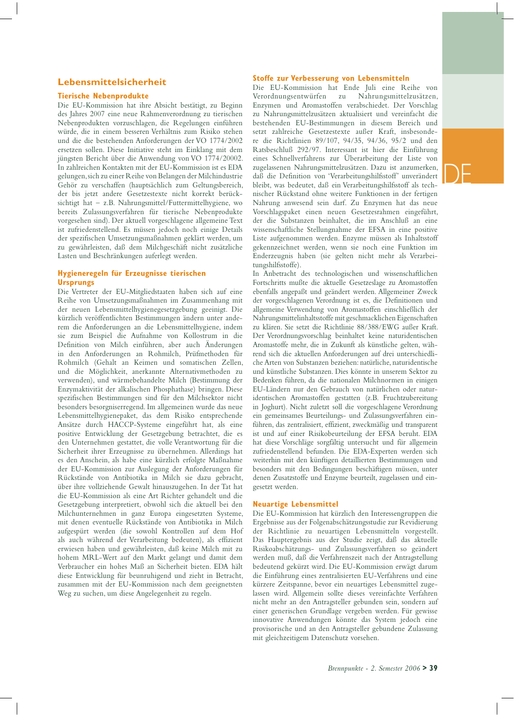# DE

#### **Lebensmittelsicherheit**

#### **Tierische Nebenprodukte**

Die EU-Kommission hat ihre Absicht bestätigt, zu Beginn des Jahres 2007 eine neue Rahmenverordnung zu tierischen Nebenprodukten vorzuschlagen, die Regelungen einführen würde, die in einem besseren Verhältnis zum Risiko stehen und die die bestehenden Anforderungen der VO 1774/2002 ersetzen sollen. Diese Initiative steht im Einklang mit dem jüngsten Bericht über die Anwendung von VO 1774/20002. In zahlreichen Kontakten mit der EU-Kommission ist es EDA gelungen, sich zu einer Reihe von Belangen der Milchindustrie Gehör zu verschaffen (hauptsächlich zum Geltungsbereich, der bis jetzt andere Gesetzestexte nicht korrekt berücksichtigt hat – z.B. Nahrungsmittel/Futtermittelhygiene, wo bereits Zulassungsverfahren für tierische Nebenprodukte vorgesehen sind). Der aktuell vorgeschlagene allgemeine Text ist zufriedenstellend. Es müssen jedoch noch einige Details der spezifischen Umsetzungsmaßnahmen geklärt werden, um zu gewährleisten, daß dem Milchgeschäft nicht zusätzliche Lasten und Beschränkungen auferlegt werden.

#### **Hygieneregeln für Erzeugnisse tierischen Ursprungs**

Die Vertreter der EU-Mitgliedstaaten haben sich auf eine Reihe von Umsetzungsmaßnahmen im Zusammenhang mit der neuen Lebensmittelhygienegesetzgebung geeinigt. Die kürzlich veröffentlichten Bestimmungen ändern unter anderem die Anforderungen an die Lebensmittelhygiene, indem sie zum Beispiel die Aufnahme von Kollostrum in die Definition von Milch einführen, aber auch Änderungen in den Anforderungen an Rohmilch, Prüfmethoden für Rohmilch (Gehalt an Keimen und somatischen Zellen, und die Möglichkeit, anerkannte Alternativmethoden zu verwenden), und wärmebehandelte Milch (Bestimmung der Enzymaktivität der alkalischen Phosphathase) bringen. Diese spezifischen Bestimmungen sind für den Milchsektor nicht besonders besorgniserregend. Im allgemeinen wurde das neue Lebensmittelhygienepaket, das dem Risiko entsprechende Ansätze durch HACCP-Systeme eingeführt hat, als eine positive Entwicklung der Gesetzgebung betrachtet, die es den Unternehmen gestattet, die volle Verantwortung für die Sicherheit ihrer Erzeugnisse zu übernehmen. Allerdings hat es den Anschein, als habe eine kürzlich erfolgte Maßnahme der EU-Kommission zur Auslegung der Anforderungen für Rückstände von Antibiotika in Milch sie dazu gebracht, über ihre vollziehende Gewalt hinauszugehen. In der Tat hat die EU-Kommission als eine Art Richter gehandelt und die Gesetzgebung interpretiert, obwohl sich die aktuell bei den Milchunternehmen in ganz Europa eingesetzten Systeme, mit denen eventuelle Rückstände von Antibiotika in Milch aufgespürt werden (die sowohl Kontrollen auf dem Hof als auch während der Verarbeitung bedeuten), als effizient erwiesen haben und gewährleisten, daß keine Milch mit zu hohem MRL-Wert auf den Markt gelangt und damit dem Verbraucher ein hohes Maß an Sicherheit bieten. EDA hält diese Entwicklung für beunruhigend und zieht in Betracht, zusammen mit der EU-Kommission nach dem geeignetsten Weg zu suchen, um diese Angelegenheit zu regeln.

#### **Stoffe zur Verbesserung von Lebensmitteln**

Die EU-Kommission hat Ende Juli eine Reihe von Verordnungsentwürfen zu Nahrungsmittelzusätzen, Enzymen und Aromastoffen verabschiedet. Der Vorschlag zu Nahrungsmittelzusätzen aktualisiert und vereinfacht die bestehenden EU-Bestimmungen in diesem Bereich und setzt zahlreiche Gesetzestexte außer Kraft, insbesondere die Richtlinien 89/107, 94/35, 94/36, 95/2 und den Ratsbeschluß 292/97. Interessant ist hier die Einführung eines Schnellverfahrens zur Überarbeitung der Liste von zugelassenen Nahrungsmittelzusätzen. Dazu ist anzumerken, daß die Definition von 'Verarbeitungshilfsstoff' unverändert bleibt, was bedeutet, daß ein Verarbeitungshilfsstoff als technischer Rückstand ohne weitere Funktionen in der fertigen Nahrung anwesend sein darf. Zu Enzymen hat das neue Vorschlagspaket einen neuen Gesetzesrahmen eingeführt, der die Substanzen beinhaltet, die im Anschluß an eine wissenschaftliche Stellungnahme der EFSA in eine positive Liste aufgenommen werden. Enzyme müssen als Inhaltsstoff gekennzeichnet werden, wenn sie noch eine Funktion im Enderzeugnis haben (sie gelten nicht mehr als Verarbeitungshilfsstoffe).

In Anbetracht des technologischen und wissenschaftlichen Fortschritts mußte die aktuelle Gesetzeslage zu Aromastoffen ebenfalls angepaßt und geändert werden. Allgemeiner Zweck der vorgeschlagenen Verordnung ist es, die Definitionen und allgemeine Verwendung von Aromastoffen einschließlich der Nahrungsmittelinhaltsstoffe mit geschmacklichen Eigenschaften zu klären. Sie setzt die Richtlinie 88/388/EWG außer Kraft. Der Verordnungsvorschlag beinhaltet keine naturidentischen Aromastoffe mehr, die in Zukunft als künstliche gelten, während sich die aktuellen Anforderungen auf drei unterschiedliche Arten von Substanzen beziehen: natürliche, naturidentische und künstliche Substanzen. Dies könnte in unserem Sektor zu Bedenken führen, da die nationalen Milchnormen in einigen EU-Ländern nur den Gebrauch von natürlichen oder naturidentischen Aromastoffen gestatten (z.B. Fruchtzubereitung in Joghurt). Nicht zuletzt soll die vorgeschlagene Verordnung ein gemeinsames Beurteilungs- und Zulassungsverfahren einführen, das zentralisiert, effizient, zweckmäßig und transparent ist und auf einer Risikobeurteilung der EFSA beruht. EDA hat diese Vorschläge sorgfältig untersucht und für allgemein zufriedenstellend befunden. Die EDA-Experten werden sich weiterhin mit den künftigen detaillierten Bestimmungen und besonders mit den Bedingungen beschäftigen müssen, unter denen Zusatzstoffe und Enzyme beurteilt, zugelassen und eingesetzt werden.

#### **Neuartige Lebensmittel**

Die EU-Kommission hat kürzlich den Interessengruppen die Ergebnisse aus der Folgenabschätzungsstudie zur Revidierung der Richtlinie zu neuartigen Lebensmitteln vorgestellt. Das Hauptergebnis aus der Studie zeigt, daß das aktuelle Risikoabschätzungs- und Zulassungsverfahren so geändert werden muß, daß die Verfahrenszeit nach der Antragstellung bedeutend gekürzt wird. Die EU-Kommission erwägt darum die Einführung eines zentralisierten EU-Verfahrens und eine kürzere Zeitspanne, bevor ein neuartiges Lebensmittel zugelassen wird. Allgemein sollte dieses vereinfachte Verfahren nicht mehr an den Antragsteller gebunden sein, sondern auf einer generischen Grundlage vergeben werden. Für gewisse innovative Anwendungen könnte das System jedoch eine provisorische und an den Antragsteller gebundene Zulassung mit gleichzeitigem Datenschutz vorsehen.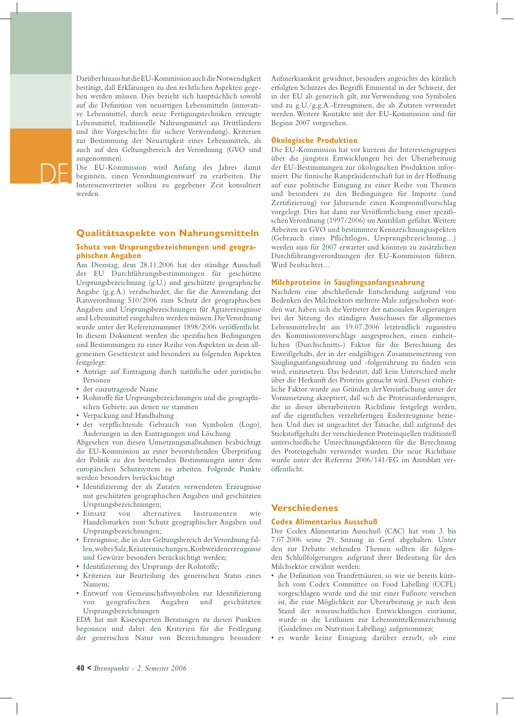Darüber hinaus hat die EU-Kommission auch die Notwendigkeit bestätigt, daß Erklärungen zu den rechtlichen Aspekten gegeben werden müssen. Dies bezieht sich hauptsächlich sowohl auf die Definition von neuartigen Lebensmitteln (innovative Lebensmittel, durch neue Fertigungstechniken erzeugte Lebensmittel, traditionelle Nahrungsmittel aus Drittländern und ihre Vorgeschichte für sichere Verwendung), Kriterien zur Bestimmung der Neuartigkeit eines Lebensmittels, als auch auf den Geltungsbereich der Verordnung (GVO sind ausgenommen).

Die EU-Kommission wird Anfang des Jahres damit beginnen, einen Verordnungsentwurf zu erarbeiten. Die Interessenvertreter sollten zu gegebener Zeit konsultiert werden.

#### **Qualitätsaspekte von Nahrungsmitteln**

#### **Schutz von Ursprungsbezeichnungen und geographischen Angaben**

Am Dienstag, dem 28.11.2006 hat der ständige Ausschuß der EU Durchführungsbestimmungen für geschützte Ursprungsbezeichnung (g.U.) und geschützte geographische Angabe (g.g.A.) verabschiedet, die für die Anwendung der Ratsverordnung 510/2006 zum Schutz der geographischen Angaben und Ursprungsbezeichnungen für Agrarerzeugnisse und Lebensmittel eingehalten werden müssen. Die Verordnung wurde unter der Referenznummer 1898/2006 veröffentlicht. In diesem Dokument werden die spezifischen Bedingungen und Bestimmungen zu einer Reihe von Aspekten in dem allgemeinen Gesetzestext und besonders zu folgenden Aspekten festgelegt:

- Anträge auf Eintragung durch natürliche oder juristische Personen
- der einzutragende Name
- Rohstoffe für Ursprungsbezeichnungen und die geographischen Gebiete, aus denen sie stammen
- Verpackung und Handhabung
- der verpflichtende Gebrauch von Symbolen (Logo), Änderungen in den Eintragungen und Löschung

Abgesehen von diesen Umsetzungsmaßnahmen beabsichtigt die EU-Kommission an einer bevorstehenden Überprüfung der Politik zu den bestehenden Bestimmungen unter dem europäischen Schutzsystem zu arbeiten. Folgende Punkte werden besonders berücksichtigt

- Identifizierung der als Zutaten verwendeten Erzeugnisse mit geschützten geographischen Angaben und geschützten Ursprungsbezeichnungen;
- Einsatz von alternativen Instrumenten wie Handelsmarken zum Schutz geographischer Angaben und Ursprungsbezeichnungen;
- Erzeugnisse, die in den Geltungsbereich der Verordnung fallen, wobei Salz, Kräutermischungen, Korbweidenerzeugnisse und Gewürze besonders berücksichtigt werden;
- Identifizierung des Ursprungs der Rohstoffe;
- Kriterien zur Beurteilung des generischen Status eines Namens;
- Entwurf von Gemeinschaftssymbolen zur Identifizierung von geografischen Angaben und geschützten Ursprungsbezeichnungen

EDA hat mit Käseexperten Beratungen zu diesen Punkten begonnen und dabei den Kriterien für die Festlegung der generischen Natur von Bezeichnungen besondere Aufmerksamkeit gewidmet, besonders angesichts des kürzlich erfolgten Schutzes des Begriffs Emmental in der Schweiz, der in der EU als generisch gilt, zur Verwendung von Symbolen und zu g.U./g.g.A.-Erzeugnissen, die als Zutaten verwendet werden. Weitere Kontakte mit der EU-Kommission sind für Beginn 2007 vorgesehen.

#### **Ökologische Produktion**

Die EU-Kommission hat vor kurzem die Interessengruppen über die jüngsten Entwicklungen bei der Überarbeitung der EU-Bestimmungen zur ökologischen Produktion informiert. Die finnische Ratspräsidentschaft hat in der Hoffnung auf eine politische Einigung zu einer Reihe von Themen und besonders zu den Bedingungen für Importe (und Zertifizierung) vor Jahresende einen Kompromißvorschlag vorgelegt. Dies hat dann zur Veröffentlichung einer spezifischen Verordnung (1997/2006) im Amtsblatt geführt. Weitere Arbeiten zu GVO und bestimmten Kennzeichnungsaspekten (Gebrauch eines Pflichtlogos, Ursprungsbezeichnung…) werden nun für 2007 erwartet und könnten zu zusätzlichen Durchführungsverordnungen der EU-Kommission führen. Wird beobachtet…

#### **Milchproteine in Säuglingsanfangsnahrung**

Nachdem eine abschließende Entscheidung aufgrund von Bedenken des Milchsektors mehrere Male aufgeschoben worden war, haben sich die Vertreter der nationalen Regierungen bei der Sitzung des ständigen Ausschusses für allgemeines Lebensmittelrecht am 19.07.2006 letztendlich zugunsten des Kommissionsvorschlags ausgesprochen, einen einheitlichen (Durchschnitts-) Faktor für die Berechnung des Eiweißgehalts, der in der endgültigen Zusammensetzung von Säuglingsanfangsnahrung und -folgenahrung zu finden sein wird, einzusetzen. Das bedeutet, daß kein Unterschied mehr über die Herkunft des Proteins gemacht wird. Dieser einheitliche Faktor wurde aus Gründen der Vereinfachung unter der Voraussetzung akzeptiert, daß sich die Proteinanforderungen, die in dieser überarbeiteten Richtlinie festgelegt werden, auf die eigentlichen verzehrfertigen Enderzeugnisse beziehen. Und dies ist ungeachtet der Tatsache, daß aufgrund des Stickstoffgehalts der verschiedenen Proteinquellen traditionell unterschiedliche Umrechnungsfaktoren für die Berechnung des Proteingehalts verwendet wurden. Die neue Richtlinie wurde unter der Referenz 2006/141/EG im Amtsblatt veröffentlicht.

#### **Verschiedenes**

#### **Codex Alimentarius Ausschuß**

Der Codex Alimentarius Ausschuß (CAC) hat vom 3. bis 7.07.2006 seine 29. Sitzung in Genf abgehalten. Unter den zur Debatte stehenden Themen sollten die folgenden Schlußfolgerungen aufgrund ihrer Bedeutung für den Milchsektor erwähnt werden:

- die Definition von Transfettsäuren, so wie sie bereits kürzlich vom Codex Committee on Food Labelling (CCFL) vorgeschlagen wurde und die mit einer Fußnote versehen ist, die eine Möglichkeit zur Überarbeitung je nach dem Stand der wissenschaftlichen Entwicklungen einräumt, wurde in die Leitlinien zur Lebensmittelkennzeichnung (Guidelines on Nutrition Labelling) aufgenommen;
- es wurde keine Einigung darüber erzielt, ob eine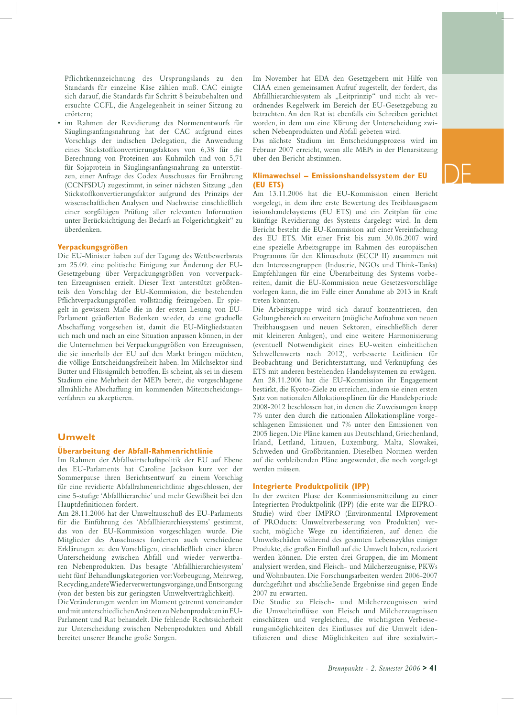DE

Pflichtkennzeichnung des Ursprungslands zu den Standards für einzelne Käse zählen muß. CAC einigte sich darauf, die Standards für Schritt 8 beizubehalten und ersuchte CCFL, die Angelegenheit in seiner Sitzung zu erörtern;

im Rahmen der Revidierung des Normenentwurfs für Säuglingsanfangsnahrung hat der CAC aufgrund eines Vorschlags der indischen Delegation, die Anwendung eines Stickstoffkonvertierungsfaktors von 6,38 für die Berechnung von Proteinen aus Kuhmilch und von 5,71 für Sojaprotein in Säuglingsanfangsnahrung zu unterstützen, einer Anfrage des Codex Ausschusses für Ernährung (CCNFSDU) zugestimmt, in seiner nächsten Sitzung "den Stickstoffkonvertierungsfaktor aufgrund des Prinzips der wissenschaftlichen Analysen und Nachweise einschließlich einer sorgfältigen Prüfung aller relevanten Information unter Berücksichtigung des Bedarfs an Folgerichtigkeit" zu überdenken.

#### **Verpackungsgrößen**

Die EU-Minister haben auf der Tagung des Wettbewerbsrats am 25.09. eine politische Einigung zur Änderung der EU-Gesetzgebung über Verpackungsgrößen von vorverpackten Erzeugnissen erzielt. Dieser Text unterstützt größtenteils den Vorschlag der EU-Kommission, die bestehenden Pflichtverpackungsgrößen vollständig freizugeben. Er spiegelt in gewissem Maße die in der ersten Lesung von EU-Parlament geäußerten Bedenken wieder, da eine graduelle Abschaffung vorgesehen ist, damit die EU-Mitgliedstaaten sich nach und nach an eine Situation anpassen können, in der die Unternehmen bei Verpackungsgrößen von Erzeugnissen, die sie innerhalb der EU auf den Markt bringen möchten, die völlige Entscheidungsfreiheit haben. Im Milchsektor sind Butter und Flüssigmilch betroffen. Es scheint, als sei in diesem Stadium eine Mehrheit der MEPs bereit, die vorgeschlagene allmähliche Abschaffung im kommenden Mitentscheidungsverfahren zu akzeptieren.

#### **Umwelt**

#### **Überarbeitung der Abfall-Rahmenrichtlinie**

Im Rahmen der Abfallwirtschaftspolitik der EU auf Ebene des EU-Parlaments hat Caroline Jackson kurz vor der Sommerpause ihren Berichtsentwurf zu einem Vorschlag für eine revidierte Abfallrahmenrichtlinie abgeschlossen, der eine 5-stufige 'Abfallhierarchie' und mehr Gewißheit bei den Hauptdefinitionen fordert.

Am 28.11.2006 hat der Umweltausschuß des EU-Parlaments für die Einführung des 'Abfallhierarchiesystems' gestimmt, das von der EU-Kommission vorgeschlagen wurde. Die Mitglieder des Ausschusses forderten auch verschiedene Erklärungen zu den Vorschlägen, einschließlich einer klaren Unterscheidung zwischen Abfall und wieder verwertbaren Nebenprodukten. Das besagte 'Abfallhierarchiesystem' sieht fünf Behandlungskategorien vor: Vorbeugung, Mehrweg, Recycling, andere Wiederverwertungsvorgänge, und Entsorgung (von der besten bis zur geringsten Umweltverträglichkeit).

Die Veränderungen werden im Moment getrennt voneinander und mit unterschiedlichen Ansätzen zu Nebenprodukten in EU-Parlament und Rat behandelt. Die fehlende Rechtssicherheit zur Unterscheidung zwischen Nebenprodukten und Abfall bereitet unserer Branche große Sorgen.

Im November hat EDA den Gesetzgebern mit Hilfe von CIAA einen gemeinsamen Aufruf zugestellt, der fordert, das Abfallhierarchiesystem als "Leitprinzip" und nicht als verordnendes Regelwerk im Bereich der EU-Gesetzgebung zu betrachten. An den Rat ist ebenfalls ein Schreiben gerichtet worden, in dem um eine Klärung der Unterscheidung zwischen Nebenprodukten und Abfall gebeten wird.

Das nächste Stadium im Entscheidungsprozess wird im Februar 2007 erreicht, wenn alle MEPs in der Plenarsitzung über den Bericht abstimmen.

#### **Klimawechsel – Emissionshandelssystem der EU (EU ETS)**

Am 13.11.2006 hat die EU-Kommission einen Bericht vorgelegt, in dem ihre erste Bewertung des Treibhausgasem issionshandelssystems (EU ETS) und ein Zeitplan für eine künftige Revidierung des Systems dargelegt wird. In dem Bericht besteht die EU-Kommission auf einer Vereinfachung des EU ETS. Mit einer Frist bis zum 30.06.2007 wird eine spezielle Arbeitsgruppe im Rahmen des europäischen Programms für den Klimaschutz (ECCP II) zusammen mit den Interessengruppen (Industrie, NGOs und Think-Tanks) Empfehlungen für eine Überarbeitung des Systems vorbereiten, damit die EU-Kommission neue Gesetzesvorschläge vorlegen kann, die im Falle einer Annahme ab 2013 in Kraft treten könnten.

Die Arbeitsgruppe wird sich darauf konzentrieren, den Geltungsbereich zu erweitern (mögliche Aufnahme von neuen Treibhausgasen und neuen Sektoren, einschließlich derer mit kleineren Anlagen), und eine weitere Harmonisierung (eventuell Notwendigkeit eines EU-weiten einheitlichen Schwellenwerts nach 2012), verbesserte Leitlinien für Beobachtung und Berichterstattung, und Verknüpfung des ETS mit anderen bestehenden Handelssystemen zu erwägen. Am 28.11.2006 hat die EU-Kommission ihr Engagement bestärkt, die Kyoto-Ziele zu erreichen, indem sie einen ersten Satz von nationalen Allokationsplänen für die Handelsperiode 2008-2012 beschlossen hat, in denen die Zuweisungen knapp 7% unter den durch die nationalen Allokationspläne vorgeschlagenen Emissionen und 7% unter den Emissionen von 2005 liegen. Die Pläne kamen aus Deutschland, Griechenland, Irland, Lettland, Litauen, Luxemburg, Malta, Slowakei, Schweden und Großbritannien. Dieselben Normen werden auf die verbleibenden Pläne angewendet, die noch vorgelegt werden müssen.

#### **Integrierte Produktpolitik (IPP)**

In der zweiten Phase der Kommissionsmitteilung zu einer Integrierten Produktpolitik (IPP) (die erste war die EIPRO-Studie) wird über IMPRO (Environmental IMprovement of PROducts: Umweltverbesserung von Produkten) versucht, mögliche Wege zu identifizieren, auf denen die Umweltschäden während des gesamten Lebenszyklus einiger Produkte, die großen Einfluß auf die Umwelt haben, reduziert werden können. Die ersten drei Gruppen, die im Moment analysiert werden, sind Fleisch- und Milcherzeugnisse, PKWs und Wohnbauten. Die Forschungsarbeiten werden 2006-2007 durchgeführt und abschließende Ergebnisse sind gegen Ende 2007 zu erwarten.

Die Studie zu Fleisch- und Milcherzeugnissen wird die Umwelteinflüsse von Fleisch und Milcherzeugnissen einschätzen und vergleichen, die wichtigsten Verbesserungsmöglichkeiten des Einflusses auf die Umwelt identifizieren und diese Möglichkeiten auf ihre sozialwirt-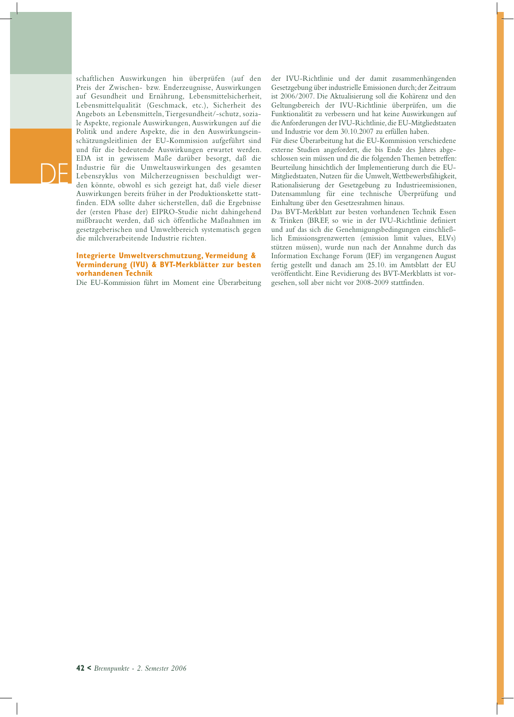schaftlichen Auswirkungen hin überprüfen (auf den Preis der Zwischen- bzw. Enderzeugnisse, Auswirkungen auf Gesundheit und Ernährung, Lebensmittelsicherheit, Lebensmittelqualität (Geschmack, etc.), Sicherheit des Angebots an Lebensmitteln, Tiergesundheit/-schutz, soziale Aspekte, regionale Auswirkungen, Auswirkungen auf die Politik und andere Aspekte, die in den Auswirkungseinschätzungsleitlinien der EU-Kommission aufgeführt sind und für die bedeutende Auswirkungen erwartet werden. EDA ist in gewissem Maße darüber besorgt, daß die Industrie für die Umweltauswirkungen des gesamten Lebenszyklus von Milcherzeugnissen beschuldigt werden könnte, obwohl es sich gezeigt hat, daß viele dieser Auswirkungen bereits früher in der Produktionskette stattfinden. EDA sollte daher sicherstellen, daß die Ergebnisse der (ersten Phase der) EIPRO-Studie nicht dahingehend mißbraucht werden, daß sich öffentliche Maßnahmen im gesetzgeberischen und Umweltbereich systematisch gegen die milchverarbeitende Industrie richten.

#### **Integrierte Umweltverschmutzung, Vermeidung & Verminderung (IVU) & BVT-Merkblätter zur besten vorhandenen Technik**

Die EU-Kommission führt im Moment eine Überarbeitung

der IVU-Richtlinie und der damit zusammenhängenden Gesetzgebung über industrielle Emissionen durch; der Zeitraum ist 2006/2007. Die Aktualisierung soll die Kohärenz und den Geltungsbereich der IVU-Richtlinie überprüfen, um die Funktionalität zu verbessern und hat keine Auswirkungen auf die Anforderungen der IVU-Richtlinie, die EU-Mitgliedstaaten und Industrie vor dem 30.10.2007 zu erfüllen haben.

Für diese Überarbeitung hat die EU-Kommission verschiedene externe Studien angefordert, die bis Ende des Jahres abgeschlossen sein müssen und die die folgenden Themen betreffen: Beurteilung hinsichtlich der Implementierung durch die EU-Mitgliedstaaten, Nutzen für die Umwelt, Wettbewerbsfähigkeit, Rationalisierung der Gesetzgebung zu Industrieemissionen, Datensammlung für eine technische Überprüfung und Einhaltung über den Gesetzesrahmen hinaus.

Das BVT-Merkblatt zur besten vorhandenen Technik Essen & Trinken (BREF, so wie in der IVU-Richtlinie definiert und auf das sich die Genehmigungsbedingungen einschließlich Emissionsgrenzwerten (emission limit values, ELVs) stützen müssen), wurde nun nach der Annahme durch das Information Exchange Forum (IEF) im vergangenen August fertig gestellt und danach am 25.10. im Amtsblatt der EU veröffentlicht. Eine Revidierung des BVT-Merkblatts ist vorgesehen, soll aber nicht vor 2008-2009 stattfinden.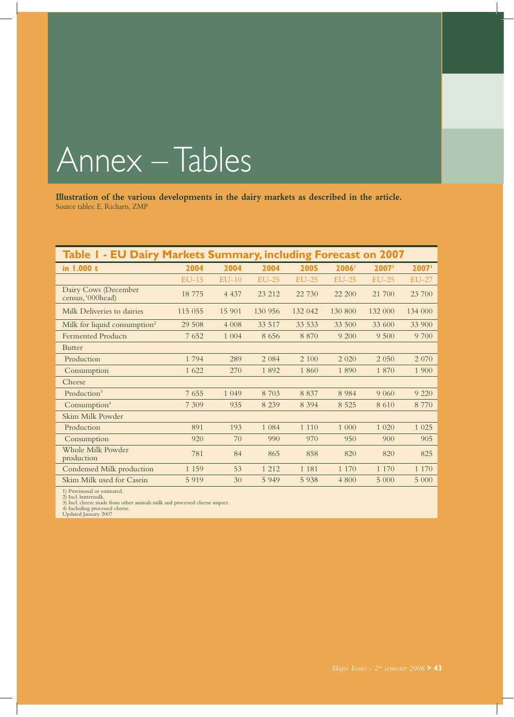# Annex – Tables

**Illustration of the various developments in the dairy markets as described in the article.** Source tables: E. Richarts, ZMP

| Table I - EU Dairy Markets Summary, including Forecast on 2007 |         |         |              |         |         |              |              |
|----------------------------------------------------------------|---------|---------|--------------|---------|---------|--------------|--------------|
| in 1.000 t                                                     | 2004    | 2004    | 2004         | 2005    | 2006    | 2007         | 2007         |
|                                                                | $EU-15$ | $EU-10$ | <b>EU-25</b> | $EU-25$ | $EU-25$ | <b>EU-25</b> | <b>EU-27</b> |
| Dairy Cows (December<br>census, '000head)                      | 18775   | 4 4 3 7 | 23 212       | 22 730  | 22 200  | 21 700       | 23 700       |
| Milk Deliveries to dairies                                     | 115 055 | 15 901  | 130 956      | 132 042 | 130 800 | 132 000      | 134 000      |
| Milk for liquid consumption <sup>2</sup>                       | 29 508  | 4 0 0 8 | 33 517       | 33 533  | 33 500  | 33 600       | 33 900       |
| <b>Fermented Products</b>                                      | 7652    | 1 0 0 4 | 8656         | 8 8 7 0 | 9 200   | 9 500        | 9 700        |
| <b>Butter</b>                                                  |         |         |              |         |         |              |              |
| Production                                                     | 1794    | 289     | 2 0 8 4      | 2 100   | 2 0 2 0 | 2 0 5 0      | 2 0 7 0      |
| Consumption                                                    | 1 622   | 270     | 1892         | 1 860   | 1890    | 1 870        | 1 900        |
| Cheese                                                         |         |         |              |         |         |              |              |
| Production <sup>3</sup>                                        | 7655    | 1 0 4 9 | 8 7 0 3      | 8 8 3 7 | 8 9 8 4 | 9 0 6 0      | 9 2 2 0      |
| Consumption <sup>4</sup>                                       | 7 3 0 9 | 935     | 8 2 3 9      | 8 3 9 4 | 8 5 2 5 | 8610         | 8 7 7 0      |
| Skim Milk Powder                                               |         |         |              |         |         |              |              |
| Production                                                     | 891     | 193     | 1 0 8 4      | 1 1 1 0 | 1 000   | 1 0 20       | 1 0 2 5      |
| Consumption                                                    | 920     | 70      | 990          | 970     | 950     | 900          | 905          |
| Whole Milk Powder<br>production                                | 781     | 84      | 865          | 858     | 820     | 820          | 825          |
| Condensed Milk production                                      | 1 1 5 9 | 53      | 1 2 1 2      | 1 1 8 1 | 1 1 7 0 | 1 1 7 0      | 1 1 7 0      |
| Skim Milk used for Casein                                      | 5 9 1 9 | 30      | 5 9 4 9      | 5 9 3 8 | 4 800   | 5 000        | 5 000        |

1) Provisional or estimated. 2) Incl. buttermilk. 3) Incl. cheese made from other animals milk and processed cheese impact. 4) Including processed cheese. Updated January 2007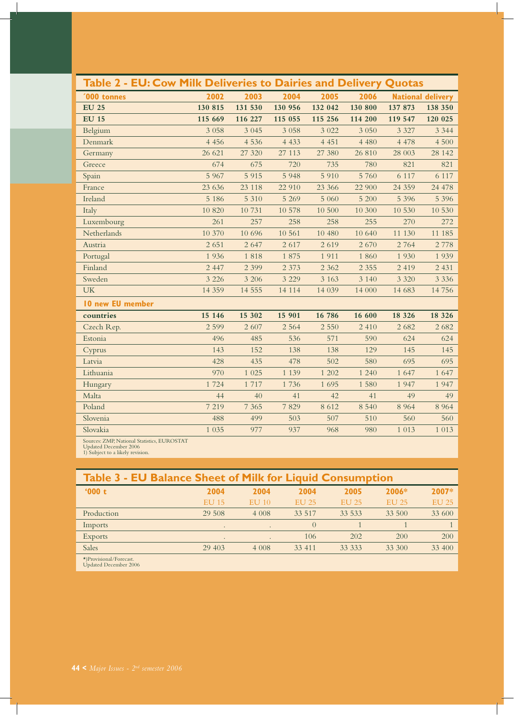| Table 2 - EU: Cow Milk Deliveries to Dairies and Delivery Quotas |          |          |         |         |         |          |                          |
|------------------------------------------------------------------|----------|----------|---------|---------|---------|----------|--------------------------|
| <b>'000 tonnes</b>                                               | 2002     | 2003     | 2004    | 2005    | 2006    |          | <b>National delivery</b> |
| <b>EU 25</b>                                                     | 130 815  | 131 530  | 130 956 | 132 042 | 130 800 | 137 873  | 138 350                  |
| <b>EU 15</b>                                                     | 115 669  | 116 227  | 115 055 | 115 256 | 114 200 | 119 547  | 120 025                  |
| Belgium                                                          | 3 0 5 8  | 3 0 4 5  | 3 0 5 8 | 3 0 2 2 | 3 0 5 0 | 3 3 2 7  | 3 3 4 4                  |
| Denmark                                                          | 4 4 5 6  | 4 5 3 6  | 4 4 3 3 | 4 4 5 1 | 4 4 8 0 | 4 4 7 8  | 4 500                    |
| Germany                                                          | 26 621   | 27 3 20  | 27 113  | 27 380  | 26 810  | 28 003   | 28 14 2                  |
| Greece                                                           | 674      | 675      | 720     | 735     | 780     | 821      | 821                      |
| Spain                                                            | 5 9 6 7  | 5 9 1 5  | 5 9 4 8 | 5 9 1 0 | 5 760   | 6 1 1 7  | 6 1 1 7                  |
| France                                                           | 23 636   | 23 118   | 22 910  | 23 366  | 22 900  | 24 3 5 9 | 24 478                   |
| Ireland                                                          | 5 1 8 6  | 5 3 1 0  | 5 2 6 9 | 5 0 6 0 | 5 200   | 5 3 9 6  | 5 3 9 6                  |
| Italy                                                            | 10 820   | 10731    | 10 578  | 10 500  | 10 300  | 10 530   | 10 530                   |
| Luxembourg                                                       | 261      | 257      | 258     | 258     | 255     | 270      | 272                      |
| Netherlands                                                      | 10 370   | 10 69 6  | 10 561  | 10 480  | 10 640  | 11 130   | 11 185                   |
| Austria                                                          | 2 6 5 1  | 2 6 4 7  | 2617    | 2619    | 2 670   | 2 7 6 4  | 2 7 7 8                  |
| Portugal                                                         | 1936     | 1818     | 1875    | 1911    | 1 860   | 1930     | 1939                     |
| Finland                                                          | 2 4 4 7  | 2 3 9 9  | 2 3 7 3 | 2 3 6 2 | 2 3 5 5 | 2 4 1 9  | 2 4 3 1                  |
| Sweden                                                           | 3 2 2 6  | 3 2 0 6  | 3 2 2 9 | 3 1 6 3 | 3 140   | 3 3 2 0  | 3 3 3 6                  |
| <b>UK</b>                                                        | 14 3 5 9 | 14 5 5 5 | 14 114  | 14 039  | 14 000  | 14 683   | 14756                    |
| 10 new EU member                                                 |          |          |         |         |         |          |                          |
| countries                                                        | 15 146   | 15 302   | 15 901  | 16 786  | 16 600  | 18 3 26  | 18 3 26                  |
| Czech Rep.                                                       | 2 5 9 9  | 2 607    | 2 5 6 4 | 2 5 5 0 | 2 4 1 0 | 2682     | 2682                     |
| Estonia                                                          | 496      | 485      | 536     | 571     | 590     | 624      | 624                      |
| Cyprus                                                           | 143      | 152      | 138     | 138     | 129     | 145      | 145                      |
| Latvia                                                           | 428      | 435      | 478     | 502     | 580     | 695      | 695                      |
| Lithuania                                                        | 970      | 1 0 25   | 1 1 3 9 | 1 202   | 1 240   | 1 647    | 1 647                    |
| Hungary                                                          | 1724     | 1717     | 1736    | 1 6 9 5 | 1 580   | 1947     | 1947                     |
| Malta                                                            | 44       | 40       | 41      | 42      | 41      | 49       | 49                       |
| Poland                                                           | 7 2 1 9  | 7 3 6 5  | 7829    | 8 6 1 2 | 8 5 4 0 | 8 9 6 4  | 8 9 6 4                  |
| Slovenia                                                         | 488      | 499      | 503     | 507     | 510     | 560      | 560                      |
| Slovakia                                                         | 1 0 35   | 977      | 937     | 968     | 980     | 1 0 1 3  | 1 0 1 3                  |

Sources: ZMP, National Statistics, EUROSTAT Updated December 2006 1) Subject to a likely revision.

|              | Table 3 - EU Balance Sheet of Milk for Liquid Consumption |         |              |        |              |              |
|--------------|-----------------------------------------------------------|---------|--------------|--------|--------------|--------------|
| '000t        | 2004                                                      | 2004    | 2004         | 2005   | $2006*$      | 2007*        |
|              | <b>EU 15</b>                                              | EU 10   | <b>EU 25</b> | EU 25  | <b>EU 25</b> | <b>EU 25</b> |
| Production   | 29 508                                                    | 4 0 0 8 | 33 517       | 33 533 | 33 500       | 33 600       |
| Imports      | $\cdot$                                                   |         | $\theta$     |        |              |              |
| Exports      |                                                           |         | 106          | 202    | 200          | 200          |
| <b>Sales</b> | 29 403                                                    | 4 0 0 8 | 33 411       | 33 333 | 33 300       | 33 400       |

\*)Provisional/Forecast. Updated December 2006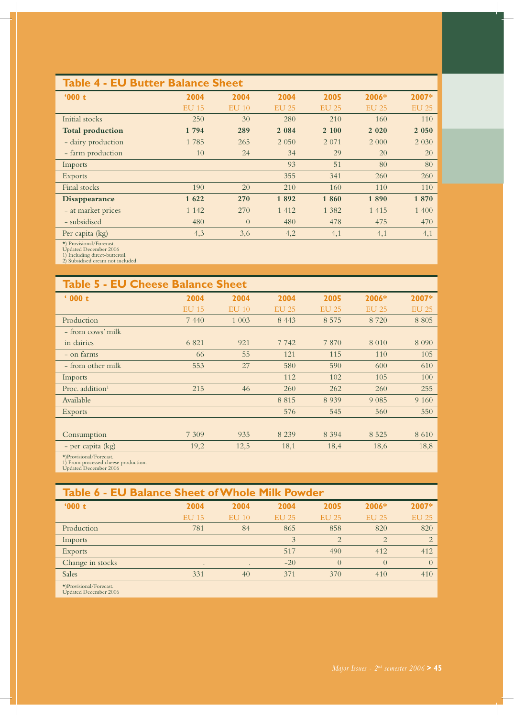### **Table 4 - EU Butter Balance Sheet**

| '000t                   | 2004         | 2004     | 2004         | 2005         | 2006*        | 2007*        |
|-------------------------|--------------|----------|--------------|--------------|--------------|--------------|
|                         | <b>EU 15</b> | $EU$ 10  | <b>EU 25</b> | <b>EU 25</b> | <b>EU 25</b> | <b>EU 25</b> |
| Initial stocks          | 250          | 30       | 280          | 210          | 160          | 110          |
| <b>Total production</b> | 1 794        | 289      | 2 0 8 4      | 2 100        | 2 0 2 0      | 2 0 5 0      |
| - dairy production      | 1785         | 265      | 2 0 5 0      | 2 0 7 1      | 2 0 0 0      | 2 0 3 0      |
| - farm production       | 10           | 24       | 34           | 29           | 20           | 20           |
| Imports                 |              |          | 93           | 51           | 80           | 80           |
| <b>Exports</b>          |              |          | 355          | 341          | 260          | 260          |
| Final stocks            | 190          | 20       | 210          | 160          | 110          | 110          |
| <b>Disappearance</b>    | 1 622        | 270      | 1892         | 1860         | 1890         | 1870         |
| - at market prices      | 1 1 4 2      | 270      | 1 4 1 2      | 1 3 8 2      | 1 4 1 5      | 1 400        |
| - subsidised            | 480          | $\Omega$ | 480          | 478          | 475          | 470          |
| Per capita (kg)         | 4,3          | 3,6      | 4,2          | 4,1          | 4,1          | 4,1          |

\*) Provisional/Forecast. Updated December 2006 1) Including direct-butteroil. 2) Subsidised cream not included.

| <b>Table 5 - EU Cheese Balance Sheet</b> |              |              |              |              |              |              |
|------------------------------------------|--------------|--------------|--------------|--------------|--------------|--------------|
| 600t                                     | 2004         | 2004         | 2004         | 2005         | 2006*        | 2007*        |
|                                          | <b>EU 15</b> | <b>EU 10</b> | <b>EU 25</b> | <b>EU 25</b> | <b>EU 25</b> | <b>EU 25</b> |
| Production                               | 7 4 4 0      | 1 0 0 3      | 8 4 4 3      | 8 5 7 5      | 8 7 2 0      | 8 8 0 5      |
| - from cows' milk                        |              |              |              |              |              |              |
| in dairies                               | 6 8 2 1      | 921          | 7742         | 7870         | 8 0 1 0      | 8 0 9 0      |
| - on farms                               | 66           | 55           | 121          | 115          | 110          | 105          |
| - from other milk                        | 553          | 27           | 580          | 590          | 600          | 610          |
| Imports                                  |              |              | 112          | 102          | 105          | 100          |
| Proc. addition $1$                       | 215          | 46           | 260          | 262          | 260          | 255          |
| Available                                |              |              | 8 8 1 5      | 8 9 3 9      | 9 0 8 5      | 9 1 6 0      |
| Exports                                  |              |              | 576          | 545          | 560          | 550          |
|                                          |              |              |              |              |              |              |
| Consumption                              | 7 3 0 9      | 935          | 8 2 3 9      | 8 3 9 4      | 8 5 2 5      | 8 6 1 0      |
| - per capita (kg)                        | 19,2         | 12,5         | 18,1         | 18,4         | 18,6         | 18,8         |
|                                          |              |              |              |              |              |              |

\*)Provisional/Forecast.

1) From processed cheese production. Updated December 2006

#### **Table 6 - EU Balance Sheet of Whole Milk Powder '000 t 2004 2004 2004 2005 2006\* 2007\***  EU 15 EU 10 EU 25 EU 25 EU 25 EU 25 Production 781 84 865 858 820 820 Imports  $\qquad \qquad 2 \qquad \qquad 2 \qquad \qquad 2$ Exports 517 490 412 412 Change in stocks  $\qquad \qquad$  .  $\qquad -20$   $\qquad \qquad 0$   $\qquad \qquad 0$ Sales 331 40 371 370 410 410

\*)Provisional/Forecast. Updated December 2006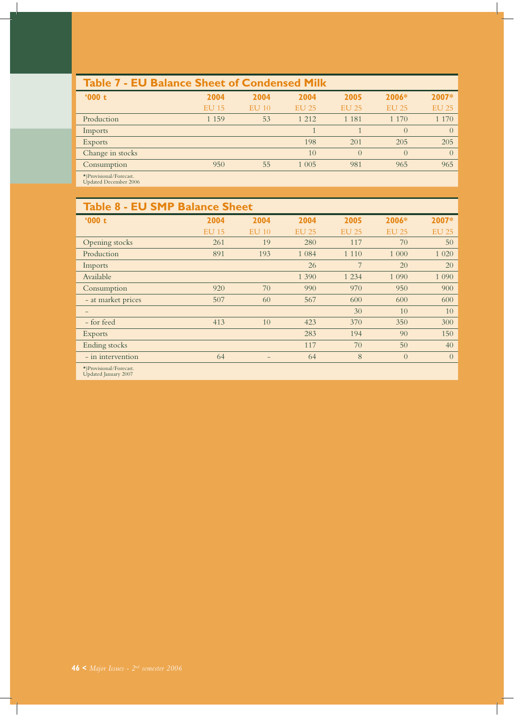| <b>Table 7 - EU Balance Sheet of Condensed Milk</b>     |              |          |              |              |              |              |
|---------------------------------------------------------|--------------|----------|--------------|--------------|--------------|--------------|
| 000t                                                    | 2004         | 2004     | 2004         | 2005         | $2006*$      | 2007*        |
|                                                         | <b>EU 15</b> | $E$ U 10 | <b>EU 25</b> | <b>EU 25</b> | <b>EU 25</b> | <b>EU 25</b> |
| Production                                              | 1 1 5 9      | 53       | 1 2 1 2      | 1 1 8 1      | 1 1 7 0      | 1 1 7 0      |
| Imports                                                 |              |          |              |              | $\theta$     | $\Omega$     |
| <b>Exports</b>                                          |              |          | 198          | 201          | 205          | 205          |
| Change in stocks                                        |              |          | 10           | $\theta$     | $\Omega$     | $\Omega$     |
| Consumption                                             | 950          | 55       | 1 0 0 5      | 981          | 965          | 965          |
| $\star$ )Provisional/Forecast.<br>Updated December 2006 |              |          |              |              |              |              |

| <b>Table 8 - EU SMP Balance Sheet</b>           |              |          |              |              |                |                |
|-------------------------------------------------|--------------|----------|--------------|--------------|----------------|----------------|
| '000t                                           | 2004         | 2004     | 2004         | 2005         | 2006*          | 2007*          |
|                                                 | <b>EU 15</b> | $E$ U 10 | <b>EU 25</b> | <b>EU 25</b> | <b>EU 25</b>   | <b>EU 25</b>   |
| Opening stocks                                  | 261          | 19       | 280          | 117          | 70             | 50             |
| Production                                      | 891          | 193      | 1 0 8 4      | 1 1 1 0      | 1 000          | 1 0 20         |
| Imports                                         |              |          | 26           | 7            | 20             | 20             |
| Available                                       |              |          | 1 3 9 0      | 1 2 3 4      | 1 0 9 0        | 1 0 9 0        |
| Consumption                                     | 920          | 70       | 990          | 970          | 950            | 900            |
| - at market prices                              | 507          | 60       | 567          | 600          | 600            | 600            |
|                                                 |              |          |              | 30           | 10             | 10             |
| - for feed                                      | 413          | 10       | 423          | 370          | 350            | 300            |
| <b>Exports</b>                                  |              |          | 283          | 194          | 90             | 150            |
| Ending stocks                                   |              |          | 117          | 70           | 50             | 40             |
| - in intervention                               | 64           | -        | 64           | 8            | $\overline{0}$ | $\overline{0}$ |
| *)Provisional/Forecast.<br>Updated January 2007 |              |          |              |              |                |                |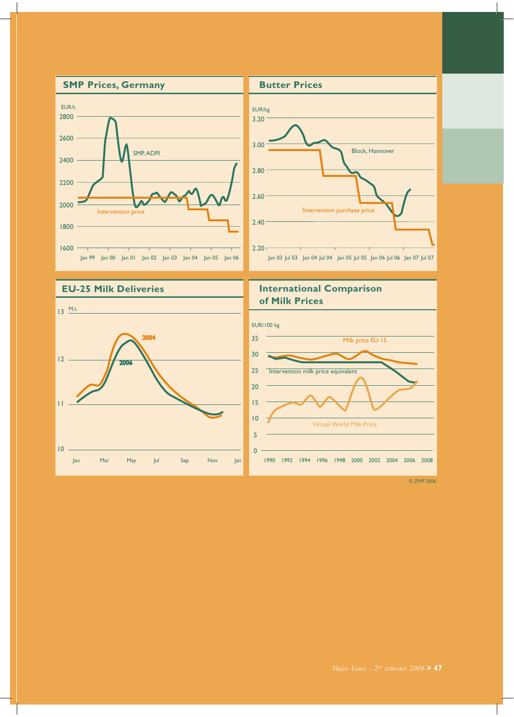

 $10 -$ 

Jan Mar May Jul Sep Nov Jan

 $\overline{0}$  $\overline{5}$ 

1990 1992 1994 1996 1998 2000 2002 2004 2006 2008

© ZMP 2006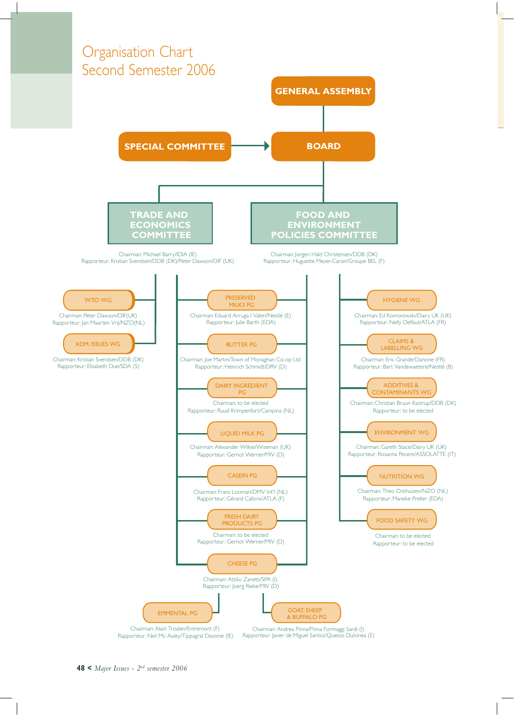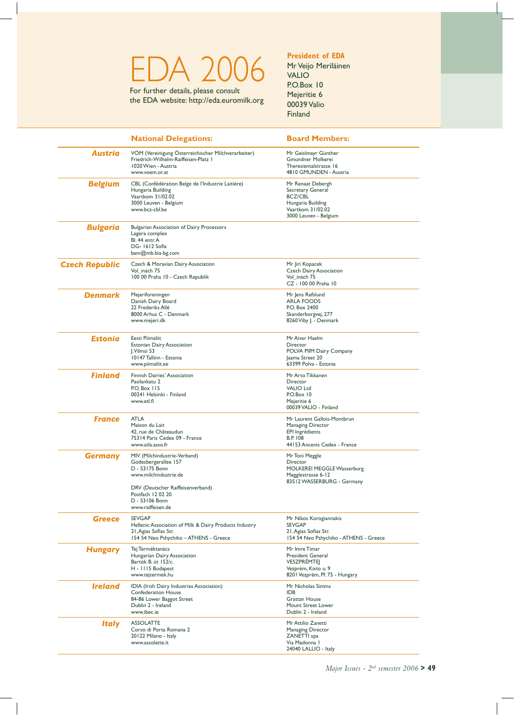# EDA 2006 For further details, please consult

the EDA website: http://eda.euromilk.org

#### **President of EDA** Mr Veijo Meriläinen

VALIO P.O.Box 10 Mejeritie 6 00039 Valio Finland

|                       | <b>National Delegations:</b>                                                                                                                                                                     | <b>Board Members:</b>                                                                                                         |
|-----------------------|--------------------------------------------------------------------------------------------------------------------------------------------------------------------------------------------------|-------------------------------------------------------------------------------------------------------------------------------|
| <b>Austria</b>        | VÖM (Vereinigung Österreichischer Milchverarbeiter)<br>Friedrich-Wilhelm-Raiffeisen-Platz  <br>1020 Wien - Austria<br>www.voem.or.at                                                             | Mr Geislmayr Günther<br><b>Gmundner Molkerei</b><br>Theresientalstrasse 16<br>4810 GMUNDEN - Austria                          |
| <b>Belgium</b>        | CBL (Confédération Belge de l'Industrie Laitière)<br>Hungaria Building<br>Vaartkom 31/02.02<br>3000 Leuven - Belgium<br>www.bcz-cbl.be                                                           | Mr Renaat Debergh<br>Secretary General<br><b>BCZ/CBL</b><br>Hungaria Building<br>Vaartkom 31/02.02<br>3000 Leuven - Belgium   |
| <b>Bulgaria</b>       | <b>Bulgarian Association of Dairy Processors</b><br>Lagera complex<br>Bl. 44 entr. A<br>DG-1612 Sofia<br>$bam@mb.bia-bg.com$                                                                     |                                                                                                                               |
| <b>Czech Republic</b> | Czech & Moravian Dairy Association<br>Vol inách 75<br>100 00 Praha 10 - Czech Republik                                                                                                           | Mr Jiri Kopacek<br><b>Czech Dairy Association</b><br>Vol inách 75<br>CZ - 100 00 Praha 10                                     |
| Denmark               | Mejeriforeningen<br>Danish Dairy Board<br>22 Frederiks Allé<br>8000 Arhus C - Denmark<br>www.mejeri.dk                                                                                           | Mr Jens Refslund<br><b>ARLA FOODS</b><br>P.O. Box 2400<br>Skanderborgvej, 277<br>8260 Viby J. - Denmark                       |
| <b>Estonia</b>        | Eesti Piimaliit<br><b>Estonian Dairy Association</b><br>J.Vilmsi 53<br>10147 Tallinn - Estonia<br>www.piimaliit.ee                                                                               | Mr Aivar Haelm<br>Director<br>POLVA PIIM Dairy Company<br>Jaama Street 20<br>63399 Polva - Estonia                            |
| <b>Finland</b>        | Finnish Dairies' Association<br>Pasilankatu 2<br>P.O. Box 115<br>00241 Helsinki - Finland<br>www.etl.fi                                                                                          | Mr Arto Tikkanen<br>Director<br><b>VALIO Ltd</b><br>P.O.Box 10<br>Mejeritie 6<br>00039 VALIO - Finland                        |
| France                | <b>ATLA</b><br>Maison du Lait<br>42, rue de Châteaudun<br>75314 Paris Cedex 09 - France<br>www.atla.asso.fr                                                                                      | Mr Laurent Gallois-Montbrun<br><b>Managing Director</b><br>EPI Ingrédients<br><b>B.P. 108</b><br>44153 Ancenis Cedex - France |
| <b>Germany</b>        | MIV (Milchindustrie-Verband)<br>Godesbergerallee 157<br>D - 53175 Bonn<br>www.milchindustrie.de<br>DRV (Deutscher Raiffeisenverband)<br>Postfach 12 02 20<br>D - 53106 Bonn<br>www.raiffeisen.de | Mr Toni Meggle<br><b>Director</b><br><b>MOLKEREI MEGGLE Wasserburg</b><br>Megglestrasse 6-12<br>83512 WASSERBURG - Germany    |
| <b>Greece</b>         | <b>SEVGAP</b><br>Hellenic Association of Milk & Dairy Products Industry<br>21, Agias Sofias Str.<br>154 54 Neo Pshychiko - ATHENS - Greece                                                       | Mr Nikos Korogiannakis<br><b>SEVGAP</b><br>21, Agias Sofias Str.<br>154 54 Neo Pshychiko - ATHENS - Greece                    |
| <b>Hungary</b>        | Tej Terméktanács<br>Hungarian Dairy Association<br>Bartók B. út 152/c.<br>H - 1115 Budapest<br>www.tejtermek.hu                                                                                  | Mr Imre Timar<br><b>President General</b><br><b>VESZPRÉMTEJ</b><br>Vezprém, Kisto u. 9<br>8201 Vezprèm, Pf. 75 - Hungary      |
| <b>Ireland</b>        | IDIA (Irish Dairy Industries Association)<br><b>Confederation House</b><br>84-86 Lower Baggot Street<br>Dublin 2 - Ireland<br>www.ibec.ie                                                        | Mr Nicholas Simms<br><b>IDB</b><br><b>Grattan House</b><br>Mount Street Lower<br>Dublin 2 - Ireland                           |
| <i><b>Italy</b></i>   | <b>ASSOLATTE</b><br>Corso di Porta Romana 2<br>20122 Milano - Italy<br>www.assolatte.it                                                                                                          | Mr Attilio Zanetti<br>Managing Director<br>ZANETTI spa<br>Via Madonna I<br>24040 LALLIO - Italy                               |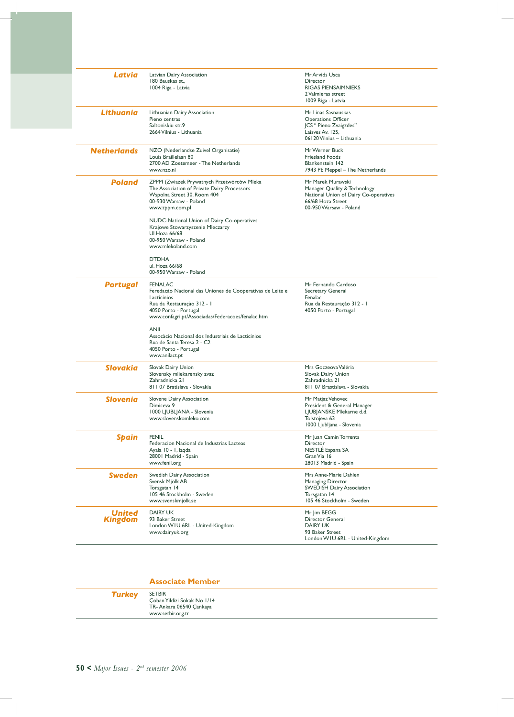| Latvia                          | Latvian Dairy Association<br>180 Bauskas st.,<br>1004 Riga - Latvia                                                                                                                                                                                                                                                               | Mr Arvids Usca<br><b>Director</b><br><b>RIGAS PIENSAIMNIEKS</b><br>2 Valmieras street<br>1009 Riga - Latvia                               |
|---------------------------------|-----------------------------------------------------------------------------------------------------------------------------------------------------------------------------------------------------------------------------------------------------------------------------------------------------------------------------------|-------------------------------------------------------------------------------------------------------------------------------------------|
| Lithuania                       | Lithuanian Dairy Association<br>Pieno centras<br>Saltoniskiu str.9<br>2664 Vilnius - Lithuania                                                                                                                                                                                                                                    | Mr Linas Sasnauskas<br><b>Operations Officer</b><br>JCS " Pieno Zvaigzdes"<br>Laisves Av. 125,<br>06120 Vilnius - Lithuania               |
| <b>Netherlands</b>              | NZO (Nederlandse Zuivel Organisatie)<br>Louis Braillelaan 80<br>2700 AD Zoetemeer - The Netherlands<br>www.nzo.nl                                                                                                                                                                                                                 | Mr Werner Buck<br><b>Friesland Foods</b><br><b>Blankenstein 142</b><br>7943 PE Meppel - The Netherlands                                   |
| Poland                          | ZPPM (Zwiazek Prywatnych Przetwórców Mleka<br>The Association of Private Dairy Processors<br>Wspolna Street 30. Room 404<br>00-930 Warsaw - Poland<br>www.zppm.com.pl<br>NUDC-National Union of Dairy Co-operatives<br>Krajowe Stowarzyszenie Mleczarzy<br><b>Ul.Hoza 66/68</b><br>00-950 Warsaw - Poland<br>www.mlekoland.com    | Mr Marek Murawski<br>Manager Quality & Technology<br>National Union of Dairy Co-operatives<br>66/68 Hoza Street<br>00-950 Warsaw - Poland |
|                                 | <b>DTDHA</b><br>ul. Hoza 66/68<br>00-950 Warsaw - Poland                                                                                                                                                                                                                                                                          |                                                                                                                                           |
| <b>Portugal</b>                 | <b>FENALAC</b><br>Feredacão Nacional das Uniones de Cooperativas de Leite e<br>Lacticinios<br>Rua da Restauração 312 - I<br>4050 Porto - Portugal<br>www.confagri.pt/Associadas/Federacoes/fenalac.htm<br><b>ANIL</b><br>Assocàcio Nacional dos Industriais de Lacticinios<br>Rua de Santa Teresa 2 - C2<br>4050 Porto - Portugal | Mr Fernando Cardoso<br>Secretary General<br>Fenalac<br>Rua da Restauração 312 - 1<br>4050 Porto - Portugal                                |
| Slovakia                        | www.anilact.pt<br>Slovak Dairy Union                                                                                                                                                                                                                                                                                              | Mrs Goczeova Valéria                                                                                                                      |
|                                 | Slovensky mliekarensky zvaz<br>Zahradnicka 21<br>811 07 Bratislava - Slovakia                                                                                                                                                                                                                                                     | Slovak Dairy Union<br>Zahradnicka 21<br>811 07 Brastislava - Slovakia                                                                     |
| Slovenia                        | Slovene Dairy Association<br>Dimiceva 9<br>1000 LJUBLJANA - Slovenia<br>www.slovenskomleko.com                                                                                                                                                                                                                                    | Mr Matjaz Vehovec<br>President & General Manager<br>LJUBJANSKE Mlekarne d.d.<br>Tolstojeva 63<br>1000 Ljubljana - Slovenia                |
| <b>Spain</b>                    | <b>FENIL</b><br>Federacion Nacional de Industrias Lacteas<br>Ayala 10 - 1, Izqda<br>28001 Madrid - Spain<br>www.fenil.org                                                                                                                                                                                                         | Mr Juan Camin Torrents<br>Director<br>NESTLE Espana SA<br>Gran Via 16<br>28013 Madrid - Spain                                             |
| <b>Sweden</b>                   | Swedish Dairy Association<br>Svensk Mjölk AB<br>Torsgatan 14<br>105 46 Stockholm - Sweden<br>www.svenskmjolk.se                                                                                                                                                                                                                   | Mrs Anne-Marie Dahlen<br><b>Managing Director</b><br><b>SWEDISH Dairy Association</b><br>Torsgatan 14<br>105 46 Stockholm - Sweden        |
| <b>United</b><br><b>Kingdom</b> | <b>DAIRY UK</b><br>93 Baker Street<br>London WIU 6RL - United-Kingdom<br>www.dairyuk.org                                                                                                                                                                                                                                          | Mr Jim BEGG<br>Director General<br><b>DAIRY UK</b><br>93 Baker Street<br>London WIU 6RL - United-Kingdom                                  |

|               | <b>Associate Member</b>                                                                      |
|---------------|----------------------------------------------------------------------------------------------|
| <b>Turkey</b> | <b>SETBIR</b><br>Coban Yildizi Sokak No 1/14<br>TR-Ankara 06540 Cankaya<br>www.setbir.org.tr |